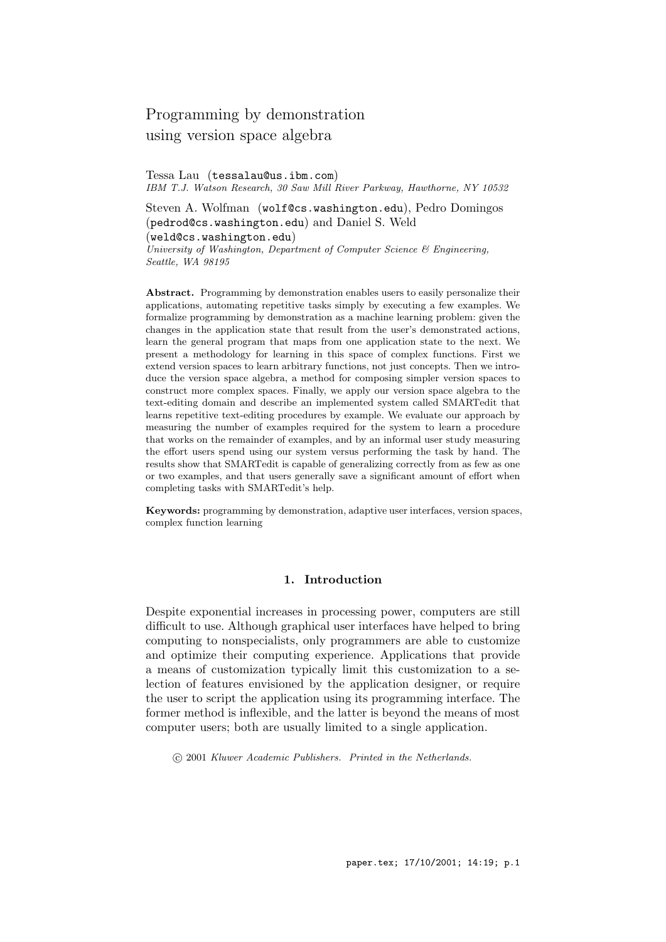# Programming by demonstration using version space algebra

Tessa Lau (tessalau@us.ibm.com) IBM T.J. Watson Research, 30 Saw Mill River Parkway, Hawthorne, NY 10532

Steven A. Wolfman (wolf@cs.washington.edu), Pedro Domingos (pedrod@cs.washington.edu) and Daniel S. Weld (weld@cs.washington.edu)

University of Washington, Department of Computer Science & Engineering, Seattle, WA 98195

Abstract. Programming by demonstration enables users to easily personalize their applications, automating repetitive tasks simply by executing a few examples. We formalize programming by demonstration as a machine learning problem: given the changes in the application state that result from the user's demonstrated actions, learn the general program that maps from one application state to the next. We present a methodology for learning in this space of complex functions. First we extend version spaces to learn arbitrary functions, not just concepts. Then we introduce the version space algebra, a method for composing simpler version spaces to construct more complex spaces. Finally, we apply our version space algebra to the text-editing domain and describe an implemented system called SMARTedit that learns repetitive text-editing procedures by example. We evaluate our approach by measuring the number of examples required for the system to learn a procedure that works on the remainder of examples, and by an informal user study measuring the effort users spend using our system versus performing the task by hand. The results show that SMARTedit is capable of generalizing correctly from as few as one or two examples, and that users generally save a significant amount of effort when completing tasks with SMARTedit's help.

Keywords: programming by demonstration, adaptive user interfaces, version spaces, complex function learning

# 1. Introduction

Despite exponential increases in processing power, computers are still difficult to use. Although graphical user interfaces have helped to bring computing to nonspecialists, only programmers are able to customize and optimize their computing experience. Applications that provide a means of customization typically limit this customization to a selection of features envisioned by the application designer, or require the user to script the application using its programming interface. The former method is inflexible, and the latter is beyond the means of most computer users; both are usually limited to a single application.

c 2001 Kluwer Academic Publishers. Printed in the Netherlands.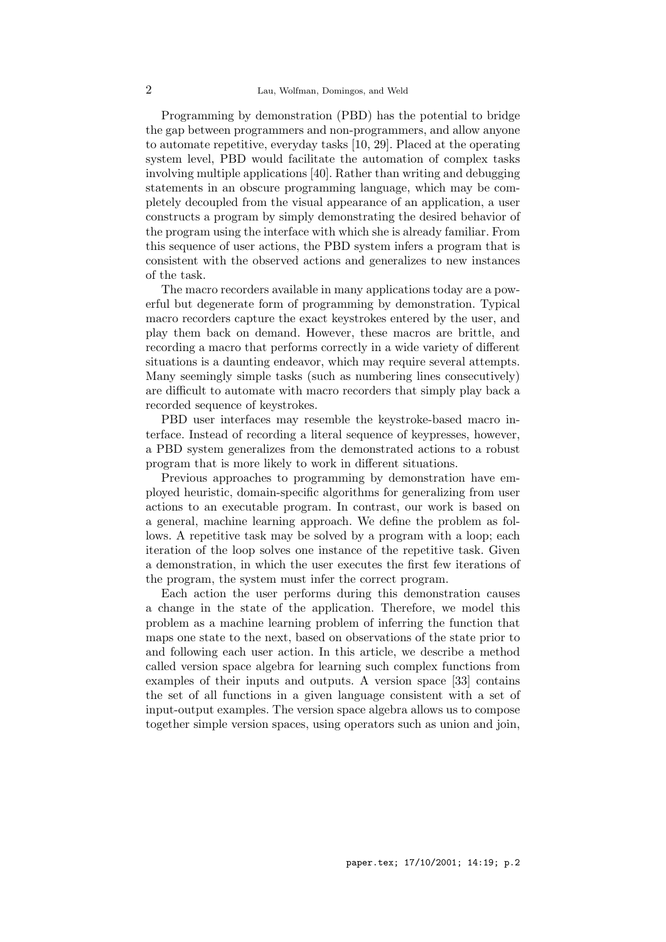Programming by demonstration (PBD) has the potential to bridge the gap between programmers and non-programmers, and allow anyone to automate repetitive, everyday tasks [10, 29]. Placed at the operating system level, PBD would facilitate the automation of complex tasks involving multiple applications [40]. Rather than writing and debugging statements in an obscure programming language, which may be completely decoupled from the visual appearance of an application, a user constructs a program by simply demonstrating the desired behavior of the program using the interface with which she is already familiar. From this sequence of user actions, the PBD system infers a program that is consistent with the observed actions and generalizes to new instances of the task.

The macro recorders available in many applications today are a powerful but degenerate form of programming by demonstration. Typical macro recorders capture the exact keystrokes entered by the user, and play them back on demand. However, these macros are brittle, and recording a macro that performs correctly in a wide variety of different situations is a daunting endeavor, which may require several attempts. Many seemingly simple tasks (such as numbering lines consecutively) are difficult to automate with macro recorders that simply play back a recorded sequence of keystrokes.

PBD user interfaces may resemble the keystroke-based macro interface. Instead of recording a literal sequence of keypresses, however, a PBD system generalizes from the demonstrated actions to a robust program that is more likely to work in different situations.

Previous approaches to programming by demonstration have employed heuristic, domain-specific algorithms for generalizing from user actions to an executable program. In contrast, our work is based on a general, machine learning approach. We define the problem as follows. A repetitive task may be solved by a program with a loop; each iteration of the loop solves one instance of the repetitive task. Given a demonstration, in which the user executes the first few iterations of the program, the system must infer the correct program.

Each action the user performs during this demonstration causes a change in the state of the application. Therefore, we model this problem as a machine learning problem of inferring the function that maps one state to the next, based on observations of the state prior to and following each user action. In this article, we describe a method called version space algebra for learning such complex functions from examples of their inputs and outputs. A version space [33] contains the set of all functions in a given language consistent with a set of input-output examples. The version space algebra allows us to compose together simple version spaces, using operators such as union and join,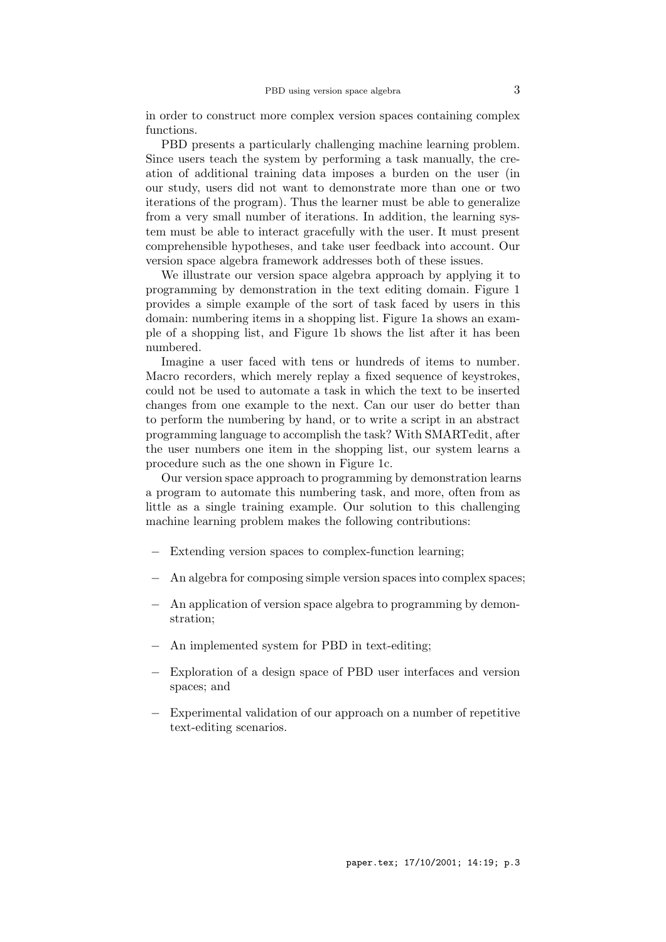in order to construct more complex version spaces containing complex functions.

PBD presents a particularly challenging machine learning problem. Since users teach the system by performing a task manually, the creation of additional training data imposes a burden on the user (in our study, users did not want to demonstrate more than one or two iterations of the program). Thus the learner must be able to generalize from a very small number of iterations. In addition, the learning system must be able to interact gracefully with the user. It must present comprehensible hypotheses, and take user feedback into account. Our version space algebra framework addresses both of these issues.

We illustrate our version space algebra approach by applying it to programming by demonstration in the text editing domain. Figure 1 provides a simple example of the sort of task faced by users in this domain: numbering items in a shopping list. Figure 1a shows an example of a shopping list, and Figure 1b shows the list after it has been numbered.

Imagine a user faced with tens or hundreds of items to number. Macro recorders, which merely replay a fixed sequence of keystrokes, could not be used to automate a task in which the text to be inserted changes from one example to the next. Can our user do better than to perform the numbering by hand, or to write a script in an abstract programming language to accomplish the task? With SMARTedit, after the user numbers one item in the shopping list, our system learns a procedure such as the one shown in Figure 1c.

Our version space approach to programming by demonstration learns a program to automate this numbering task, and more, often from as little as a single training example. Our solution to this challenging machine learning problem makes the following contributions:

- Extending version spaces to complex-function learning;
- An algebra for composing simple version spaces into complex spaces;
- An application of version space algebra to programming by demonstration;
- An implemented system for PBD in text-editing;
- − Exploration of a design space of PBD user interfaces and version spaces; and
- − Experimental validation of our approach on a number of repetitive text-editing scenarios.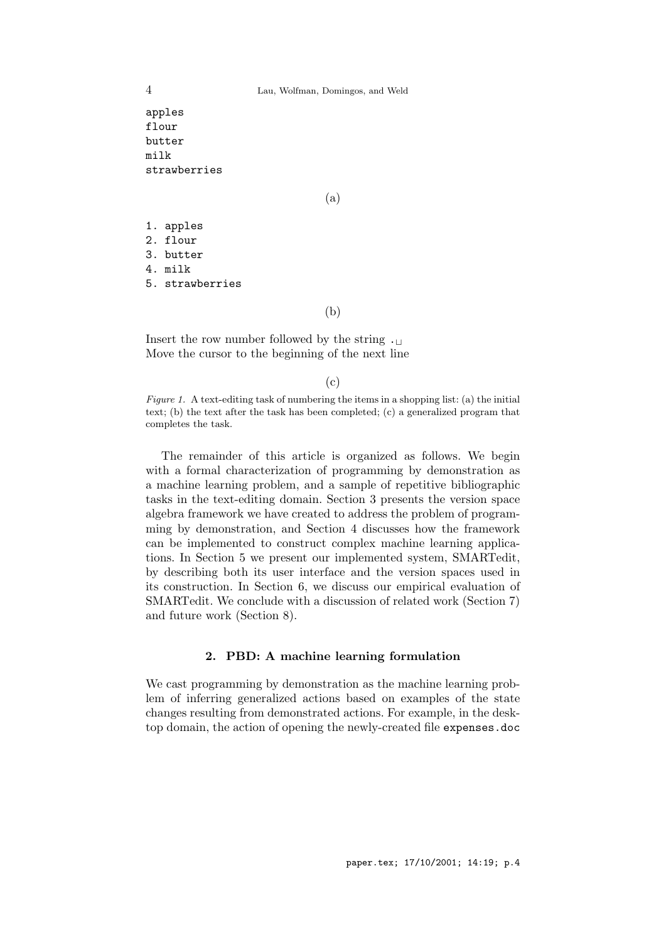apples flour butter milk strawberries

#### (a)

1. apples

2. flour

3. butter

4. milk

5. strawberries

## (b)

Insert the row number followed by the string  $\cdot$ Move the cursor to the beginning of the next line

(c)

Figure 1. A text-editing task of numbering the items in a shopping list: (a) the initial text; (b) the text after the task has been completed; (c) a generalized program that completes the task.

The remainder of this article is organized as follows. We begin with a formal characterization of programming by demonstration as a machine learning problem, and a sample of repetitive bibliographic tasks in the text-editing domain. Section 3 presents the version space algebra framework we have created to address the problem of programming by demonstration, and Section 4 discusses how the framework can be implemented to construct complex machine learning applications. In Section 5 we present our implemented system, SMARTedit, by describing both its user interface and the version spaces used in its construction. In Section 6, we discuss our empirical evaluation of SMARTedit. We conclude with a discussion of related work (Section 7) and future work (Section 8).

#### 2. PBD: A machine learning formulation

We cast programming by demonstration as the machine learning problem of inferring generalized actions based on examples of the state changes resulting from demonstrated actions. For example, in the desktop domain, the action of opening the newly-created file expenses.doc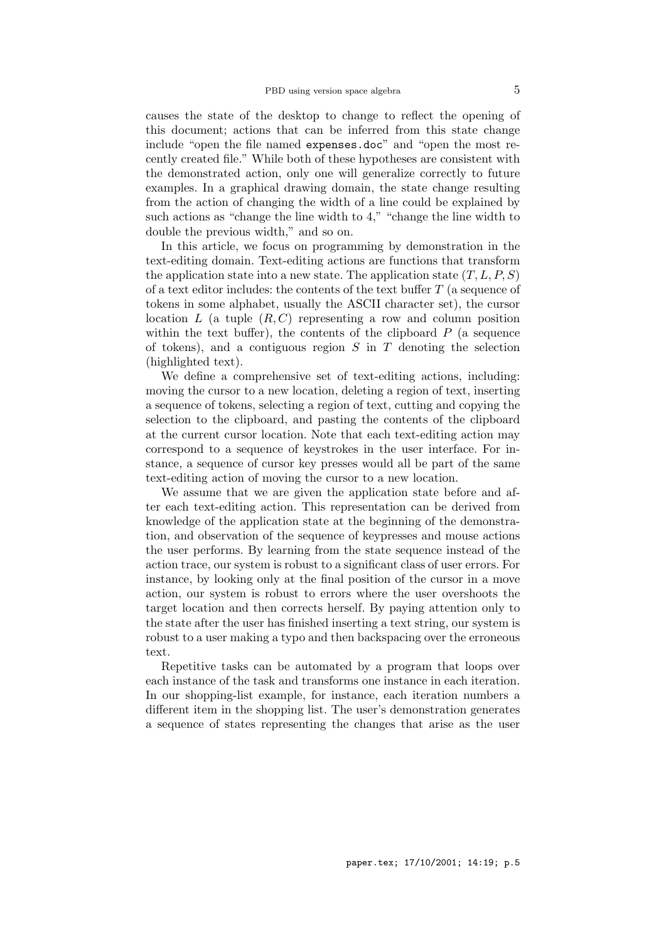causes the state of the desktop to change to reflect the opening of this document; actions that can be inferred from this state change include "open the file named expenses.doc" and "open the most recently created file." While both of these hypotheses are consistent with the demonstrated action, only one will generalize correctly to future examples. In a graphical drawing domain, the state change resulting from the action of changing the width of a line could be explained by such actions as "change the line width to 4," "change the line width to double the previous width," and so on.

In this article, we focus on programming by demonstration in the text-editing domain. Text-editing actions are functions that transform the application state into a new state. The application state  $(T, L, P, S)$ of a text editor includes: the contents of the text buffer  $T$  (a sequence of tokens in some alphabet, usually the ASCII character set), the cursor location  $L$  (a tuple  $(R, C)$  representing a row and column position within the text buffer), the contents of the clipboard  $P$  (a sequence of tokens), and a contiguous region  $S$  in  $T$  denoting the selection (highlighted text).

We define a comprehensive set of text-editing actions, including: moving the cursor to a new location, deleting a region of text, inserting a sequence of tokens, selecting a region of text, cutting and copying the selection to the clipboard, and pasting the contents of the clipboard at the current cursor location. Note that each text-editing action may correspond to a sequence of keystrokes in the user interface. For instance, a sequence of cursor key presses would all be part of the same text-editing action of moving the cursor to a new location.

We assume that we are given the application state before and after each text-editing action. This representation can be derived from knowledge of the application state at the beginning of the demonstration, and observation of the sequence of keypresses and mouse actions the user performs. By learning from the state sequence instead of the action trace, our system is robust to a significant class of user errors. For instance, by looking only at the final position of the cursor in a move action, our system is robust to errors where the user overshoots the target location and then corrects herself. By paying attention only to the state after the user has finished inserting a text string, our system is robust to a user making a typo and then backspacing over the erroneous text.

Repetitive tasks can be automated by a program that loops over each instance of the task and transforms one instance in each iteration. In our shopping-list example, for instance, each iteration numbers a different item in the shopping list. The user's demonstration generates a sequence of states representing the changes that arise as the user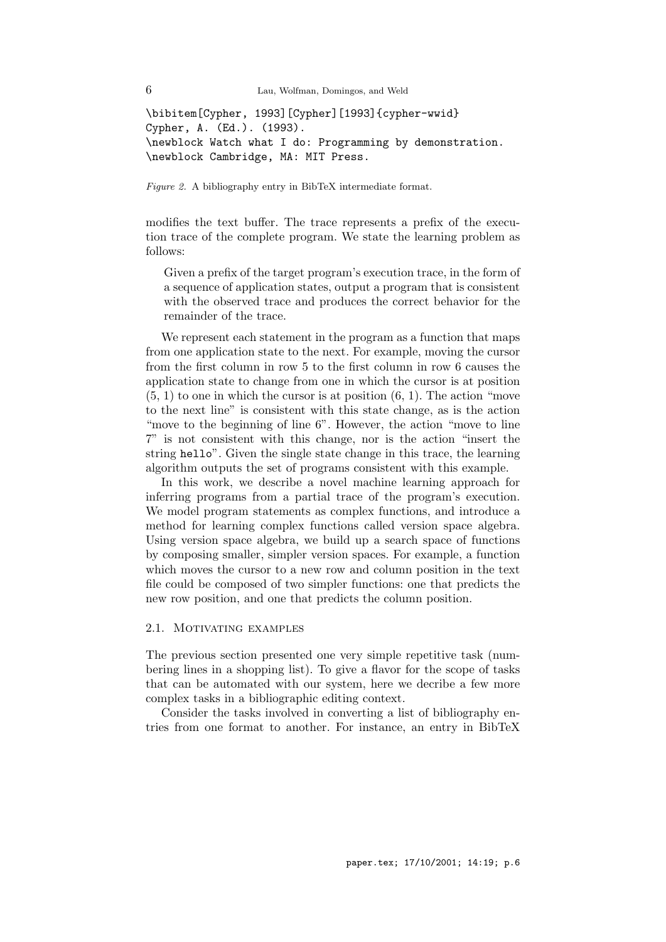6 Lau, Wolfman, Domingos, and Weld

\bibitem[Cypher, 1993][Cypher][1993]{cypher-wwid} Cypher, A. (Ed.). (1993). \newblock Watch what I do: Programming by demonstration. \newblock Cambridge, MA: MIT Press.

Figure 2. A bibliography entry in BibTeX intermediate format.

modifies the text buffer. The trace represents a prefix of the execution trace of the complete program. We state the learning problem as follows:

Given a prefix of the target program's execution trace, in the form of a sequence of application states, output a program that is consistent with the observed trace and produces the correct behavior for the remainder of the trace.

We represent each statement in the program as a function that maps from one application state to the next. For example, moving the cursor from the first column in row 5 to the first column in row 6 causes the application state to change from one in which the cursor is at position  $(5, 1)$  to one in which the cursor is at position  $(6, 1)$ . The action "move" to the next line" is consistent with this state change, as is the action "move to the beginning of line 6". However, the action "move to line" 7" is not consistent with this change, nor is the action "insert the string hello". Given the single state change in this trace, the learning algorithm outputs the set of programs consistent with this example.

In this work, we describe a novel machine learning approach for inferring programs from a partial trace of the program's execution. We model program statements as complex functions, and introduce a method for learning complex functions called version space algebra. Using version space algebra, we build up a search space of functions by composing smaller, simpler version spaces. For example, a function which moves the cursor to a new row and column position in the text file could be composed of two simpler functions: one that predicts the new row position, and one that predicts the column position.

# 2.1. MOTIVATING EXAMPLES

The previous section presented one very simple repetitive task (numbering lines in a shopping list). To give a flavor for the scope of tasks that can be automated with our system, here we decribe a few more complex tasks in a bibliographic editing context.

Consider the tasks involved in converting a list of bibliography entries from one format to another. For instance, an entry in BibTeX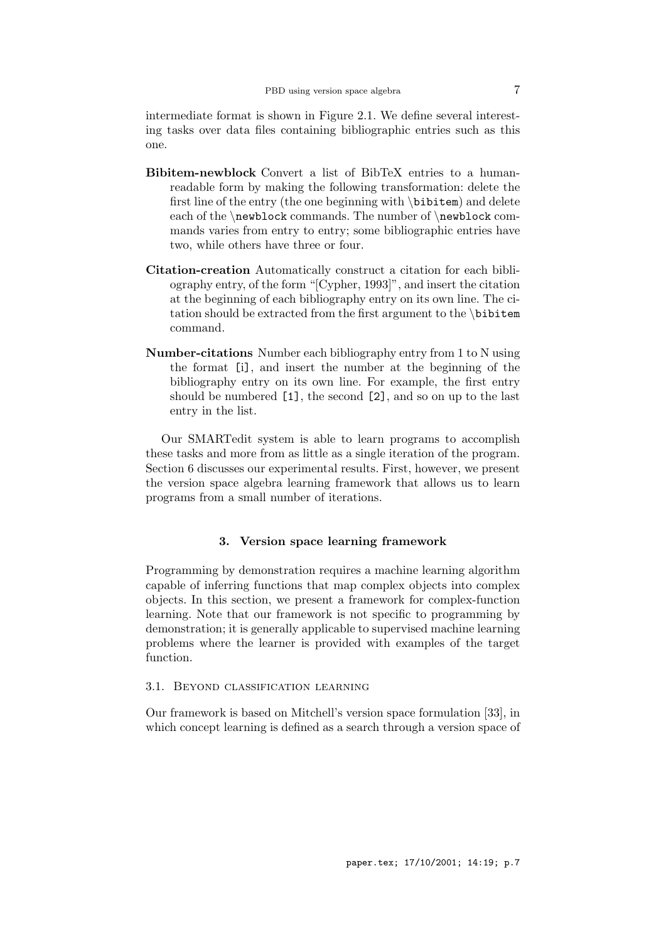intermediate format is shown in Figure 2.1. We define several interesting tasks over data files containing bibliographic entries such as this one.

- Bibitem-newblock Convert a list of BibTeX entries to a humanreadable form by making the following transformation: delete the first line of the entry (the one beginning with \bibitem) and delete each of the **\newblock** commands. The number of **\newblock** commands varies from entry to entry; some bibliographic entries have two, while others have three or four.
- Citation-creation Automatically construct a citation for each bibliography entry, of the form "[Cypher, 1993]", and insert the citation at the beginning of each bibliography entry on its own line. The citation should be extracted from the first argument to the \bibitem command.
- Number-citations Number each bibliography entry from 1 to N using the format [i], and insert the number at the beginning of the bibliography entry on its own line. For example, the first entry should be numbered [1], the second [2], and so on up to the last entry in the list.

Our SMARTedit system is able to learn programs to accomplish these tasks and more from as little as a single iteration of the program. Section 6 discusses our experimental results. First, however, we present the version space algebra learning framework that allows us to learn programs from a small number of iterations.

# 3. Version space learning framework

Programming by demonstration requires a machine learning algorithm capable of inferring functions that map complex objects into complex objects. In this section, we present a framework for complex-function learning. Note that our framework is not specific to programming by demonstration; it is generally applicable to supervised machine learning problems where the learner is provided with examples of the target function.

#### 3.1. Beyond classification learning

Our framework is based on Mitchell's version space formulation [33], in which concept learning is defined as a search through a version space of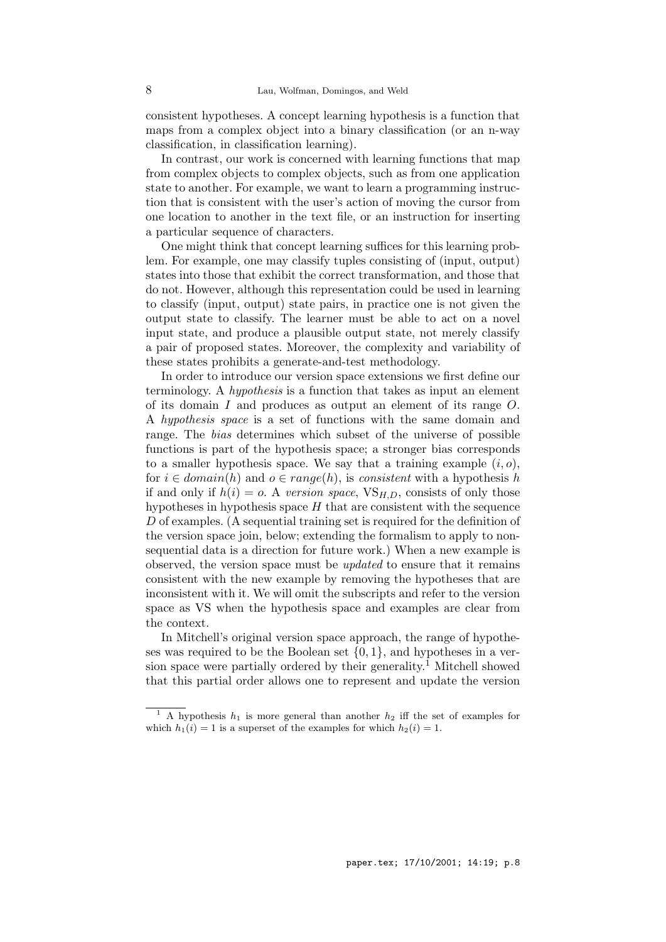consistent hypotheses. A concept learning hypothesis is a function that maps from a complex object into a binary classification (or an n-way classification, in classification learning).

In contrast, our work is concerned with learning functions that map from complex objects to complex objects, such as from one application state to another. For example, we want to learn a programming instruction that is consistent with the user's action of moving the cursor from one location to another in the text file, or an instruction for inserting a particular sequence of characters.

One might think that concept learning suffices for this learning problem. For example, one may classify tuples consisting of (input, output) states into those that exhibit the correct transformation, and those that do not. However, although this representation could be used in learning to classify (input, output) state pairs, in practice one is not given the output state to classify. The learner must be able to act on a novel input state, and produce a plausible output state, not merely classify a pair of proposed states. Moreover, the complexity and variability of these states prohibits a generate-and-test methodology.

In order to introduce our version space extensions we first define our terminology. A hypothesis is a function that takes as input an element of its domain I and produces as output an element of its range O. A hypothesis space is a set of functions with the same domain and range. The bias determines which subset of the universe of possible functions is part of the hypothesis space; a stronger bias corresponds to a smaller hypothesis space. We say that a training example  $(i, o)$ , for  $i \in domain(h)$  and  $o \in range(h)$ , is consistent with a hypothesis h if and only if  $h(i) = o$ . A version space,  $VS_{H,D}$ , consists of only those hypotheses in hypothesis space  $H$  that are consistent with the sequence  $D$  of examples. (A sequential training set is required for the definition of the version space join, below; extending the formalism to apply to nonsequential data is a direction for future work.) When a new example is observed, the version space must be updated to ensure that it remains consistent with the new example by removing the hypotheses that are inconsistent with it. We will omit the subscripts and refer to the version space as VS when the hypothesis space and examples are clear from the context.

In Mitchell's original version space approach, the range of hypotheses was required to be the Boolean set  $\{0, 1\}$ , and hypotheses in a version space were partially ordered by their generality.<sup>1</sup> Mitchell showed that this partial order allows one to represent and update the version

<sup>&</sup>lt;sup>1</sup> A hypothesis  $h_1$  is more general than another  $h_2$  iff the set of examples for which  $h_1(i) = 1$  is a superset of the examples for which  $h_2(i) = 1$ .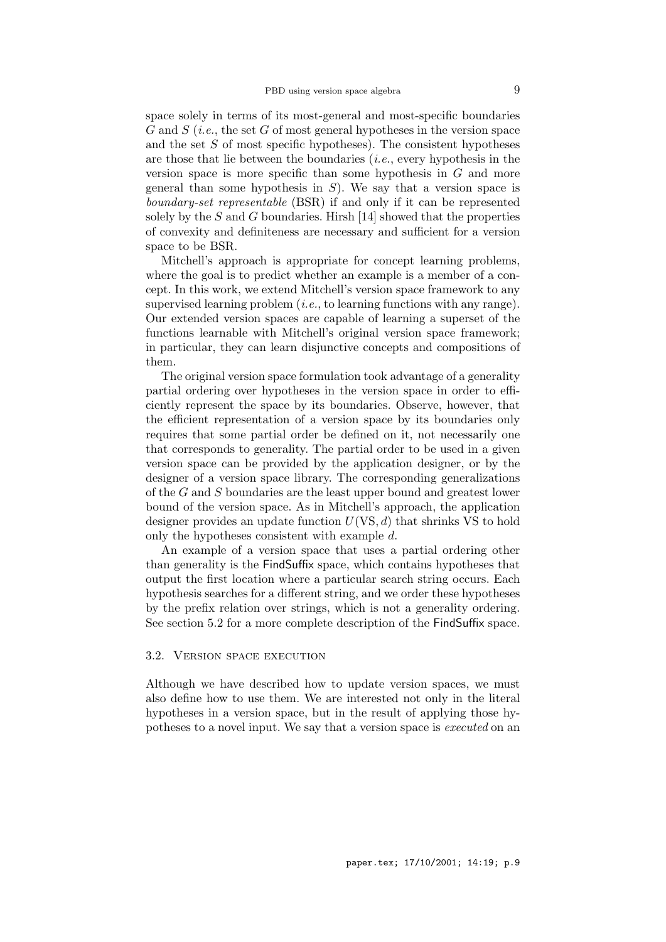space solely in terms of its most-general and most-specific boundaries G and  $S$  (*i.e.*, the set G of most general hypotheses in the version space and the set  $S$  of most specific hypotheses). The consistent hypotheses are those that lie between the boundaries  $(i.e., every hypothesis in the$ version space is more specific than some hypothesis in G and more general than some hypothesis in  $S$ ). We say that a version space is boundary-set representable (BSR) if and only if it can be represented solely by the  $S$  and  $G$  boundaries. Hirsh [14] showed that the properties of convexity and definiteness are necessary and sufficient for a version space to be BSR.

Mitchell's approach is appropriate for concept learning problems, where the goal is to predict whether an example is a member of a concept. In this work, we extend Mitchell's version space framework to any supervised learning problem  $(i.e.,$  to learning functions with any range). Our extended version spaces are capable of learning a superset of the functions learnable with Mitchell's original version space framework; in particular, they can learn disjunctive concepts and compositions of them.

The original version space formulation took advantage of a generality partial ordering over hypotheses in the version space in order to efficiently represent the space by its boundaries. Observe, however, that the efficient representation of a version space by its boundaries only requires that some partial order be defined on it, not necessarily one that corresponds to generality. The partial order to be used in a given version space can be provided by the application designer, or by the designer of a version space library. The corresponding generalizations of the G and S boundaries are the least upper bound and greatest lower bound of the version space. As in Mitchell's approach, the application designer provides an update function  $U(VS, d)$  that shrinks VS to hold only the hypotheses consistent with example d.

An example of a version space that uses a partial ordering other than generality is the FindSuffix space, which contains hypotheses that output the first location where a particular search string occurs. Each hypothesis searches for a different string, and we order these hypotheses by the prefix relation over strings, which is not a generality ordering. See section 5.2 for a more complete description of the FindSuffix space.

# 3.2. Version space execution

Although we have described how to update version spaces, we must also define how to use them. We are interested not only in the literal hypotheses in a version space, but in the result of applying those hypotheses to a novel input. We say that a version space is executed on an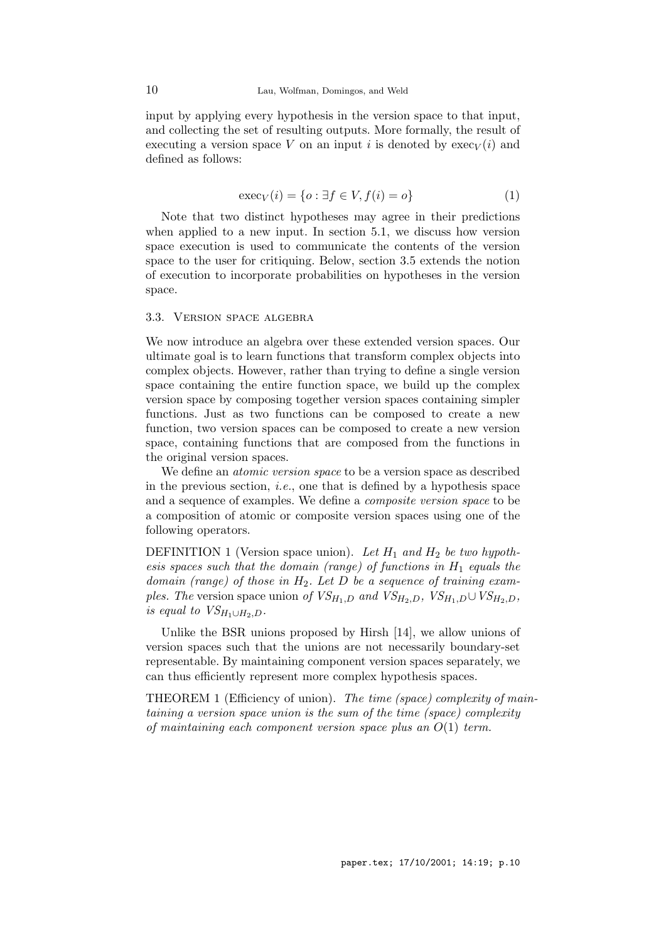input by applying every hypothesis in the version space to that input, and collecting the set of resulting outputs. More formally, the result of executing a version space V on an input i is denoted by  $\operatorname{exec}_V(i)$  and defined as follows:

$$
\operatorname{exec}_{V}(i) = \{o : \exists f \in V, f(i) = o\}
$$
\n
$$
(1)
$$

Note that two distinct hypotheses may agree in their predictions when applied to a new input. In section 5.1, we discuss how version space execution is used to communicate the contents of the version space to the user for critiquing. Below, section 3.5 extends the notion of execution to incorporate probabilities on hypotheses in the version space.

#### 3.3. Version space algebra

We now introduce an algebra over these extended version spaces. Our ultimate goal is to learn functions that transform complex objects into complex objects. However, rather than trying to define a single version space containing the entire function space, we build up the complex version space by composing together version spaces containing simpler functions. Just as two functions can be composed to create a new function, two version spaces can be composed to create a new version space, containing functions that are composed from the functions in the original version spaces.

We define an *atomic version space* to be a version space as described in the previous section, *i.e.*, one that is defined by a hypothesis space and a sequence of examples. We define a composite version space to be a composition of atomic or composite version spaces using one of the following operators.

DEFINITION 1 (Version space union). Let  $H_1$  and  $H_2$  be two hypothesis spaces such that the domain (range) of functions in  $H_1$  equals the domain (range) of those in  $H_2$ . Let  $D$  be a sequence of training examples. The version space union of  $VS_{H_1,D}$  and  $VS_{H_2,D}$ ,  $VS_{H_1,D} \cup VS_{H_2,D}$ , is equal to  $VS_{H_1\cup H_2,D}$ .

Unlike the BSR unions proposed by Hirsh [14], we allow unions of version spaces such that the unions are not necessarily boundary-set representable. By maintaining component version spaces separately, we can thus efficiently represent more complex hypothesis spaces.

THEOREM 1 (Efficiency of union). The time (space) complexity of maintaining a version space union is the sum of the time (space) complexity of maintaining each component version space plus an  $O(1)$  term.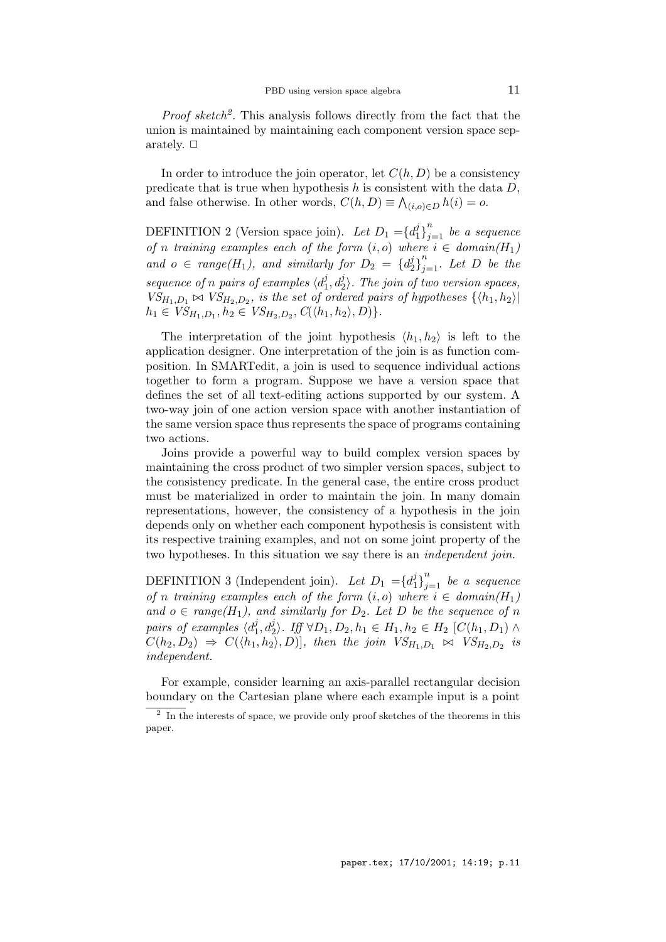*Proof sketch*<sup>2</sup>. This analysis follows directly from the fact that the union is maintained by maintaining each component version space separately.  $\square$ 

In order to introduce the join operator, let  $C(h, D)$  be a consistency predicate that is true when hypothesis  $h$  is consistent with the data  $D$ , and false otherwise. In other words,  $C(h, D) \equiv \bigwedge_{(i,o)\in D} h(i) = o$ .

DEFINITION 2 (Version space join). Let  $D_1 = \{d_1^j\}$  $\left\{j\atop 1\right\}_{j=1}^n$  be a sequence of n training examples each of the form  $(i, o)$  where  $i \in domain(H_1)$ and  $o \in range(H_1)$ , and similarly for  $D_2 = \{d_2^j\}$  $\left(\begin{matrix}j\\2\end{matrix}\right)_{j=1}^n$ . Let D be the sequence of n pairs of examples  $\langle d_1^j$  $\langle \phi^j_1, d^j_2 \rangle$ . The join of two version spaces,  $VS_{H_1,D_1} \bowtie VS_{H_2,D_2}$ , is the set of ordered pairs of hypotheses  $\{\langle h_1, h_2 \rangle |$  $h_1 \in VS_{H_1, D_1}, h_2 \in VS_{H_2, D_2}, C(\langle h_1, h_2 \rangle, D)\}.$ 

The interpretation of the joint hypothesis  $\langle h_1, h_2 \rangle$  is left to the application designer. One interpretation of the join is as function composition. In SMARTedit, a join is used to sequence individual actions together to form a program. Suppose we have a version space that defines the set of all text-editing actions supported by our system. A two-way join of one action version space with another instantiation of the same version space thus represents the space of programs containing two actions.

Joins provide a powerful way to build complex version spaces by maintaining the cross product of two simpler version spaces, subject to the consistency predicate. In the general case, the entire cross product must be materialized in order to maintain the join. In many domain representations, however, the consistency of a hypothesis in the join depends only on whether each component hypothesis is consistent with its respective training examples, and not on some joint property of the two hypotheses. In this situation we say there is an *independent join*.

DEFINITION 3 (Independent join). Let  $D_1 = \{d_1^j\}$  $\left\{ \begin{array}{l} i \ j=1}^n \ be \ a \ sequence$ of n training examples each of the form  $(i, o)$  where  $i \in domain(H_1)$ and  $o \in range(H_1)$ , and similarly for  $D_2$ . Let D be the sequence of n pairs of examples  $\langle d_1^j$  $\{a_1^j, d_2^j\}$ . Iff ∀D<sub>1</sub>, D<sub>2</sub>,  $h_1 \in H_1, h_2 \in H_2$  [C( $h_1, D_1$ ) ∧  $C(h_2, D_2) \Rightarrow C(\langle h_1, h_2 \rangle, D)$ , then the join  $VS_{H_1,D_1} \bowtie VS_{H_2,D_2}$  is independent.

For example, consider learning an axis-parallel rectangular decision boundary on the Cartesian plane where each example input is a point

<sup>&</sup>lt;sup>2</sup> In the interests of space, we provide only proof sketches of the theorems in this paper.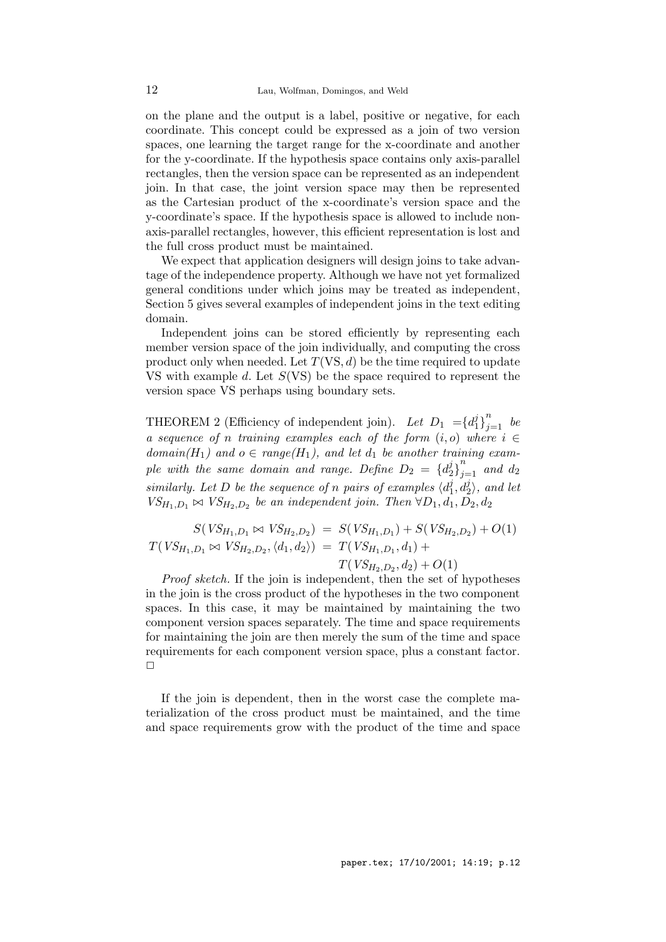on the plane and the output is a label, positive or negative, for each coordinate. This concept could be expressed as a join of two version spaces, one learning the target range for the x-coordinate and another for the y-coordinate. If the hypothesis space contains only axis-parallel rectangles, then the version space can be represented as an independent join. In that case, the joint version space may then be represented as the Cartesian product of the x-coordinate's version space and the y-coordinate's space. If the hypothesis space is allowed to include nonaxis-parallel rectangles, however, this efficient representation is lost and the full cross product must be maintained.

We expect that application designers will design joins to take advantage of the independence property. Although we have not yet formalized general conditions under which joins may be treated as independent, Section 5 gives several examples of independent joins in the text editing domain.

Independent joins can be stored efficiently by representing each member version space of the join individually, and computing the cross product only when needed. Let  $T(VS, d)$  be the time required to update VS with example d. Let  $S(VS)$  be the space required to represent the version space VS perhaps using boundary sets.

THEOREM 2 (Efficiency of independent join). Let  $D_1 = \{d_1^j\}$  $\left\{j \atop 1 \right\}_{j=1}^n$  be a sequence of n training examples each of the form  $(i, o)$  where  $i \in$  $domain(H_1)$  and  $o \in range(H_1)$ , and let  $d_1$  be another training example with the same domain and range. Define  $D_2 = \{d_2^j\}$  $\int_{2}^{j}$ <sub>2</sub>  $\int_{j=1}^{n}$  and  $d_2$ similarly. Let D be the sequence of n pairs of examples  $\langle d_1^j \rangle$  $\langle \phi_1^j, d_2^j \rangle$ , and let  $VS_{H_1,D_1} \bowtie VS_{H_2,D_2}$  be an independent join. Then  $\forall D_1, d_1, D_2, d_2$ 

 $S(VS_{H_1,D_1} \bowtie VS_{H_2,D_2}) = S(VS_{H_1,D_1}) + S(VS_{H_2,D_2}) + O(1)$  $T(VS_{H_1,D_1} \bowtie VS_{H_2,D_2}, \langle d_1, d_2 \rangle) = T(VS_{H_1,D_1}, d_1) +$  $T(VS_{H_2,D_2},d_2)+O(1)$ 

Proof sketch. If the join is independent, then the set of hypotheses in the join is the cross product of the hypotheses in the two component spaces. In this case, it may be maintained by maintaining the two component version spaces separately. The time and space requirements for maintaining the join are then merely the sum of the time and space requirements for each component version space, plus a constant factor.  $\Box$ 

If the join is dependent, then in the worst case the complete materialization of the cross product must be maintained, and the time and space requirements grow with the product of the time and space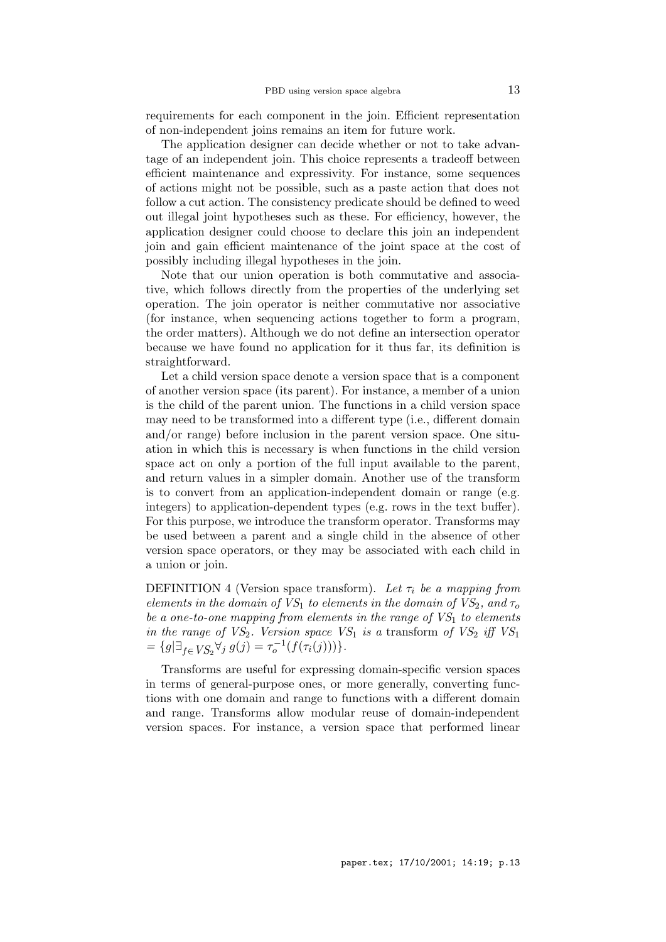requirements for each component in the join. Efficient representation of non-independent joins remains an item for future work.

The application designer can decide whether or not to take advantage of an independent join. This choice represents a tradeoff between efficient maintenance and expressivity. For instance, some sequences of actions might not be possible, such as a paste action that does not follow a cut action. The consistency predicate should be defined to weed out illegal joint hypotheses such as these. For efficiency, however, the application designer could choose to declare this join an independent join and gain efficient maintenance of the joint space at the cost of possibly including illegal hypotheses in the join.

Note that our union operation is both commutative and associative, which follows directly from the properties of the underlying set operation. The join operator is neither commutative nor associative (for instance, when sequencing actions together to form a program, the order matters). Although we do not define an intersection operator because we have found no application for it thus far, its definition is straightforward.

Let a child version space denote a version space that is a component of another version space (its parent). For instance, a member of a union is the child of the parent union. The functions in a child version space may need to be transformed into a different type (i.e., different domain and/or range) before inclusion in the parent version space. One situation in which this is necessary is when functions in the child version space act on only a portion of the full input available to the parent, and return values in a simpler domain. Another use of the transform is to convert from an application-independent domain or range (e.g. integers) to application-dependent types (e.g. rows in the text buffer). For this purpose, we introduce the transform operator. Transforms may be used between a parent and a single child in the absence of other version space operators, or they may be associated with each child in a union or join.

DEFINITION 4 (Version space transform). Let  $\tau_i$  be a mapping from elements in the domain of  $VS_1$  to elements in the domain of  $VS_2$ , and  $\tau_o$ be a one-to-one mapping from elements in the range of  $VS<sub>1</sub>$  to elements in the range of  $VS_2$ . Version space  $VS_1$  is a transform of  $VS_2$  iff  $VS_1$ =  $\{g | \exists_{f \in VS_2} \forall_j g(j) = \tau_o^{-1}(f(\tau_i(j)))\}.$ 

Transforms are useful for expressing domain-specific version spaces in terms of general-purpose ones, or more generally, converting functions with one domain and range to functions with a different domain and range. Transforms allow modular reuse of domain-independent version spaces. For instance, a version space that performed linear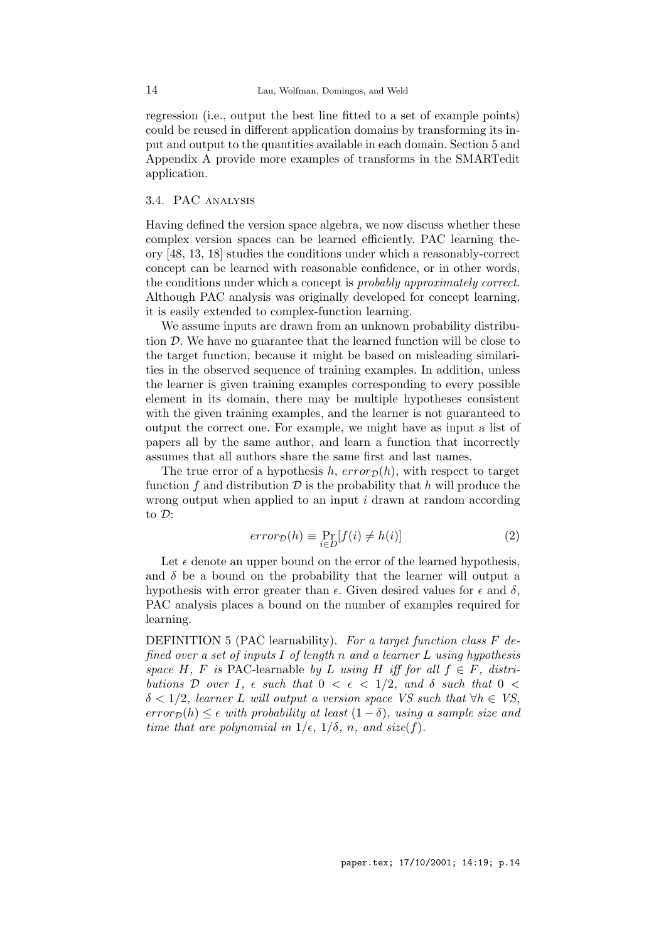regression (i.e., output the best line fitted to a set of example points) could be reused in different application domains by transforming its input and output to the quantities available in each domain. Section 5 and Appendix A provide more examples of transforms in the SMARTedit application.

# 3.4. PAC analysis

Having defined the version space algebra, we now discuss whether these complex version spaces can be learned efficiently. PAC learning theory [48, 13, 18] studies the conditions under which a reasonably-correct concept can be learned with reasonable confidence, or in other words, the conditions under which a concept is probably approximately correct. Although PAC analysis was originally developed for concept learning, it is easily extended to complex-function learning.

We assume inputs are drawn from an unknown probability distribution D. We have no guarantee that the learned function will be close to the target function, because it might be based on misleading similarities in the observed sequence of training examples. In addition, unless the learner is given training examples corresponding to every possible element in its domain, there may be multiple hypotheses consistent with the given training examples, and the learner is not guaranteed to output the correct one. For example, we might have as input a list of papers all by the same author, and learn a function that incorrectly assumes that all authors share the same first and last names.

The true error of a hypothesis h,  $error_{\mathcal{D}}(h)$ , with respect to target function f and distribution  $\mathcal D$  is the probability that h will produce the wrong output when applied to an input  $i$  drawn at random according to D:

$$
error_{\mathcal{D}}(h) \equiv \Pr_{i \in D} [f(i) \neq h(i)] \tag{2}
$$

Let  $\epsilon$  denote an upper bound on the error of the learned hypothesis, and  $\delta$  be a bound on the probability that the learner will output a hypothesis with error greater than  $\epsilon$ . Given desired values for  $\epsilon$  and  $\delta$ , PAC analysis places a bound on the number of examples required for learning.

DEFINITION 5 (PAC learnability). For a target function class  $F$  defined over a set of inputs I of length n and a learner L using hypothesis space H, F is PAC-learnable by L using H iff for all  $f \in F$ , distributions D over I,  $\epsilon$  such that  $0 < \epsilon < 1/2$ , and  $\delta$  such that  $0 <$  $\delta$  < 1/2, learner L will output a version space VS such that  $\forall h \in VS$ ,  $error_{\mathcal{D}}(h) \leq \epsilon$  with probability at least  $(1 - \delta)$ , using a sample size and time that are polynomial in  $1/\epsilon$ ,  $1/\delta$ , n, and size(f).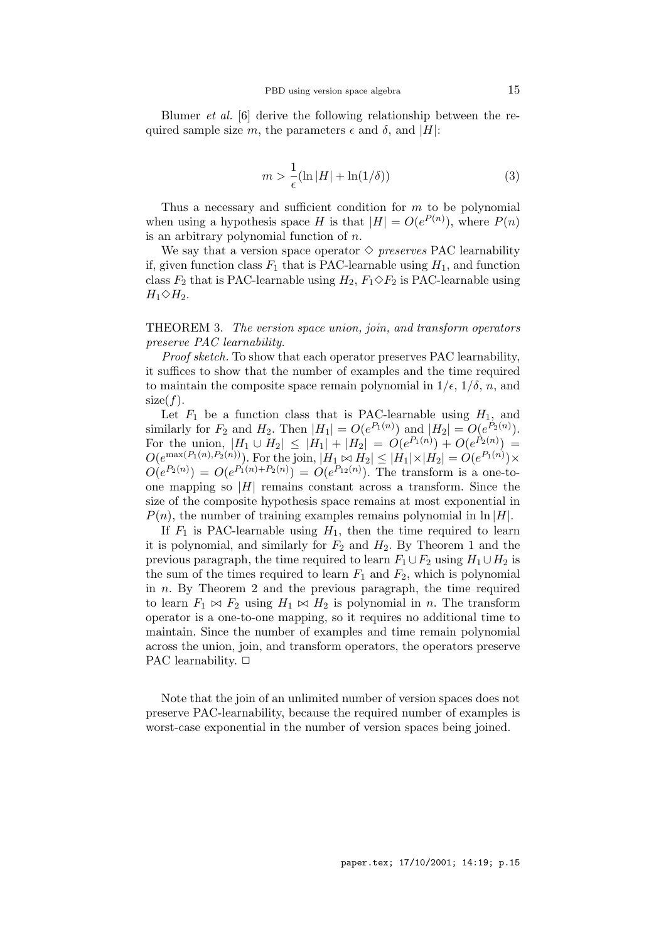Blumer et al. [6] derive the following relationship between the required sample size m, the parameters  $\epsilon$  and  $\delta$ , and |H|:

$$
m > \frac{1}{\epsilon} (\ln |H| + \ln(1/\delta))
$$
\n(3)

Thus a necessary and sufficient condition for  $m$  to be polynomial when using a hypothesis space H is that  $|H| = O(e^{P(n)})$ , where  $P(n)$ is an arbitrary polynomial function of  $n$ .

We say that a version space operator  $\Diamond$  preserves PAC learnability if, given function class  $F_1$  that is PAC-learnable using  $H_1$ , and function class  $F_2$  that is PAC-learnable using  $H_2$ ,  $F_1 \Diamond F_2$  is PAC-learnable using  $H_1 \diamond H_2$ .

THEOREM 3. The version space union, join, and transform operators preserve PAC learnability.

Proof sketch. To show that each operator preserves PAC learnability. it suffices to show that the number of examples and the time required to maintain the composite space remain polynomial in  $1/\epsilon$ ,  $1/\delta$ , n, and  $size(f).$ 

Let  $F_1$  be a function class that is PAC-learnable using  $H_1$ , and similarly for  $F_2$  and  $H_2$ . Then  $|H_1| = O(e^{P_1(n)})$  and  $|H_2| = O(e^{P_2(n)})$ . For the union,  $|H_1 \cup H_2| \leq |H_1| + |H_2| = O(e^{P_1(n)}) + O(e^{P_2(n)}) =$  $O(e^{\max(P_1(n), P_2(n))})$ . For the join,  $|H_1 \bowtie H_2| \leq |H_1| \times |H_2| = O(e^{P_1(n)}) \times$  $O(e^{P_2(n)}) = O(e^{P_1(n)+P_2(n)}) = O(e^{P_{12}(n)})$ . The transform is a one-toone mapping so  $|H|$  remains constant across a transform. Since the size of the composite hypothesis space remains at most exponential in  $P(n)$ , the number of training examples remains polynomial in  $\ln |H|$ .

If  $F_1$  is PAC-learnable using  $H_1$ , then the time required to learn it is polynomial, and similarly for  $F_2$  and  $H_2$ . By Theorem 1 and the previous paragraph, the time required to learn  $F_1 \cup F_2$  using  $H_1 \cup H_2$  is the sum of the times required to learn  $F_1$  and  $F_2$ , which is polynomial in  $n$ . By Theorem 2 and the previous paragraph, the time required to learn  $F_1 \bowtie F_2$  using  $H_1 \bowtie H_2$  is polynomial in n. The transform operator is a one-to-one mapping, so it requires no additional time to maintain. Since the number of examples and time remain polynomial across the union, join, and transform operators, the operators preserve PAC learnability.  $\Box$ 

Note that the join of an unlimited number of version spaces does not preserve PAC-learnability, because the required number of examples is worst-case exponential in the number of version spaces being joined.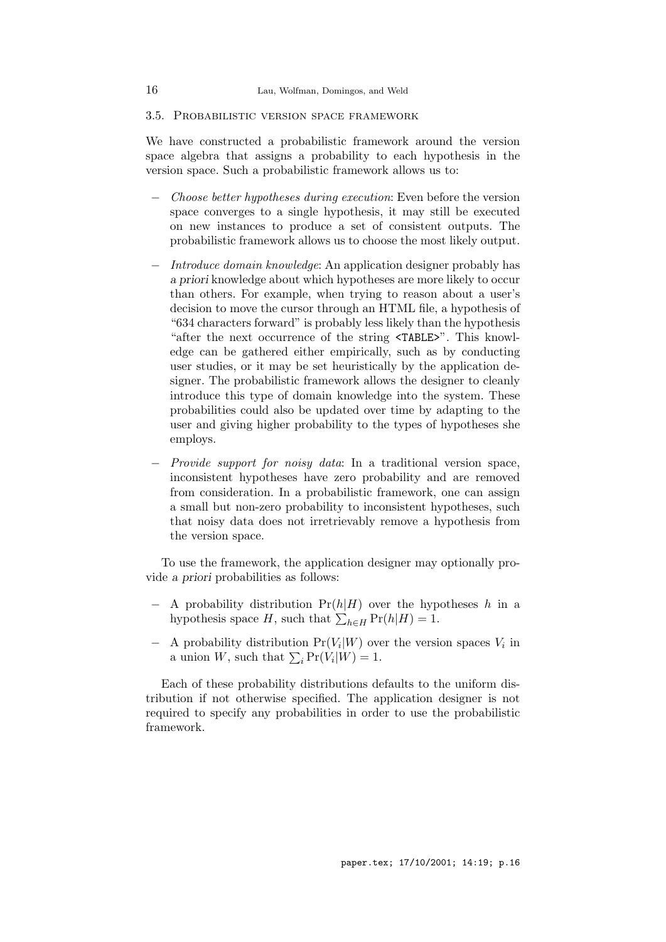## 3.5. Probabilistic version space framework

We have constructed a probabilistic framework around the version space algebra that assigns a probability to each hypothesis in the version space. Such a probabilistic framework allows us to:

- Choose better hypotheses during execution: Even before the version space converges to a single hypothesis, it may still be executed on new instances to produce a set of consistent outputs. The probabilistic framework allows us to choose the most likely output.
- *Introduce domain knowledge*: An application designer probably has a priori knowledge about which hypotheses are more likely to occur than others. For example, when trying to reason about a user's decision to move the cursor through an HTML file, a hypothesis of "634 characters forward" is probably less likely than the hypothesis "after the next occurrence of the string <TABLE>". This knowledge can be gathered either empirically, such as by conducting user studies, or it may be set heuristically by the application designer. The probabilistic framework allows the designer to cleanly introduce this type of domain knowledge into the system. These probabilities could also be updated over time by adapting to the user and giving higher probability to the types of hypotheses she employs.
- − Provide support for noisy data: In a traditional version space, inconsistent hypotheses have zero probability and are removed from consideration. In a probabilistic framework, one can assign a small but non-zero probability to inconsistent hypotheses, such that noisy data does not irretrievably remove a hypothesis from the version space.

To use the framework, the application designer may optionally provide a priori probabilities as follows:

- $-$  A probability distribution  $Pr(h|H)$  over the hypotheses h in a hypothesis space  $H$ , such that  $\sum_{h\in H} \Pr(h|H) = 1$ .
- $-$  A probability distribution Pr( $V_i|W$ ) over the version spaces  $V_i$  in a union W, such that  $\sum_i \Pr(V_i|W) = 1$ .

Each of these probability distributions defaults to the uniform distribution if not otherwise specified. The application designer is not required to specify any probabilities in order to use the probabilistic framework.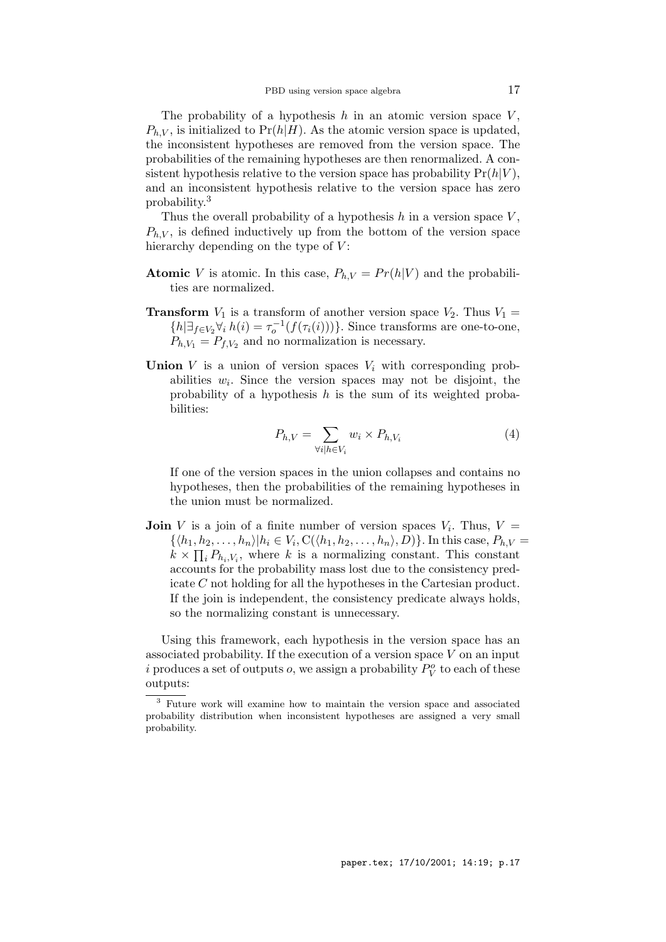The probability of a hypothesis  $h$  in an atomic version space  $V$ ,  $P_{h,V}$ , is initialized to  $Pr(h|H)$ . As the atomic version space is updated, the inconsistent hypotheses are removed from the version space. The probabilities of the remaining hypotheses are then renormalized. A consistent hypothesis relative to the version space has probability  $Pr(h|V)$ , and an inconsistent hypothesis relative to the version space has zero probability.<sup>3</sup>

Thus the overall probability of a hypothesis  $h$  in a version space  $V$ .  $P_{h,V}$ , is defined inductively up from the bottom of the version space hierarchy depending on the type of  $V$ :

- **Atomic** V is atomic. In this case,  $P_{h,V} = Pr(h|V)$  and the probabilities are normalized.
- **Transform**  $V_1$  is a transform of another version space  $V_2$ . Thus  $V_1$  =  $\{h|\exists_{f\in V_2}\forall_i h(i)=\tau_o^{-1}(f(\tau_i(i)))\}$ . Since transforms are one-to-one,  $P_{h, V_1} = P_{f, V_2}$  and no normalization is necessary.
- Union V is a union of version spaces  $V_i$  with corresponding probabilities  $w_i$ . Since the version spaces may not be disjoint, the probability of a hypothesis  $h$  is the sum of its weighted probabilities:

$$
P_{h,V} = \sum_{\forall i \mid h \in V_i} w_i \times P_{h,V_i} \tag{4}
$$

If one of the version spaces in the union collapses and contains no hypotheses, then the probabilities of the remaining hypotheses in the union must be normalized.

**Join** V is a join of a finite number of version spaces  $V_i$ . Thus,  $V =$  $\{\langle h_1, h_2, \ldots, h_n \rangle | h_i \in V_i, C(\langle h_1, h_2, \ldots, h_n \rangle, D) \}.$  In this case,  $P_{h,V}$  $k \times \prod_i P_{h_i, V_i}$ , where k is a normalizing constant. This constant accounts for the probability mass lost due to the consistency predicate C not holding for all the hypotheses in the Cartesian product. If the join is independent, the consistency predicate always holds, so the normalizing constant is unnecessary.

Using this framework, each hypothesis in the version space has an associated probability. If the execution of a version space  $V$  on an input i produces a set of outputs  $o$ , we assign a probability  $P_V^o$  to each of these outputs:

<sup>3</sup> Future work will examine how to maintain the version space and associated probability distribution when inconsistent hypotheses are assigned a very small probability.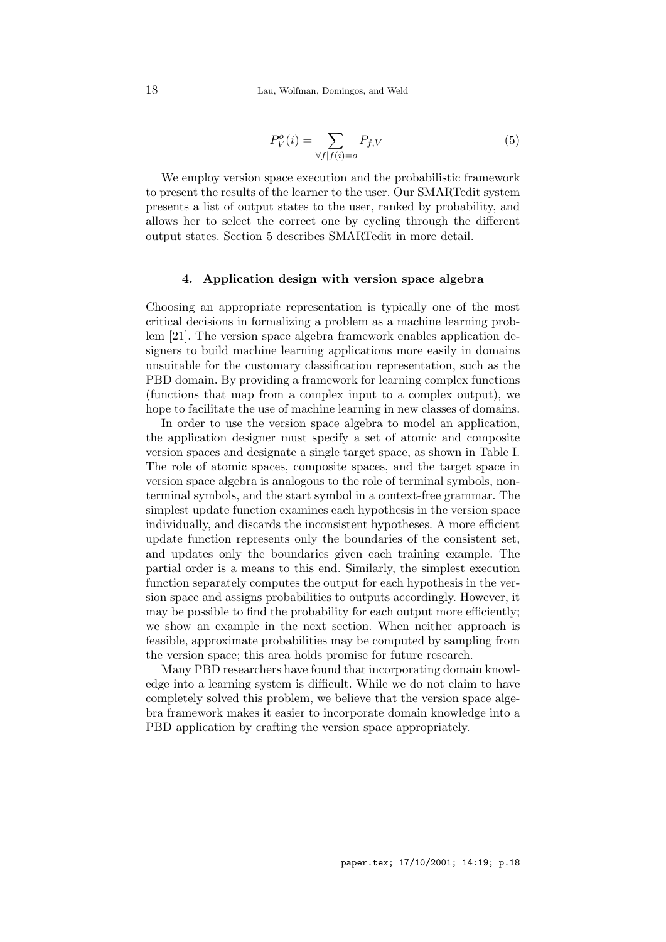$$
P_V^o(i) = \sum_{\forall f \mid f(i) = o} P_{f,V} \tag{5}
$$

We employ version space execution and the probabilistic framework to present the results of the learner to the user. Our SMARTedit system presents a list of output states to the user, ranked by probability, and allows her to select the correct one by cycling through the different output states. Section 5 describes SMARTedit in more detail.

#### 4. Application design with version space algebra

Choosing an appropriate representation is typically one of the most critical decisions in formalizing a problem as a machine learning problem [21]. The version space algebra framework enables application designers to build machine learning applications more easily in domains unsuitable for the customary classification representation, such as the PBD domain. By providing a framework for learning complex functions (functions that map from a complex input to a complex output), we hope to facilitate the use of machine learning in new classes of domains.

In order to use the version space algebra to model an application. the application designer must specify a set of atomic and composite version spaces and designate a single target space, as shown in Table I. The role of atomic spaces, composite spaces, and the target space in version space algebra is analogous to the role of terminal symbols, nonterminal symbols, and the start symbol in a context-free grammar. The simplest update function examines each hypothesis in the version space individually, and discards the inconsistent hypotheses. A more efficient update function represents only the boundaries of the consistent set, and updates only the boundaries given each training example. The partial order is a means to this end. Similarly, the simplest execution function separately computes the output for each hypothesis in the version space and assigns probabilities to outputs accordingly. However, it may be possible to find the probability for each output more efficiently; we show an example in the next section. When neither approach is feasible, approximate probabilities may be computed by sampling from the version space; this area holds promise for future research.

Many PBD researchers have found that incorporating domain knowledge into a learning system is difficult. While we do not claim to have completely solved this problem, we believe that the version space algebra framework makes it easier to incorporate domain knowledge into a PBD application by crafting the version space appropriately.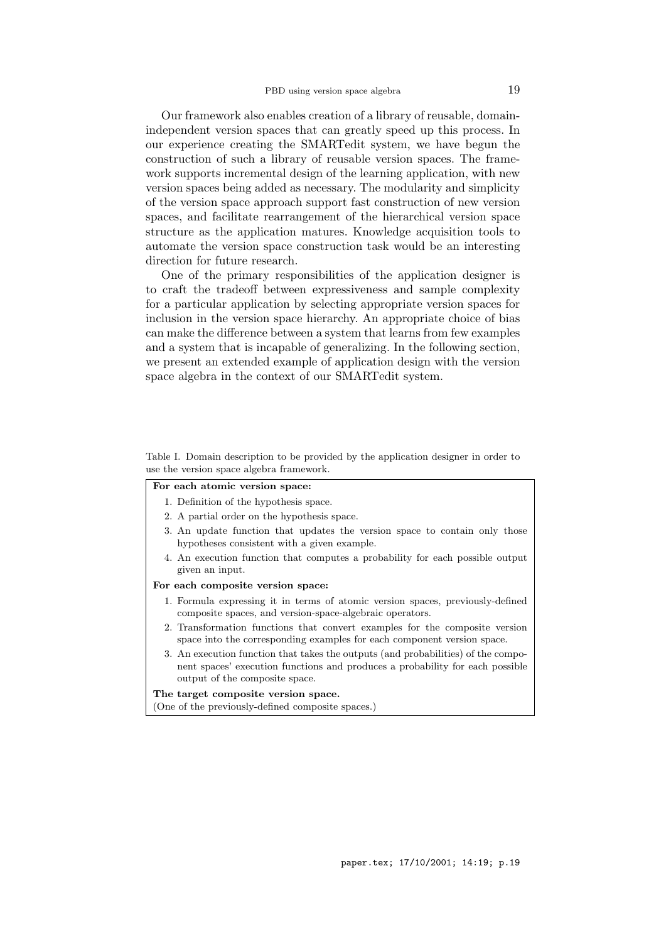Our framework also enables creation of a library of reusable, domainindependent version spaces that can greatly speed up this process. In our experience creating the SMARTedit system, we have begun the construction of such a library of reusable version spaces. The framework supports incremental design of the learning application, with new version spaces being added as necessary. The modularity and simplicity of the version space approach support fast construction of new version spaces, and facilitate rearrangement of the hierarchical version space structure as the application matures. Knowledge acquisition tools to automate the version space construction task would be an interesting direction for future research.

One of the primary responsibilities of the application designer is to craft the tradeoff between expressiveness and sample complexity for a particular application by selecting appropriate version spaces for inclusion in the version space hierarchy. An appropriate choice of bias can make the difference between a system that learns from few examples and a system that is incapable of generalizing. In the following section, we present an extended example of application design with the version space algebra in the context of our SMARTedit system.

Table I. Domain description to be provided by the application designer in order to use the version space algebra framework.

#### For each atomic version space:

- 1. Definition of the hypothesis space.
- 2. A partial order on the hypothesis space.
- 3. An update function that updates the version space to contain only those hypotheses consistent with a given example.
- 4. An execution function that computes a probability for each possible output given an input.

#### For each composite version space:

- 1. Formula expressing it in terms of atomic version spaces, previously-defined composite spaces, and version-space-algebraic operators.
- 2. Transformation functions that convert examples for the composite version space into the corresponding examples for each component version space.
- 3. An execution function that takes the outputs (and probabilities) of the component spaces' execution functions and produces a probability for each possible output of the composite space.

The target composite version space.

(One of the previously-defined composite spaces.)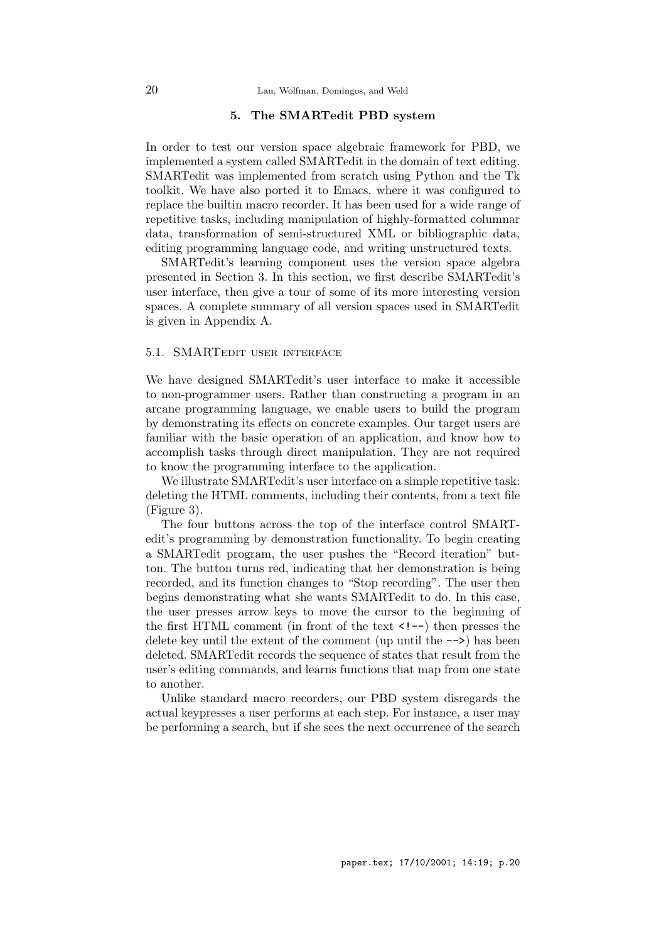# 5. The SMARTedit PBD system

In order to test our version space algebraic framework for PBD, we implemented a system called SMARTedit in the domain of text editing. SMARTedit was implemented from scratch using Python and the Tk toolkit. We have also ported it to Emacs, where it was configured to replace the builtin macro recorder. It has been used for a wide range of repetitive tasks, including manipulation of highly-formatted columnar data, transformation of semi-structured XML or bibliographic data, editing programming language code, and writing unstructured texts.

SMARTedit's learning component uses the version space algebra presented in Section 3. In this section, we first describe SMARTedit's user interface, then give a tour of some of its more interesting version spaces. A complete summary of all version spaces used in SMARTedit is given in Appendix A.

## 5.1. SMARTedit user interface

We have designed SMARTedit's user interface to make it accessible to non-programmer users. Rather than constructing a program in an arcane programming language, we enable users to build the program by demonstrating its effects on concrete examples. Our target users are familiar with the basic operation of an application, and know how to accomplish tasks through direct manipulation. They are not required to know the programming interface to the application.

We illustrate SMARTedit's user interface on a simple repetitive task: deleting the HTML comments, including their contents, from a text file (Figure 3).

The four buttons across the top of the interface control SMARTedit's programming by demonstration functionality. To begin creating a SMARTedit program, the user pushes the "Record iteration" button. The button turns red, indicating that her demonstration is being recorded, and its function changes to "Stop recording". The user then begins demonstrating what she wants SMARTedit to do. In this case, the user presses arrow keys to move the cursor to the beginning of the first HTML comment (in front of the text <!--) then presses the delete key until the extent of the comment (up until the -->) has been deleted. SMARTedit records the sequence of states that result from the user's editing commands, and learns functions that map from one state to another.

Unlike standard macro recorders, our PBD system disregards the actual keypresses a user performs at each step. For instance, a user may be performing a search, but if she sees the next occurrence of the search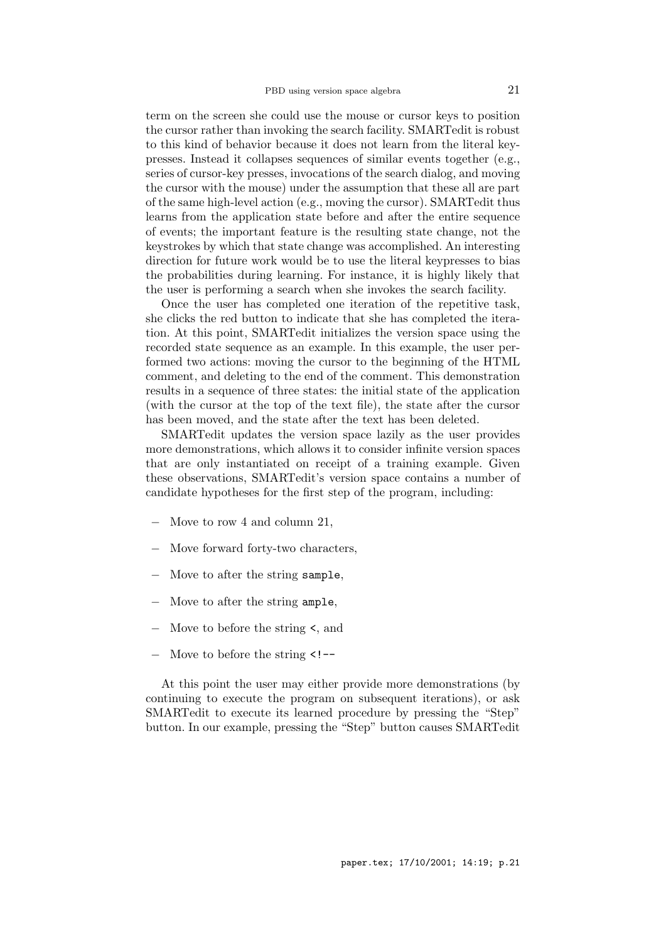term on the screen she could use the mouse or cursor keys to position the cursor rather than invoking the search facility. SMARTedit is robust to this kind of behavior because it does not learn from the literal keypresses. Instead it collapses sequences of similar events together (e.g., series of cursor-key presses, invocations of the search dialog, and moving the cursor with the mouse) under the assumption that these all are part of the same high-level action (e.g., moving the cursor). SMARTedit thus learns from the application state before and after the entire sequence of events; the important feature is the resulting state change, not the keystrokes by which that state change was accomplished. An interesting direction for future work would be to use the literal keypresses to bias the probabilities during learning. For instance, it is highly likely that the user is performing a search when she invokes the search facility.

Once the user has completed one iteration of the repetitive task, she clicks the red button to indicate that she has completed the iteration. At this point, SMARTedit initializes the version space using the recorded state sequence as an example. In this example, the user performed two actions: moving the cursor to the beginning of the HTML comment, and deleting to the end of the comment. This demonstration results in a sequence of three states: the initial state of the application (with the cursor at the top of the text file), the state after the cursor has been moved, and the state after the text has been deleted.

SMARTedit updates the version space lazily as the user provides more demonstrations, which allows it to consider infinite version spaces that are only instantiated on receipt of a training example. Given these observations, SMARTedit's version space contains a number of candidate hypotheses for the first step of the program, including:

- − Move to row 4 and column 21,
- Move forward forty-two characters,
- − Move to after the string sample,
- − Move to after the string ample,
- − Move to before the string <, and
- − Move to before the string <!--

At this point the user may either provide more demonstrations (by continuing to execute the program on subsequent iterations), or ask SMARTedit to execute its learned procedure by pressing the "Step" button. In our example, pressing the "Step" button causes SMARTedit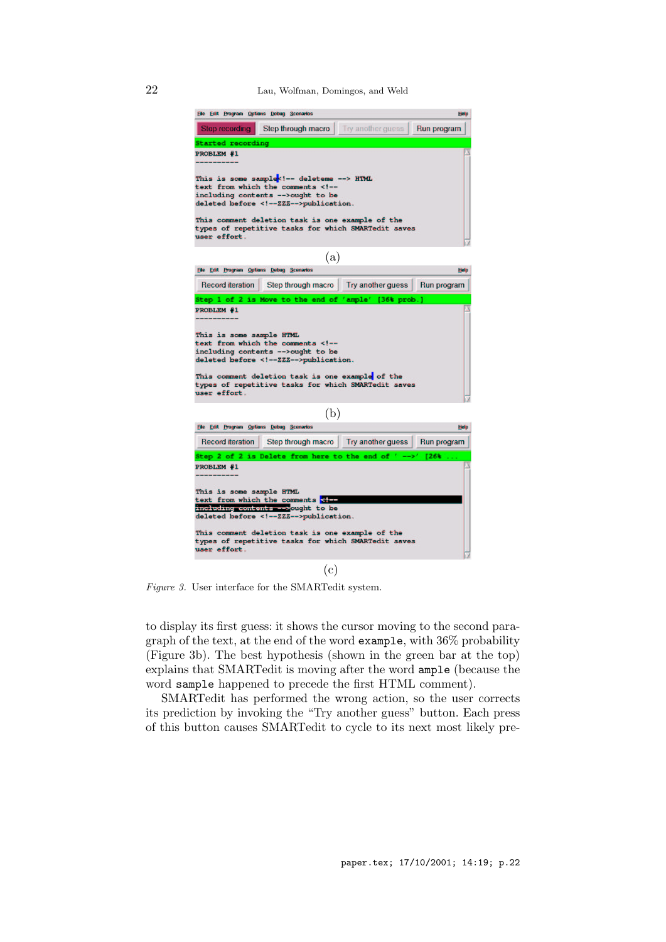22 Lau, Wolfman, Domingos, and Weld



(c)

Figure 3. User interface for the SMARTedit system.

to display its first guess: it shows the cursor moving to the second paragraph of the text, at the end of the word example, with 36% probability (Figure 3b). The best hypothesis (shown in the green bar at the top) explains that SMARTedit is moving after the word ample (because the word sample happened to precede the first HTML comment).

SMARTedit has performed the wrong action, so the user corrects its prediction by invoking the "Try another guess" button. Each press of this button causes SMARTedit to cycle to its next most likely pre-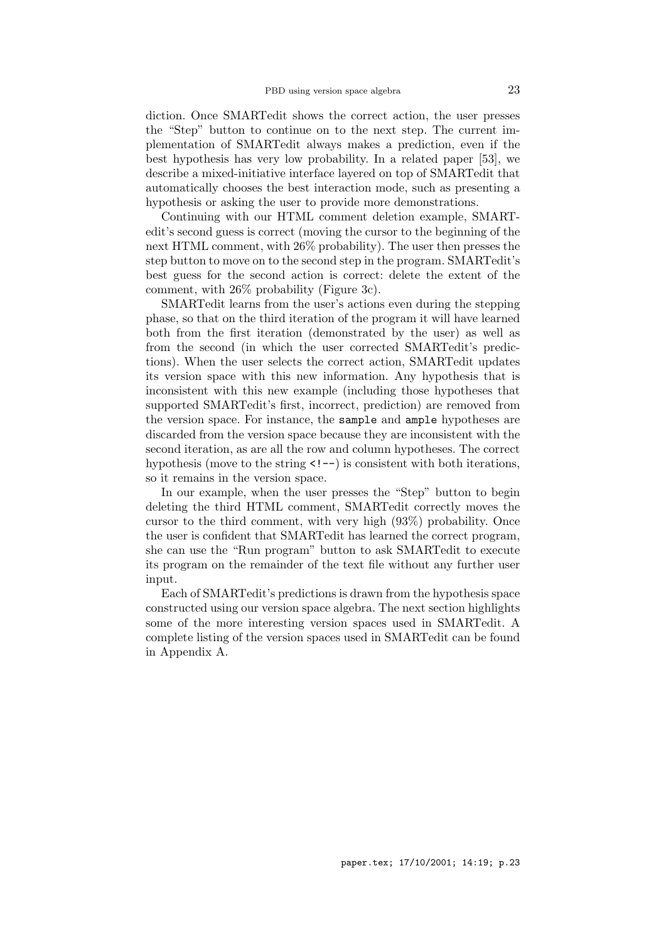diction. Once SMARTedit shows the correct action, the user presses the "Step" button to continue on to the next step. The current implementation of SMARTedit always makes a prediction, even if the best hypothesis has very low probability. In a related paper [53], we describe a mixed-initiative interface layered on top of SMARTedit that automatically chooses the best interaction mode, such as presenting a hypothesis or asking the user to provide more demonstrations.

Continuing with our HTML comment deletion example, SMARTedit's second guess is correct (moving the cursor to the beginning of the next HTML comment, with 26% probability). The user then presses the step button to move on to the second step in the program. SMARTedit's best guess for the second action is correct: delete the extent of the comment, with 26% probability (Figure 3c).

SMARTedit learns from the user's actions even during the stepping phase, so that on the third iteration of the program it will have learned both from the first iteration (demonstrated by the user) as well as from the second (in which the user corrected SMARTedit's predictions). When the user selects the correct action, SMARTedit updates its version space with this new information. Any hypothesis that is inconsistent with this new example (including those hypotheses that supported SMARTedit's first, incorrect, prediction) are removed from the version space. For instance, the sample and ample hypotheses are discarded from the version space because they are inconsistent with the second iteration, as are all the row and column hypotheses. The correct hypothesis (move to the string  $\langle -\rangle$ ) is consistent with both iterations, so it remains in the version space.

In our example, when the user presses the "Step" button to begin deleting the third HTML comment, SMARTedit correctly moves the cursor to the third comment, with very high (93%) probability. Once the user is confident that SMARTedit has learned the correct program, she can use the "Run program" button to ask SMARTedit to execute its program on the remainder of the text file without any further user input.

Each of SMARTedit's predictions is drawn from the hypothesis space constructed using our version space algebra. The next section highlights some of the more interesting version spaces used in SMARTedit. A complete listing of the version spaces used in SMARTedit can be found in Appendix A.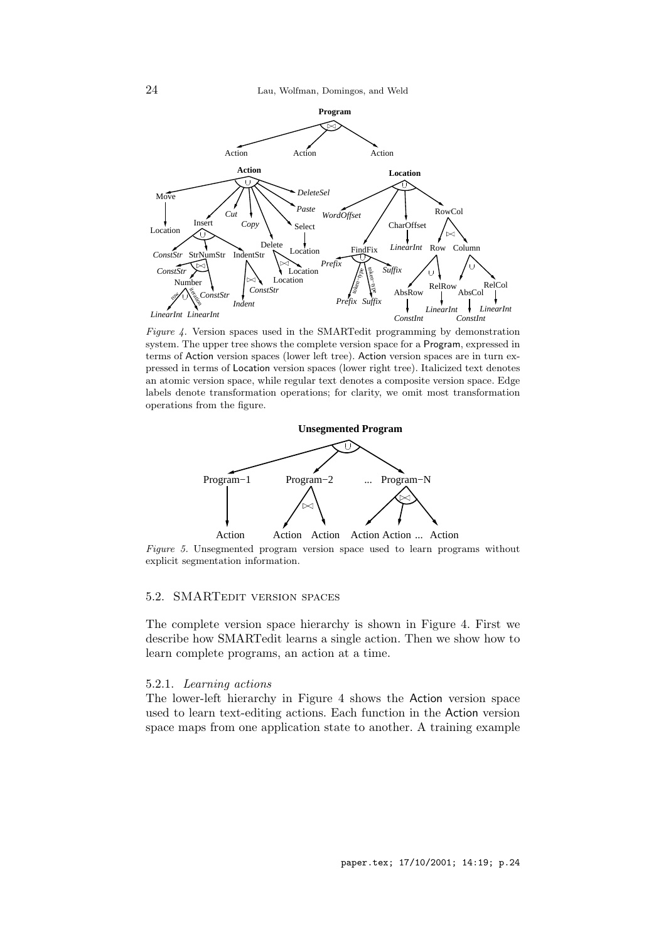

Figure 4. Version spaces used in the SMARTedit programming by demonstration system. The upper tree shows the complete version space for a Program, expressed in terms of Action version spaces (lower left tree). Action version spaces are in turn expressed in terms of Location version spaces (lower right tree). Italicized text denotes an atomic version space, while regular text denotes a composite version space. Edge labels denote transformation operations; for clarity, we omit most transformation operations from the figure.



Figure 5. Unsegmented program version space used to learn programs without explicit segmentation information.

## 5.2. SMARTedit version spaces

The complete version space hierarchy is shown in Figure 4. First we describe how SMARTedit learns a single action. Then we show how to learn complete programs, an action at a time.

# 5.2.1. Learning actions

The lower-left hierarchy in Figure 4 shows the Action version space used to learn text-editing actions. Each function in the Action version space maps from one application state to another. A training example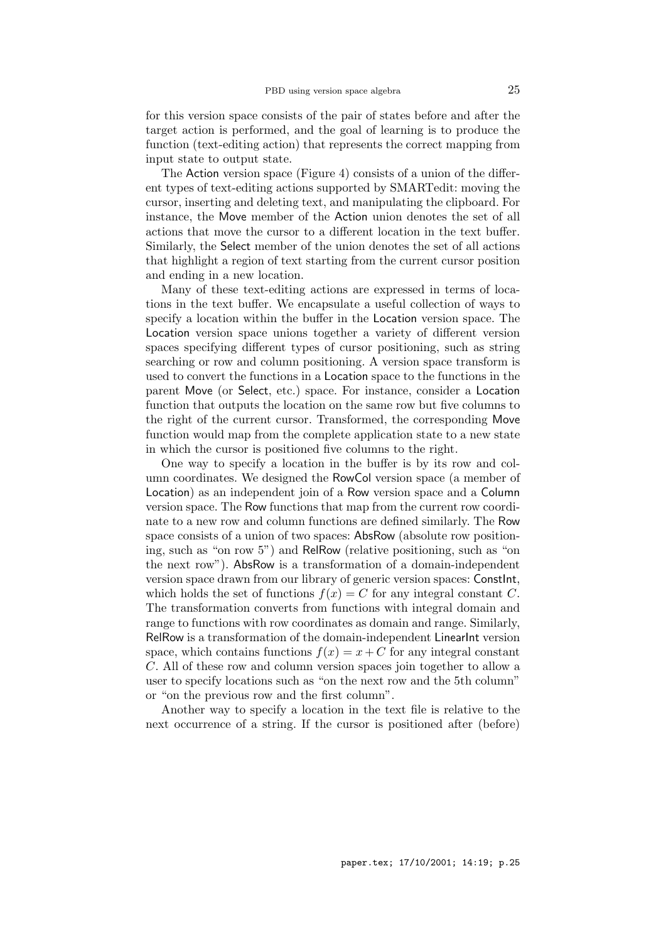for this version space consists of the pair of states before and after the target action is performed, and the goal of learning is to produce the function (text-editing action) that represents the correct mapping from input state to output state.

The Action version space (Figure 4) consists of a union of the different types of text-editing actions supported by SMARTedit: moving the cursor, inserting and deleting text, and manipulating the clipboard. For instance, the Move member of the Action union denotes the set of all actions that move the cursor to a different location in the text buffer. Similarly, the Select member of the union denotes the set of all actions that highlight a region of text starting from the current cursor position and ending in a new location.

Many of these text-editing actions are expressed in terms of locations in the text buffer. We encapsulate a useful collection of ways to specify a location within the buffer in the Location version space. The Location version space unions together a variety of different version spaces specifying different types of cursor positioning, such as string searching or row and column positioning. A version space transform is used to convert the functions in a Location space to the functions in the parent Move (or Select, etc.) space. For instance, consider a Location function that outputs the location on the same row but five columns to the right of the current cursor. Transformed, the corresponding Move function would map from the complete application state to a new state in which the cursor is positioned five columns to the right.

One way to specify a location in the buffer is by its row and column coordinates. We designed the RowCol version space (a member of Location) as an independent join of a Row version space and a Column version space. The Row functions that map from the current row coordinate to a new row and column functions are defined similarly. The Row space consists of a union of two spaces: AbsRow (absolute row positioning, such as "on row 5") and RelRow (relative positioning, such as "on the next row"). AbsRow is a transformation of a domain-independent version space drawn from our library of generic version spaces: ConstInt, which holds the set of functions  $f(x) = C$  for any integral constant C. The transformation converts from functions with integral domain and range to functions with row coordinates as domain and range. Similarly, RelRow is a transformation of the domain-independent LinearInt version space, which contains functions  $f(x) = x + C$  for any integral constant C. All of these row and column version spaces join together to allow a user to specify locations such as "on the next row and the 5th column" or "on the previous row and the first column".

Another way to specify a location in the text file is relative to the next occurrence of a string. If the cursor is positioned after (before)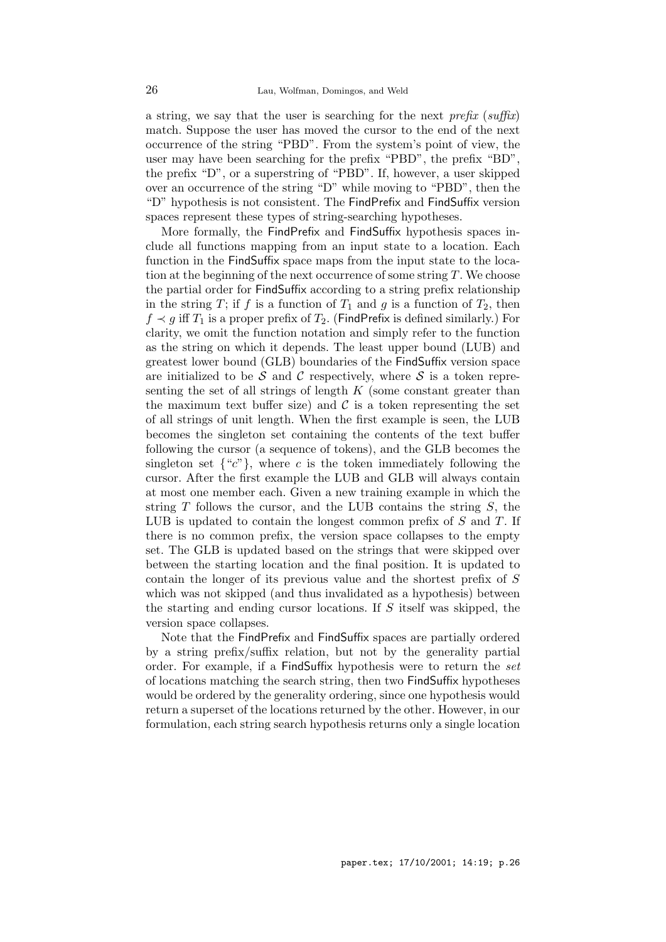a string, we say that the user is searching for the next prefix  $(suffix)$ match. Suppose the user has moved the cursor to the end of the next occurrence of the string "PBD". From the system's point of view, the user may have been searching for the prefix "PBD", the prefix "BD", the prefix "D", or a superstring of "PBD". If, however, a user skipped over an occurrence of the string "D" while moving to "PBD", then the "D" hypothesis is not consistent. The FindPrefix and FindSuffix version spaces represent these types of string-searching hypotheses.

More formally, the FindPrefix and FindSuffix hypothesis spaces include all functions mapping from an input state to a location. Each function in the FindSuffix space maps from the input state to the location at the beginning of the next occurrence of some string  $T$ . We choose the partial order for FindSuffix according to a string prefix relationship in the string T; if f is a function of  $T_1$  and g is a function of  $T_2$ , then  $f \prec g$  iff  $T_1$  is a proper prefix of  $T_2$ . (FindPrefix is defined similarly.) For clarity, we omit the function notation and simply refer to the function as the string on which it depends. The least upper bound (LUB) and greatest lower bound (GLB) boundaries of the FindSuffix version space are initialized to be S and C respectively, where S is a token representing the set of all strings of length  $K$  (some constant greater than the maximum text buffer size) and  $\mathcal C$  is a token representing the set of all strings of unit length. When the first example is seen, the LUB becomes the singleton set containing the contents of the text buffer following the cursor (a sequence of tokens), and the GLB becomes the singleton set  $\{x^{\omega}\}\$ , where c is the token immediately following the cursor. After the first example the LUB and GLB will always contain at most one member each. Given a new training example in which the string  $T$  follows the cursor, and the LUB contains the string  $S$ , the LUB is updated to contain the longest common prefix of  $S$  and  $T$ . If there is no common prefix, the version space collapses to the empty set. The GLB is updated based on the strings that were skipped over between the starting location and the final position. It is updated to contain the longer of its previous value and the shortest prefix of S which was not skipped (and thus invalidated as a hypothesis) between the starting and ending cursor locations. If  $S$  itself was skipped, the version space collapses.

Note that the FindPrefix and FindSuffix spaces are partially ordered by a string prefix/suffix relation, but not by the generality partial order. For example, if a FindSuffix hypothesis were to return the set of locations matching the search string, then two FindSuffix hypotheses would be ordered by the generality ordering, since one hypothesis would return a superset of the locations returned by the other. However, in our formulation, each string search hypothesis returns only a single location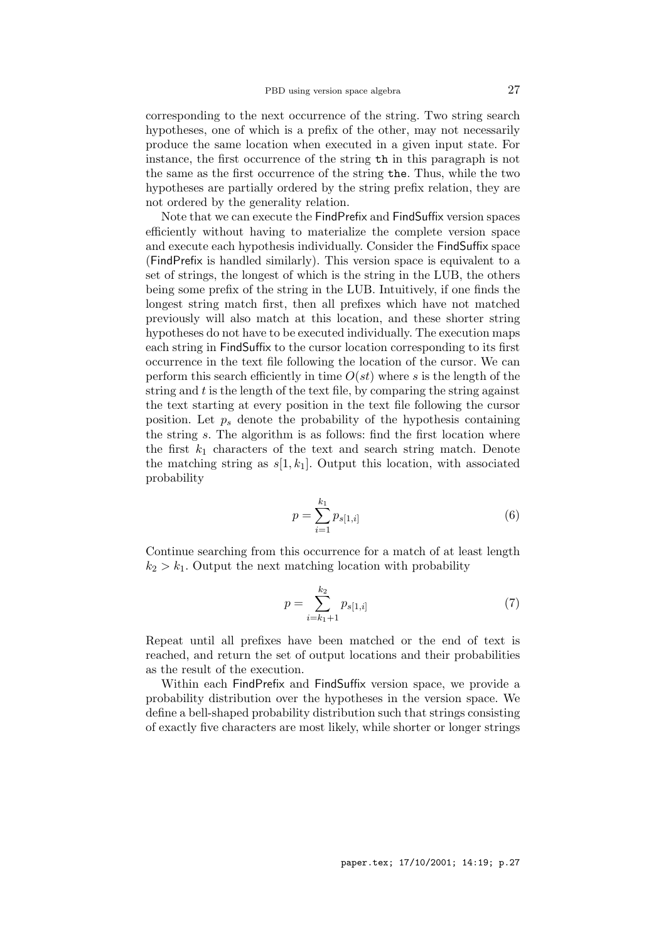corresponding to the next occurrence of the string. Two string search hypotheses, one of which is a prefix of the other, may not necessarily produce the same location when executed in a given input state. For instance, the first occurrence of the string th in this paragraph is not the same as the first occurrence of the string the. Thus, while the two hypotheses are partially ordered by the string prefix relation, they are not ordered by the generality relation.

Note that we can execute the FindPrefix and FindSuffix version spaces efficiently without having to materialize the complete version space and execute each hypothesis individually. Consider the FindSuffix space (FindPrefix is handled similarly). This version space is equivalent to a set of strings, the longest of which is the string in the LUB, the others being some prefix of the string in the LUB. Intuitively, if one finds the longest string match first, then all prefixes which have not matched previously will also match at this location, and these shorter string hypotheses do not have to be executed individually. The execution maps each string in FindSuffix to the cursor location corresponding to its first occurrence in the text file following the location of the cursor. We can perform this search efficiently in time  $O(st)$  where s is the length of the string and  $t$  is the length of the text file, by comparing the string against the text starting at every position in the text file following the cursor position. Let  $p_s$  denote the probability of the hypothesis containing the string s. The algorithm is as follows: find the first location where the first  $k_1$  characters of the text and search string match. Denote the matching string as  $s[1, k_1]$ . Output this location, with associated probability

$$
p = \sum_{i=1}^{k_1} p_{s[1,i]}
$$
 (6)

Continue searching from this occurrence for a match of at least length  $k_2 > k_1$ . Output the next matching location with probability

$$
p = \sum_{i=k_1+1}^{k_2} p_{s[1,i]}
$$
 (7)

Repeat until all prefixes have been matched or the end of text is reached, and return the set of output locations and their probabilities as the result of the execution.

Within each FindPrefix and FindSuffix version space, we provide a probability distribution over the hypotheses in the version space. We define a bell-shaped probability distribution such that strings consisting of exactly five characters are most likely, while shorter or longer strings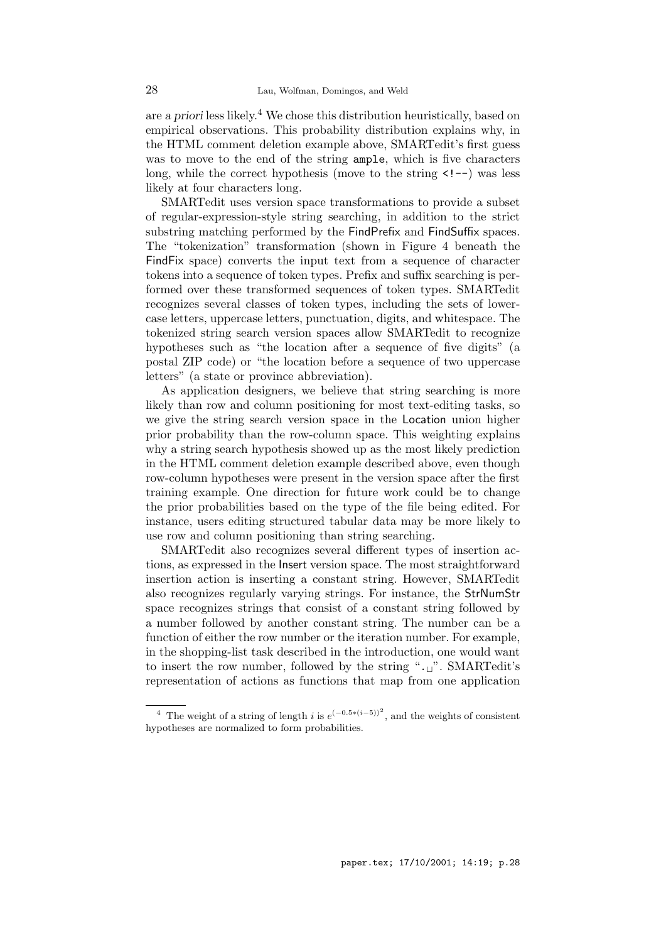are a priori less likely.<sup>4</sup> We chose this distribution heuristically, based on empirical observations. This probability distribution explains why, in the HTML comment deletion example above, SMARTedit's first guess was to move to the end of the string ample, which is five characters long, while the correct hypothesis (move to the string  $\langle$ !--) was less likely at four characters long.

SMARTedit uses version space transformations to provide a subset of regular-expression-style string searching, in addition to the strict substring matching performed by the FindPrefix and FindSuffix spaces. The "tokenization" transformation (shown in Figure 4 beneath the FindFix space) converts the input text from a sequence of character tokens into a sequence of token types. Prefix and suffix searching is performed over these transformed sequences of token types. SMARTedit recognizes several classes of token types, including the sets of lowercase letters, uppercase letters, punctuation, digits, and whitespace. The tokenized string search version spaces allow SMARTedit to recognize hypotheses such as "the location after a sequence of five digits" (a postal ZIP code) or "the location before a sequence of two uppercase letters" (a state or province abbreviation).

As application designers, we believe that string searching is more likely than row and column positioning for most text-editing tasks, so we give the string search version space in the Location union higher prior probability than the row-column space. This weighting explains why a string search hypothesis showed up as the most likely prediction in the HTML comment deletion example described above, even though row-column hypotheses were present in the version space after the first training example. One direction for future work could be to change the prior probabilities based on the type of the file being edited. For instance, users editing structured tabular data may be more likely to use row and column positioning than string searching.

SMARTedit also recognizes several different types of insertion actions, as expressed in the Insert version space. The most straightforward insertion action is inserting a constant string. However, SMARTedit also recognizes regularly varying strings. For instance, the StrNumStr space recognizes strings that consist of a constant string followed by a number followed by another constant string. The number can be a function of either the row number or the iteration number. For example, in the shopping-list task described in the introduction, one would want to insert the row number, followed by the string " $\cdot \Box$ ". SMARTedit's representation of actions as functions that map from one application

<sup>&</sup>lt;sup>4</sup> The weight of a string of length i is  $e^{(-0.5*(i-5))^2}$ , and the weights of consistent hypotheses are normalized to form probabilities.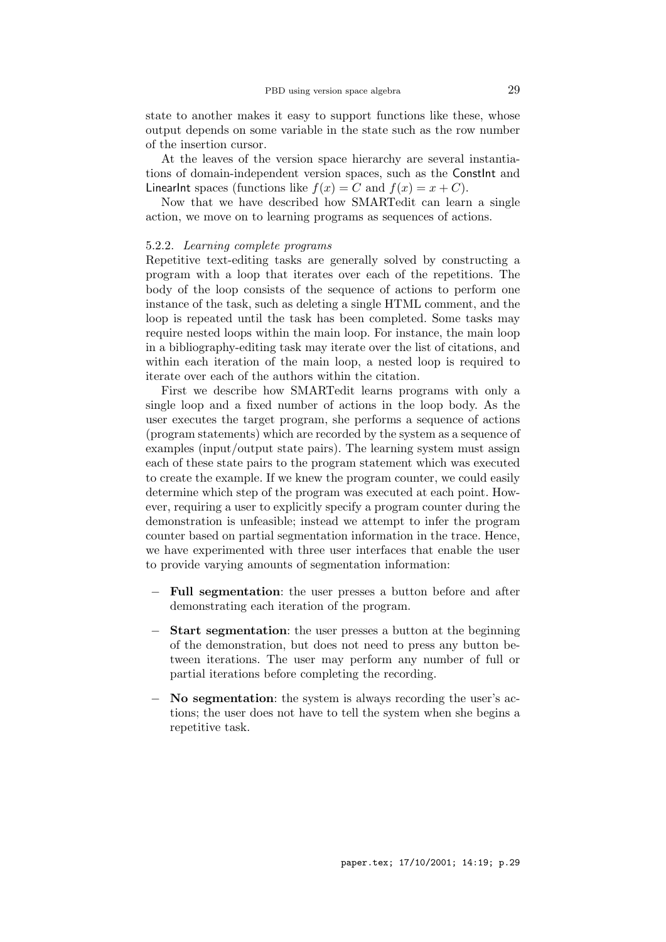state to another makes it easy to support functions like these, whose output depends on some variable in the state such as the row number of the insertion cursor.

At the leaves of the version space hierarchy are several instantiations of domain-independent version spaces, such as the ConstInt and LinearInt spaces (functions like  $f(x) = C$  and  $f(x) = x + C$ ).

Now that we have described how SMARTedit can learn a single action, we move on to learning programs as sequences of actions.

#### 5.2.2. Learning complete programs

Repetitive text-editing tasks are generally solved by constructing a program with a loop that iterates over each of the repetitions. The body of the loop consists of the sequence of actions to perform one instance of the task, such as deleting a single HTML comment, and the loop is repeated until the task has been completed. Some tasks may require nested loops within the main loop. For instance, the main loop in a bibliography-editing task may iterate over the list of citations, and within each iteration of the main loop, a nested loop is required to iterate over each of the authors within the citation.

First we describe how SMARTedit learns programs with only a single loop and a fixed number of actions in the loop body. As the user executes the target program, she performs a sequence of actions (program statements) which are recorded by the system as a sequence of examples (input/output state pairs). The learning system must assign each of these state pairs to the program statement which was executed to create the example. If we knew the program counter, we could easily determine which step of the program was executed at each point. However, requiring a user to explicitly specify a program counter during the demonstration is unfeasible; instead we attempt to infer the program counter based on partial segmentation information in the trace. Hence, we have experimented with three user interfaces that enable the user to provide varying amounts of segmentation information:

- − Full segmentation: the user presses a button before and after demonstrating each iteration of the program.
- − Start segmentation: the user presses a button at the beginning of the demonstration, but does not need to press any button between iterations. The user may perform any number of full or partial iterations before completing the recording.
- − No segmentation: the system is always recording the user's actions; the user does not have to tell the system when she begins a repetitive task.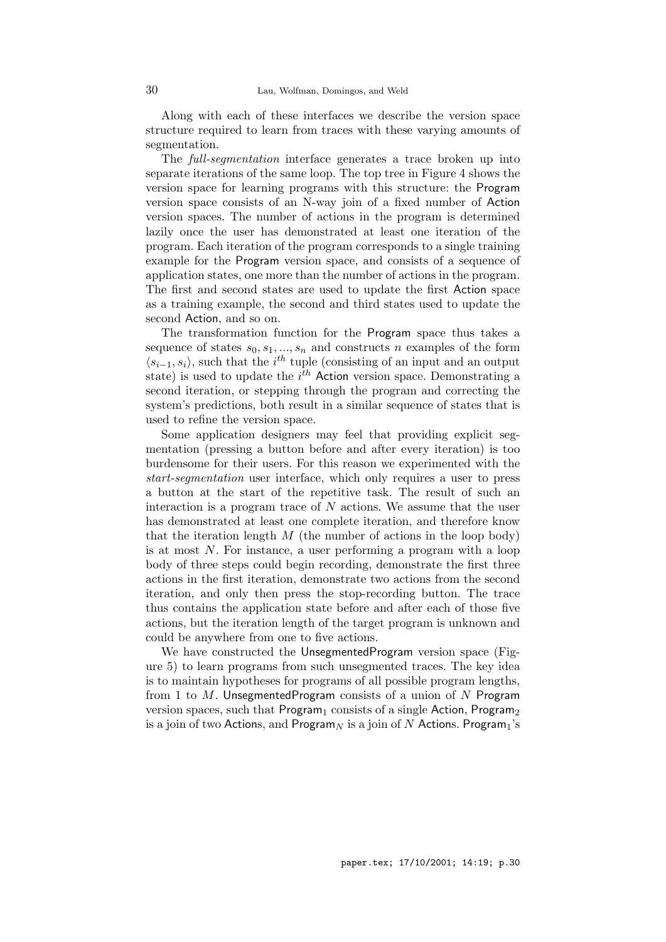Along with each of these interfaces we describe the version space structure required to learn from traces with these varying amounts of segmentation.

The full-segmentation interface generates a trace broken up into separate iterations of the same loop. The top tree in Figure 4 shows the version space for learning programs with this structure: the Program version space consists of an N-way join of a fixed number of Action version spaces. The number of actions in the program is determined lazily once the user has demonstrated at least one iteration of the program. Each iteration of the program corresponds to a single training example for the Program version space, and consists of a sequence of application states, one more than the number of actions in the program. The first and second states are used to update the first Action space as a training example, the second and third states used to update the second Action, and so on.

The transformation function for the Program space thus takes a sequence of states  $s_0, s_1, ..., s_n$  and constructs n examples of the form  $\langle s_{i-1}, s_i \rangle$ , such that the i<sup>th</sup> tuple (consisting of an input and an output state) is used to update the  $i^{th}$  Action version space. Demonstrating a second iteration, or stepping through the program and correcting the system's predictions, both result in a similar sequence of states that is used to refine the version space.

Some application designers may feel that providing explicit segmentation (pressing a button before and after every iteration) is too burdensome for their users. For this reason we experimented with the start-segmentation user interface, which only requires a user to press a button at the start of the repetitive task. The result of such an interaction is a program trace of  $N$  actions. We assume that the user has demonstrated at least one complete iteration, and therefore know that the iteration length  $M$  (the number of actions in the loop body) is at most N. For instance, a user performing a program with a loop body of three steps could begin recording, demonstrate the first three actions in the first iteration, demonstrate two actions from the second iteration, and only then press the stop-recording button. The trace thus contains the application state before and after each of those five actions, but the iteration length of the target program is unknown and could be anywhere from one to five actions.

We have constructed the UnsegmentedProgram version space (Figure 5) to learn programs from such unsegmented traces. The key idea is to maintain hypotheses for programs of all possible program lengths, from 1 to  $M$ . UnsegmentedProgram consists of a union of  $N$  Program version spaces, such that  $P$ rogram<sub>1</sub> consists of a single Action, Program<sub>2</sub> is a join of two Actions, and Program<sub>N</sub> is a join of N Actions. Program<sub>1</sub>'s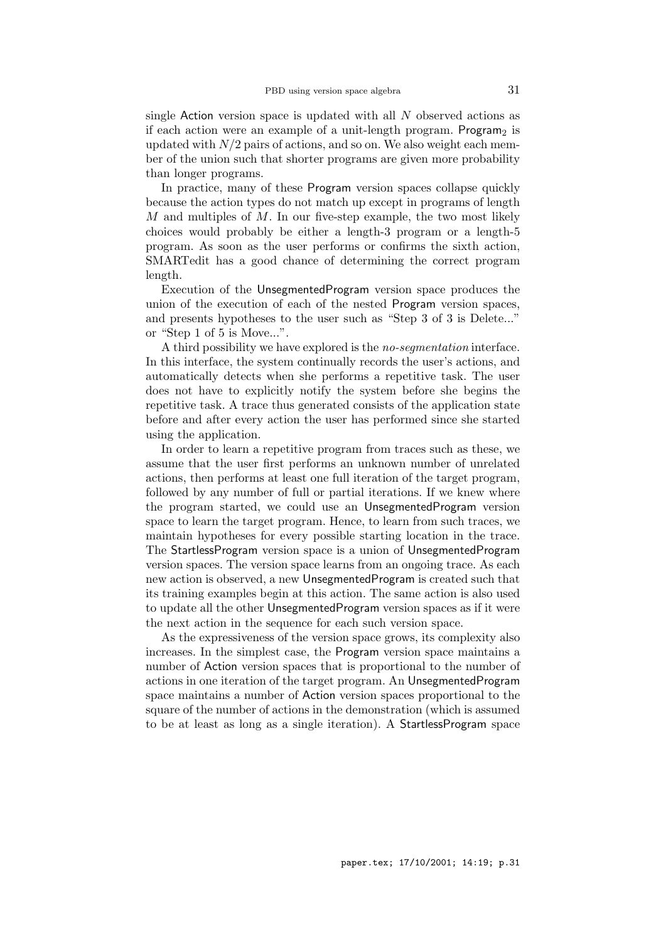single Action version space is updated with all  $N$  observed actions as if each action were an example of a unit-length program. Program<sub>2</sub> is updated with  $N/2$  pairs of actions, and so on. We also weight each member of the union such that shorter programs are given more probability than longer programs.

In practice, many of these Program version spaces collapse quickly because the action types do not match up except in programs of length  $M$  and multiples of  $M$ . In our five-step example, the two most likely choices would probably be either a length-3 program or a length-5 program. As soon as the user performs or confirms the sixth action, SMARTedit has a good chance of determining the correct program length.

Execution of the UnsegmentedProgram version space produces the union of the execution of each of the nested Program version spaces, and presents hypotheses to the user such as "Step 3 of 3 is Delete..." or "Step 1 of 5 is Move...".

A third possibility we have explored is the no-segmentation interface. In this interface, the system continually records the user's actions, and automatically detects when she performs a repetitive task. The user does not have to explicitly notify the system before she begins the repetitive task. A trace thus generated consists of the application state before and after every action the user has performed since she started using the application.

In order to learn a repetitive program from traces such as these, we assume that the user first performs an unknown number of unrelated actions, then performs at least one full iteration of the target program, followed by any number of full or partial iterations. If we knew where the program started, we could use an UnsegmentedProgram version space to learn the target program. Hence, to learn from such traces, we maintain hypotheses for every possible starting location in the trace. The StartlessProgram version space is a union of UnsegmentedProgram version spaces. The version space learns from an ongoing trace. As each new action is observed, a new UnsegmentedProgram is created such that its training examples begin at this action. The same action is also used to update all the other UnsegmentedProgram version spaces as if it were the next action in the sequence for each such version space.

As the expressiveness of the version space grows, its complexity also increases. In the simplest case, the Program version space maintains a number of Action version spaces that is proportional to the number of actions in one iteration of the target program. An UnsegmentedProgram space maintains a number of Action version spaces proportional to the square of the number of actions in the demonstration (which is assumed to be at least as long as a single iteration). A StartlessProgram space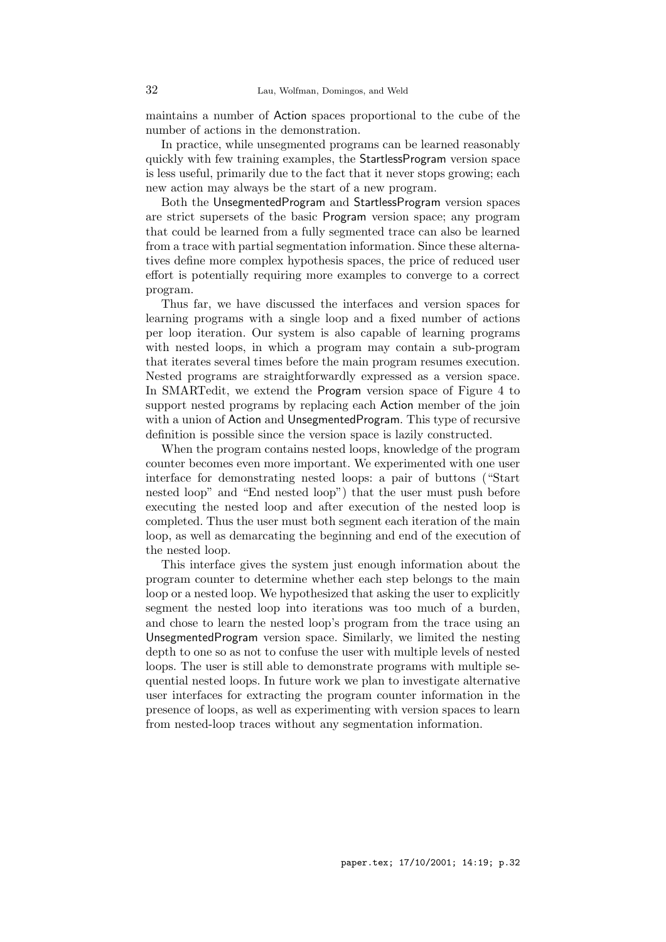maintains a number of Action spaces proportional to the cube of the number of actions in the demonstration.

In practice, while unsegmented programs can be learned reasonably quickly with few training examples, the StartlessProgram version space is less useful, primarily due to the fact that it never stops growing; each new action may always be the start of a new program.

Both the UnsegmentedProgram and StartlessProgram version spaces are strict supersets of the basic Program version space; any program that could be learned from a fully segmented trace can also be learned from a trace with partial segmentation information. Since these alternatives define more complex hypothesis spaces, the price of reduced user effort is potentially requiring more examples to converge to a correct program.

Thus far, we have discussed the interfaces and version spaces for learning programs with a single loop and a fixed number of actions per loop iteration. Our system is also capable of learning programs with nested loops, in which a program may contain a sub-program that iterates several times before the main program resumes execution. Nested programs are straightforwardly expressed as a version space. In SMARTedit, we extend the Program version space of Figure 4 to support nested programs by replacing each Action member of the join with a union of Action and UnsegmentedProgram. This type of recursive definition is possible since the version space is lazily constructed.

When the program contains nested loops, knowledge of the program counter becomes even more important. We experimented with one user interface for demonstrating nested loops: a pair of buttons ("Start nested loop" and "End nested loop") that the user must push before executing the nested loop and after execution of the nested loop is completed. Thus the user must both segment each iteration of the main loop, as well as demarcating the beginning and end of the execution of the nested loop.

This interface gives the system just enough information about the program counter to determine whether each step belongs to the main loop or a nested loop. We hypothesized that asking the user to explicitly segment the nested loop into iterations was too much of a burden, and chose to learn the nested loop's program from the trace using an UnsegmentedProgram version space. Similarly, we limited the nesting depth to one so as not to confuse the user with multiple levels of nested loops. The user is still able to demonstrate programs with multiple sequential nested loops. In future work we plan to investigate alternative user interfaces for extracting the program counter information in the presence of loops, as well as experimenting with version spaces to learn from nested-loop traces without any segmentation information.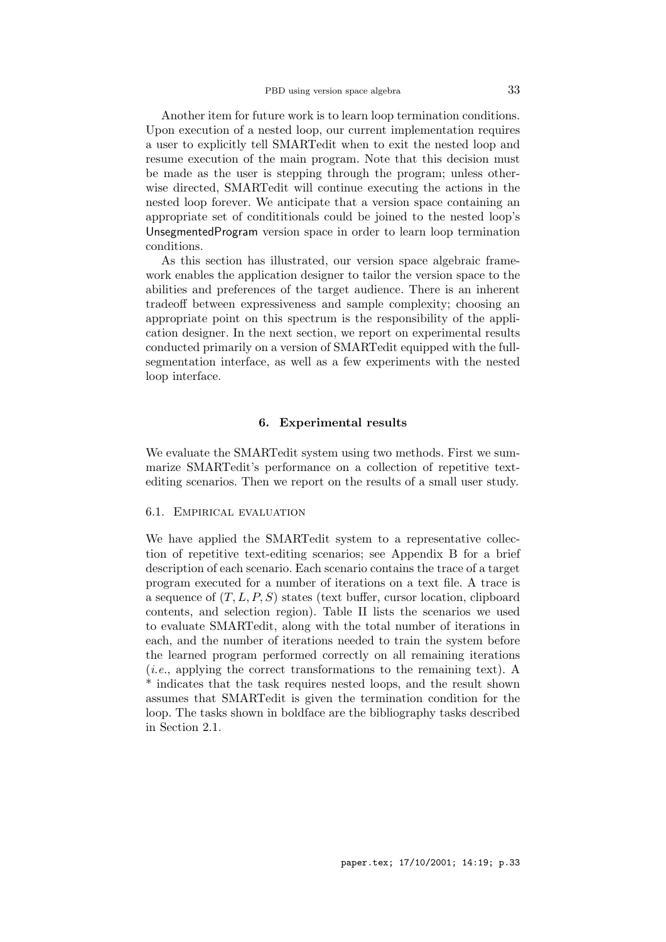Another item for future work is to learn loop termination conditions. Upon execution of a nested loop, our current implementation requires a user to explicitly tell SMARTedit when to exit the nested loop and resume execution of the main program. Note that this decision must be made as the user is stepping through the program; unless otherwise directed, SMARTedit will continue executing the actions in the nested loop forever. We anticipate that a version space containing an appropriate set of condititionals could be joined to the nested loop's UnsegmentedProgram version space in order to learn loop termination conditions.

As this section has illustrated, our version space algebraic framework enables the application designer to tailor the version space to the abilities and preferences of the target audience. There is an inherent tradeoff between expressiveness and sample complexity; choosing an appropriate point on this spectrum is the responsibility of the application designer. In the next section, we report on experimental results conducted primarily on a version of SMARTedit equipped with the fullsegmentation interface, as well as a few experiments with the nested loop interface.

#### 6. Experimental results

We evaluate the SMARTedit system using two methods. First we summarize SMARTedit's performance on a collection of repetitive textediting scenarios. Then we report on the results of a small user study.

## 6.1. Empirical evaluation

We have applied the SMARTedit system to a representative collection of repetitive text-editing scenarios; see Appendix B for a brief description of each scenario. Each scenario contains the trace of a target program executed for a number of iterations on a text file. A trace is a sequence of  $(T, L, P, S)$  states (text buffer, cursor location, clipboard contents, and selection region). Table II lists the scenarios we used to evaluate SMARTedit, along with the total number of iterations in each, and the number of iterations needed to train the system before the learned program performed correctly on all remaining iterations (i.e., applying the correct transformations to the remaining text). A \* indicates that the task requires nested loops, and the result shown assumes that SMARTedit is given the termination condition for the loop. The tasks shown in boldface are the bibliography tasks described in Section 2.1.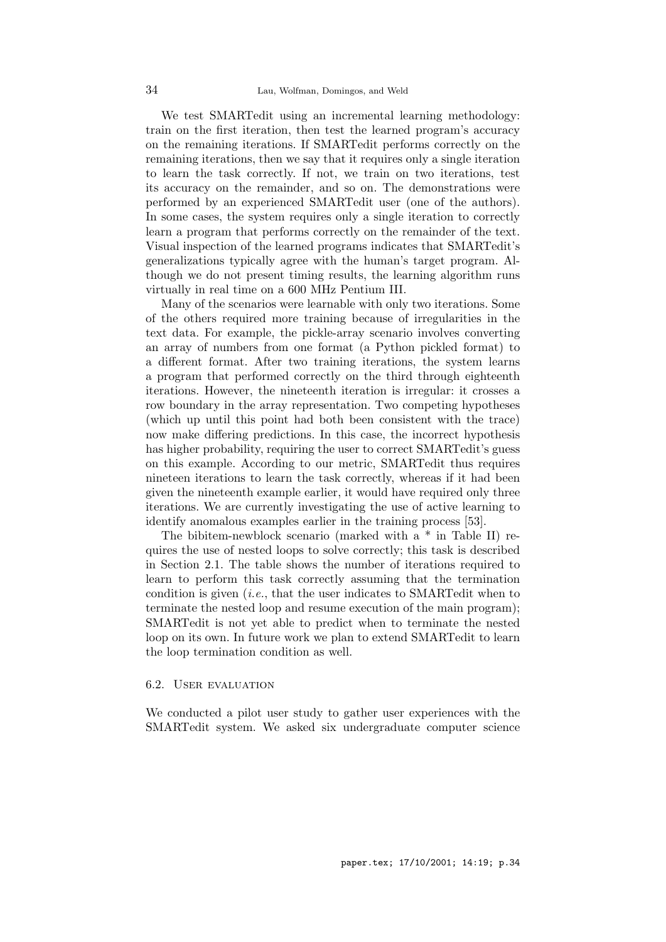We test SMARTedit using an incremental learning methodology: train on the first iteration, then test the learned program's accuracy on the remaining iterations. If SMARTedit performs correctly on the remaining iterations, then we say that it requires only a single iteration to learn the task correctly. If not, we train on two iterations, test its accuracy on the remainder, and so on. The demonstrations were performed by an experienced SMARTedit user (one of the authors). In some cases, the system requires only a single iteration to correctly learn a program that performs correctly on the remainder of the text. Visual inspection of the learned programs indicates that SMARTedit's generalizations typically agree with the human's target program. Although we do not present timing results, the learning algorithm runs virtually in real time on a 600 MHz Pentium III.

Many of the scenarios were learnable with only two iterations. Some of the others required more training because of irregularities in the text data. For example, the pickle-array scenario involves converting an array of numbers from one format (a Python pickled format) to a different format. After two training iterations, the system learns a program that performed correctly on the third through eighteenth iterations. However, the nineteenth iteration is irregular: it crosses a row boundary in the array representation. Two competing hypotheses (which up until this point had both been consistent with the trace) now make differing predictions. In this case, the incorrect hypothesis has higher probability, requiring the user to correct SMARTedit's guess on this example. According to our metric, SMARTedit thus requires nineteen iterations to learn the task correctly, whereas if it had been given the nineteenth example earlier, it would have required only three iterations. We are currently investigating the use of active learning to identify anomalous examples earlier in the training process [53].

The bibitem-newblock scenario (marked with a \* in Table II) requires the use of nested loops to solve correctly; this task is described in Section 2.1. The table shows the number of iterations required to learn to perform this task correctly assuming that the termination condition is given (i.e., that the user indicates to SMARTedit when to terminate the nested loop and resume execution of the main program); SMARTedit is not yet able to predict when to terminate the nested loop on its own. In future work we plan to extend SMARTedit to learn the loop termination condition as well.

# 6.2. User evaluation

We conducted a pilot user study to gather user experiences with the SMARTedit system. We asked six undergraduate computer science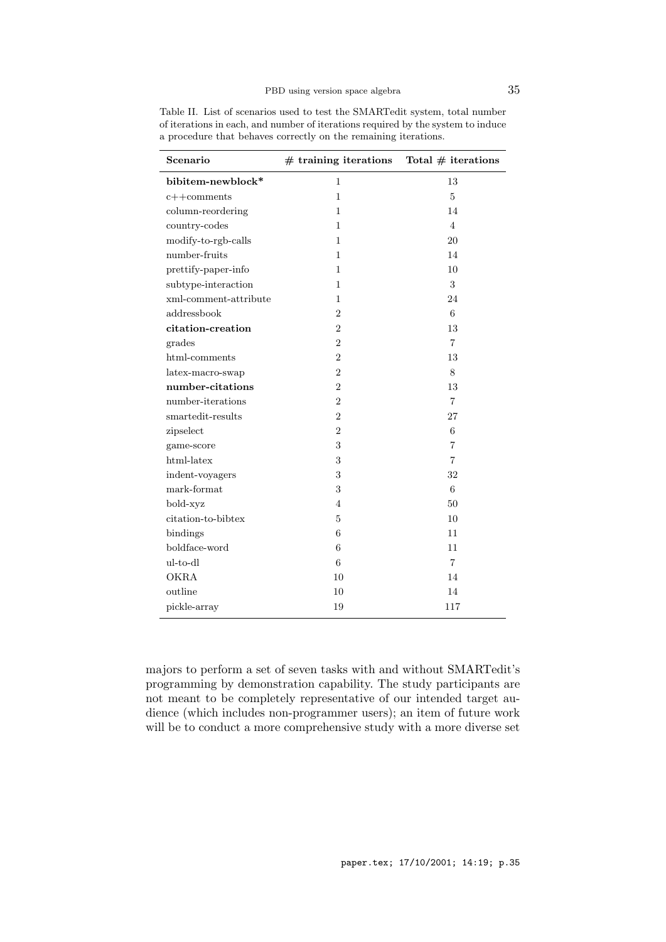| Scenario              | $#$ training iterations | Total $#$ iterations |  |
|-----------------------|-------------------------|----------------------|--|
| bibitem-newblock*     | $\mathbf{1}$            | 13                   |  |
| $c$ ++ $comments$     | $\mathbf{1}$            | $\overline{5}$       |  |
| column-reordering     | 1                       | 14                   |  |
| country-codes         | 1                       | $\overline{4}$       |  |
| modify-to-rgb-calls   | 1                       | 20                   |  |
| number-fruits         | 1                       | 14                   |  |
| prettify-paper-info   | 1                       | 10                   |  |
| subtype-interaction   | 1                       | 3                    |  |
| xml-comment-attribute | 1                       | 24                   |  |
| addressbook           | $\overline{2}$          | 6                    |  |
| citation-creation     | $\overline{2}$          | 13                   |  |
| grades                | $\overline{2}$          | $\overline{7}$       |  |
| html-comments         | $\overline{2}$          | 13                   |  |
| latex-macro-swap      | $\overline{2}$          | 8                    |  |
| number-citations      | $\overline{2}$          | 13                   |  |
| number-iterations     | $\overline{2}$          | $\overline{7}$       |  |
| smartedit-results     | $\overline{2}$          | 27                   |  |
| zipselect             | $\overline{2}$          | 6                    |  |
| game-score            | 3                       | $\overline{7}$       |  |
| html-latex            | 3                       | $\overline{7}$       |  |
| indent-voyagers       | 3                       | 32                   |  |
| mark-format           | 3                       | 6                    |  |
| bold-xyz              | 4                       | 50                   |  |
| citation-to-bibtex    | 5                       | 10                   |  |
| bindings              | 6                       | 11                   |  |
| boldface-word         | 6                       | 11                   |  |
| $ul-to-dl$            | 6                       | $\overline{7}$       |  |
| <b>OKRA</b>           | 10                      | 14                   |  |
| outline               | 10                      | 14                   |  |
| pickle-array          | 19                      | 117                  |  |

Table II. List of scenarios used to test the SMARTedit system, total number of iterations in each, and number of iterations required by the system to induce a procedure that behaves correctly on the remaining iterations.

majors to perform a set of seven tasks with and without SMARTedit's programming by demonstration capability. The study participants are not meant to be completely representative of our intended target audience (which includes non-programmer users); an item of future work will be to conduct a more comprehensive study with a more diverse set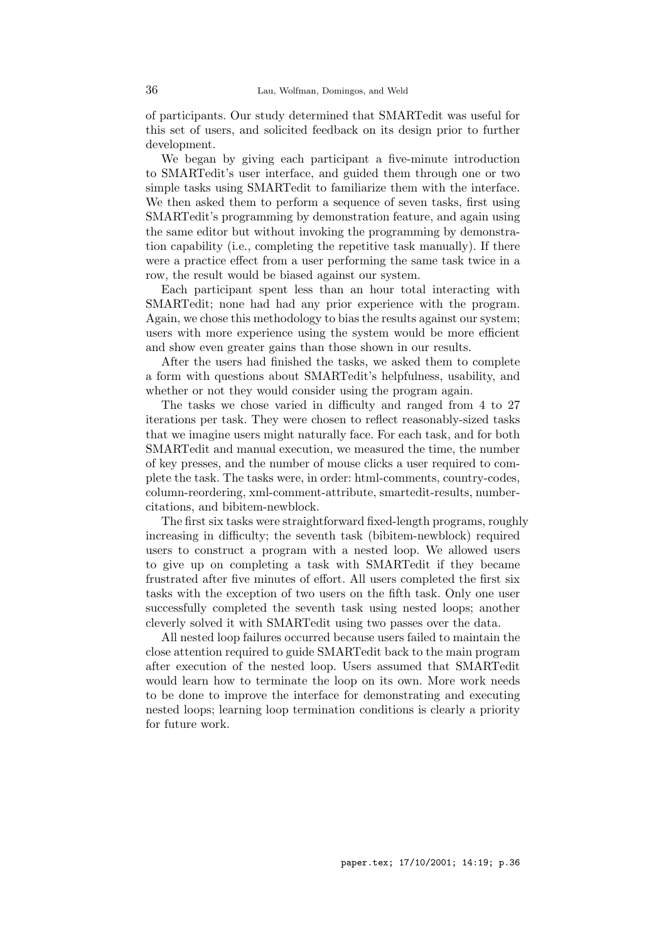of participants. Our study determined that SMARTedit was useful for this set of users, and solicited feedback on its design prior to further development.

We began by giving each participant a five-minute introduction to SMARTedit's user interface, and guided them through one or two simple tasks using SMARTedit to familiarize them with the interface. We then asked them to perform a sequence of seven tasks, first using SMARTedit's programming by demonstration feature, and again using the same editor but without invoking the programming by demonstration capability (i.e., completing the repetitive task manually). If there were a practice effect from a user performing the same task twice in a row, the result would be biased against our system.

Each participant spent less than an hour total interacting with SMARTedit; none had had any prior experience with the program. Again, we chose this methodology to bias the results against our system; users with more experience using the system would be more efficient and show even greater gains than those shown in our results.

After the users had finished the tasks, we asked them to complete a form with questions about SMARTedit's helpfulness, usability, and whether or not they would consider using the program again.

The tasks we chose varied in difficulty and ranged from 4 to 27 iterations per task. They were chosen to reflect reasonably-sized tasks that we imagine users might naturally face. For each task, and for both SMARTedit and manual execution, we measured the time, the number of key presses, and the number of mouse clicks a user required to complete the task. The tasks were, in order: html-comments, country-codes, column-reordering, xml-comment-attribute, smartedit-results, numbercitations, and bibitem-newblock.

The first six tasks were straightforward fixed-length programs, roughly increasing in difficulty; the seventh task (bibitem-newblock) required users to construct a program with a nested loop. We allowed users to give up on completing a task with SMARTedit if they became frustrated after five minutes of effort. All users completed the first six tasks with the exception of two users on the fifth task. Only one user successfully completed the seventh task using nested loops; another cleverly solved it with SMARTedit using two passes over the data.

All nested loop failures occurred because users failed to maintain the close attention required to guide SMARTedit back to the main program after execution of the nested loop. Users assumed that SMARTedit would learn how to terminate the loop on its own. More work needs to be done to improve the interface for demonstrating and executing nested loops; learning loop termination conditions is clearly a priority for future work.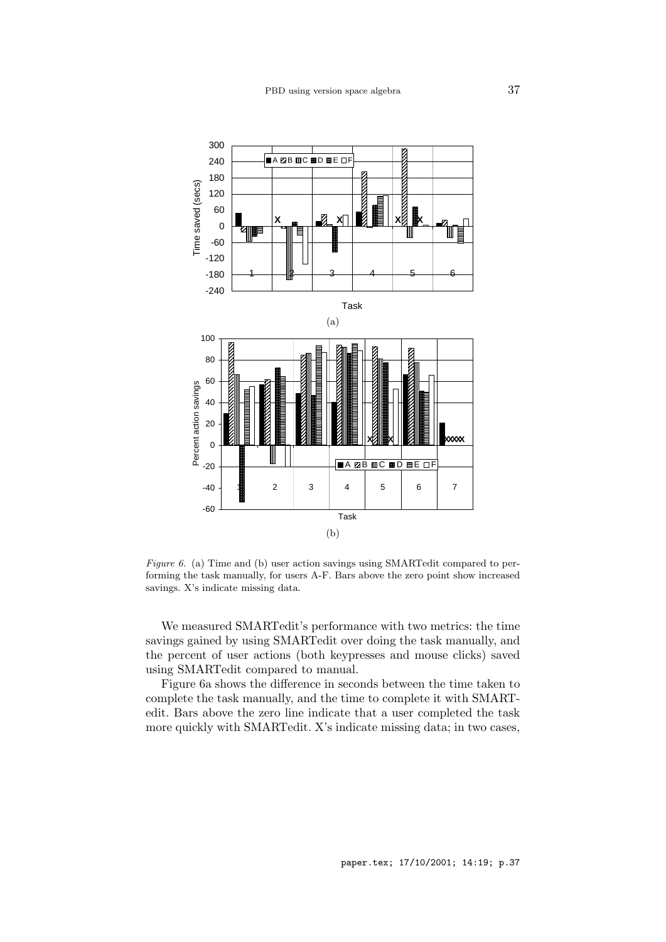

Figure 6. (a) Time and (b) user action savings using SMARTedit compared to performing the task manually, for users A-F. Bars above the zero point show increased savings. X's indicate missing data.

We measured SMARTedit's performance with two metrics: the time savings gained by using SMARTedit over doing the task manually, and the percent of user actions (both keypresses and mouse clicks) saved using SMARTedit compared to manual.

Figure 6a shows the difference in seconds between the time taken to complete the task manually, and the time to complete it with SMARTedit. Bars above the zero line indicate that a user completed the task more quickly with SMARTedit. X's indicate missing data; in two cases,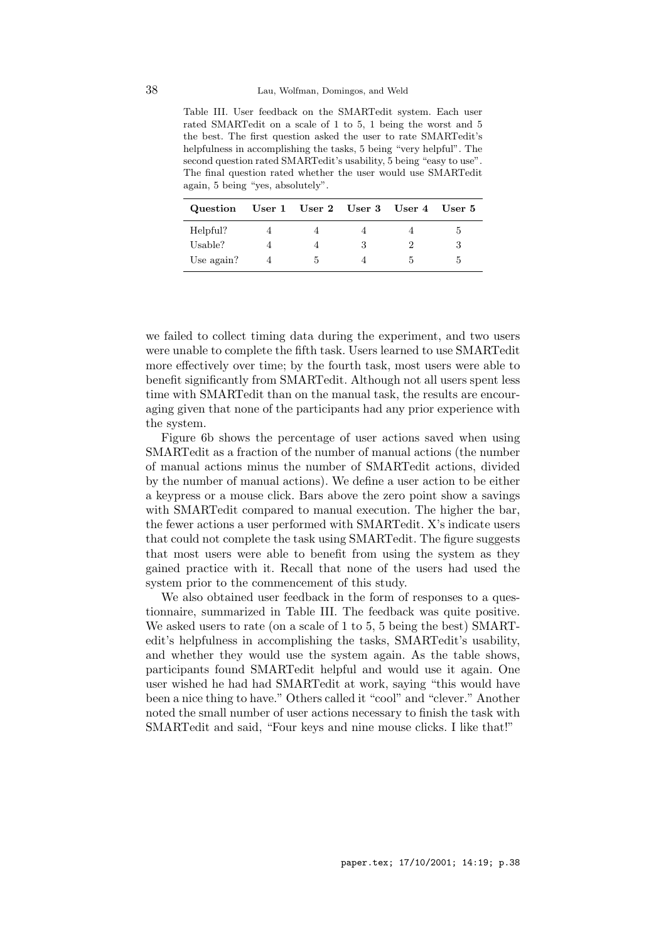#### 38 Lau, Wolfman, Domingos, and Weld

Table III. User feedback on the SMARTedit system. Each user rated SMARTedit on a scale of 1 to 5, 1 being the worst and 5 the best. The first question asked the user to rate SMARTedit's helpfulness in accomplishing the tasks, 5 being "very helpful". The second question rated SMARTedit's usability, 5 being "easy to use". The final question rated whether the user would use SMARTedit again, 5 being "yes, absolutely".

| Question User 1 User 2 User 3 User 4 User 5 |   |    |    |    |
|---------------------------------------------|---|----|----|----|
| Helpful?                                    | 4 | 4  |    | Ð  |
| Usable?                                     |   | 4  |    | 3  |
| Use again?                                  |   | b. | h. | ÷. |

we failed to collect timing data during the experiment, and two users were unable to complete the fifth task. Users learned to use SMARTedit more effectively over time; by the fourth task, most users were able to benefit significantly from SMARTedit. Although not all users spent less time with SMARTedit than on the manual task, the results are encouraging given that none of the participants had any prior experience with the system.

Figure 6b shows the percentage of user actions saved when using SMARTedit as a fraction of the number of manual actions (the number of manual actions minus the number of SMARTedit actions, divided by the number of manual actions). We define a user action to be either a keypress or a mouse click. Bars above the zero point show a savings with SMARTedit compared to manual execution. The higher the bar, the fewer actions a user performed with SMARTedit. X's indicate users that could not complete the task using SMARTedit. The figure suggests that most users were able to benefit from using the system as they gained practice with it. Recall that none of the users had used the system prior to the commencement of this study.

We also obtained user feedback in the form of responses to a questionnaire, summarized in Table III. The feedback was quite positive. We asked users to rate (on a scale of 1 to 5, 5 being the best) SMARTedit's helpfulness in accomplishing the tasks, SMARTedit's usability, and whether they would use the system again. As the table shows, participants found SMARTedit helpful and would use it again. One user wished he had had SMARTedit at work, saying "this would have been a nice thing to have." Others called it "cool" and "clever." Another noted the small number of user actions necessary to finish the task with SMARTedit and said, "Four keys and nine mouse clicks. I like that!"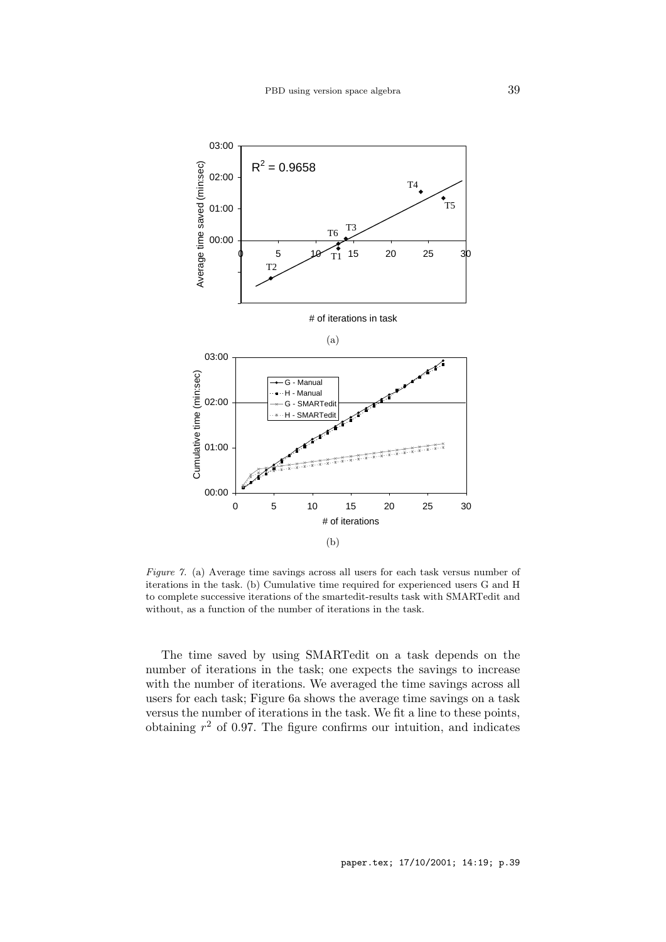

Figure 7. (a) Average time savings across all users for each task versus number of iterations in the task. (b) Cumulative time required for experienced users G and H to complete successive iterations of the smartedit-results task with SMARTedit and without, as a function of the number of iterations in the task.

The time saved by using SMARTedit on a task depends on the number of iterations in the task; one expects the savings to increase with the number of iterations. We averaged the time savings across all users for each task; Figure 6a shows the average time savings on a task versus the number of iterations in the task. We fit a line to these points, obtaining  $r^2$  of 0.97. The figure confirms our intuition, and indicates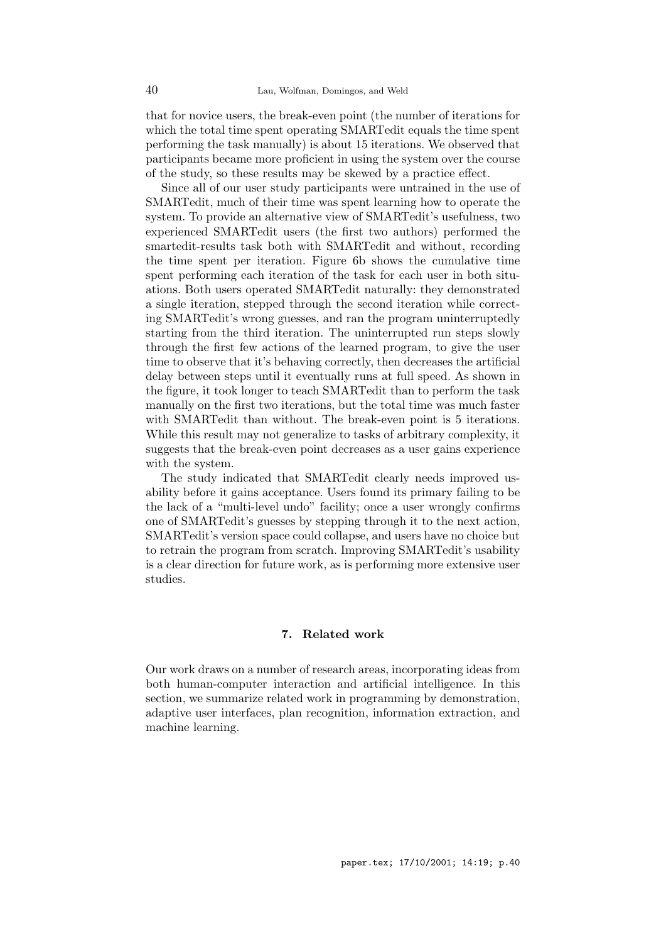that for novice users, the break-even point (the number of iterations for which the total time spent operating SMARTedit equals the time spent performing the task manually) is about 15 iterations. We observed that participants became more proficient in using the system over the course of the study, so these results may be skewed by a practice effect.

Since all of our user study participants were untrained in the use of SMARTedit, much of their time was spent learning how to operate the system. To provide an alternative view of SMARTedit's usefulness, two experienced SMARTedit users (the first two authors) performed the smartedit-results task both with SMARTedit and without, recording the time spent per iteration. Figure 6b shows the cumulative time spent performing each iteration of the task for each user in both situations. Both users operated SMARTedit naturally: they demonstrated a single iteration, stepped through the second iteration while correcting SMARTedit's wrong guesses, and ran the program uninterruptedly starting from the third iteration. The uninterrupted run steps slowly through the first few actions of the learned program, to give the user time to observe that it's behaving correctly, then decreases the artificial delay between steps until it eventually runs at full speed. As shown in the figure, it took longer to teach SMARTedit than to perform the task manually on the first two iterations, but the total time was much faster with SMARTedit than without. The break-even point is 5 iterations. While this result may not generalize to tasks of arbitrary complexity, it suggests that the break-even point decreases as a user gains experience with the system.

The study indicated that SMARTedit clearly needs improved usability before it gains acceptance. Users found its primary failing to be the lack of a "multi-level undo" facility; once a user wrongly confirms one of SMARTedit's guesses by stepping through it to the next action, SMARTedit's version space could collapse, and users have no choice but to retrain the program from scratch. Improving SMARTedit's usability is a clear direction for future work, as is performing more extensive user studies.

### 7. Related work

Our work draws on a number of research areas, incorporating ideas from both human-computer interaction and artificial intelligence. In this section, we summarize related work in programming by demonstration, adaptive user interfaces, plan recognition, information extraction, and machine learning.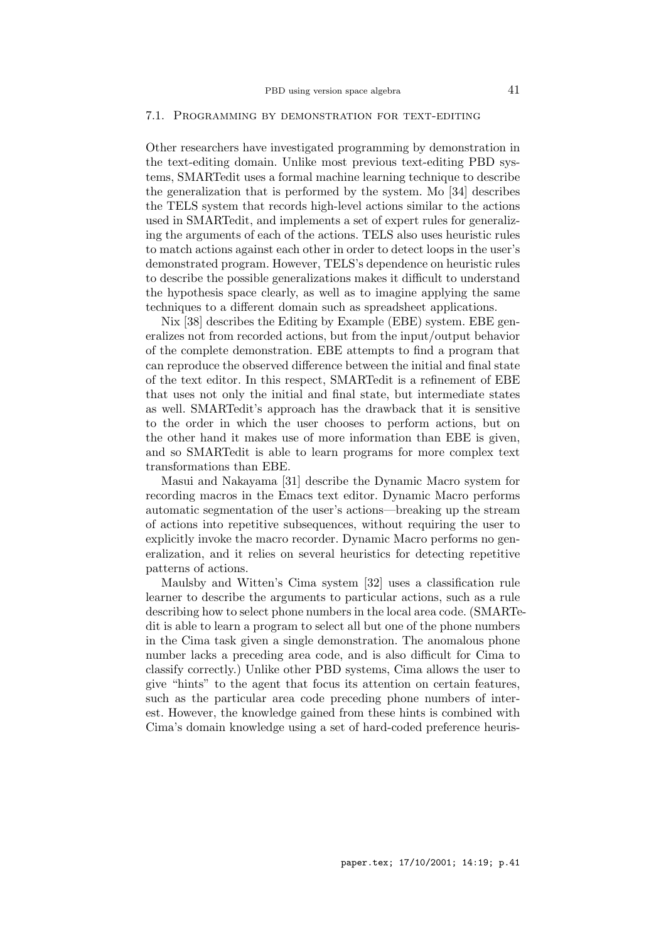#### 7.1. Programming by demonstration for text-editing

Other researchers have investigated programming by demonstration in the text-editing domain. Unlike most previous text-editing PBD systems, SMARTedit uses a formal machine learning technique to describe the generalization that is performed by the system. Mo [34] describes the TELS system that records high-level actions similar to the actions used in SMARTedit, and implements a set of expert rules for generalizing the arguments of each of the actions. TELS also uses heuristic rules to match actions against each other in order to detect loops in the user's demonstrated program. However, TELS's dependence on heuristic rules to describe the possible generalizations makes it difficult to understand the hypothesis space clearly, as well as to imagine applying the same techniques to a different domain such as spreadsheet applications.

Nix [38] describes the Editing by Example (EBE) system. EBE generalizes not from recorded actions, but from the input/output behavior of the complete demonstration. EBE attempts to find a program that can reproduce the observed difference between the initial and final state of the text editor. In this respect, SMARTedit is a refinement of EBE that uses not only the initial and final state, but intermediate states as well. SMARTedit's approach has the drawback that it is sensitive to the order in which the user chooses to perform actions, but on the other hand it makes use of more information than EBE is given, and so SMARTedit is able to learn programs for more complex text transformations than EBE.

Masui and Nakayama [31] describe the Dynamic Macro system for recording macros in the Emacs text editor. Dynamic Macro performs automatic segmentation of the user's actions—breaking up the stream of actions into repetitive subsequences, without requiring the user to explicitly invoke the macro recorder. Dynamic Macro performs no generalization, and it relies on several heuristics for detecting repetitive patterns of actions.

Maulsby and Witten's Cima system [32] uses a classification rule learner to describe the arguments to particular actions, such as a rule describing how to select phone numbers in the local area code. (SMARTedit is able to learn a program to select all but one of the phone numbers in the Cima task given a single demonstration. The anomalous phone number lacks a preceding area code, and is also difficult for Cima to classify correctly.) Unlike other PBD systems, Cima allows the user to give "hints" to the agent that focus its attention on certain features, such as the particular area code preceding phone numbers of interest. However, the knowledge gained from these hints is combined with Cima's domain knowledge using a set of hard-coded preference heuris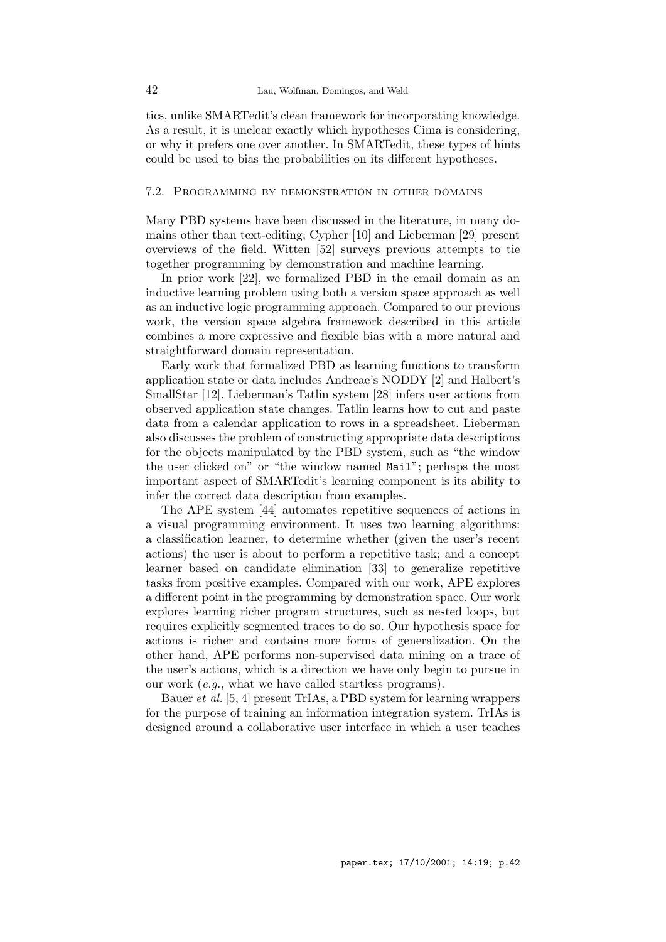tics, unlike SMARTedit's clean framework for incorporating knowledge. As a result, it is unclear exactly which hypotheses Cima is considering, or why it prefers one over another. In SMARTedit, these types of hints could be used to bias the probabilities on its different hypotheses.

# 7.2. Programming by demonstration in other domains

Many PBD systems have been discussed in the literature, in many domains other than text-editing; Cypher [10] and Lieberman [29] present overviews of the field. Witten [52] surveys previous attempts to tie together programming by demonstration and machine learning.

In prior work [22], we formalized PBD in the email domain as an inductive learning problem using both a version space approach as well as an inductive logic programming approach. Compared to our previous work, the version space algebra framework described in this article combines a more expressive and flexible bias with a more natural and straightforward domain representation.

Early work that formalized PBD as learning functions to transform application state or data includes Andreae's NODDY [2] and Halbert's SmallStar [12]. Lieberman's Tatlin system [28] infers user actions from observed application state changes. Tatlin learns how to cut and paste data from a calendar application to rows in a spreadsheet. Lieberman also discusses the problem of constructing appropriate data descriptions for the objects manipulated by the PBD system, such as "the window the user clicked on" or "the window named Mail"; perhaps the most important aspect of SMARTedit's learning component is its ability to infer the correct data description from examples.

The APE system [44] automates repetitive sequences of actions in a visual programming environment. It uses two learning algorithms: a classification learner, to determine whether (given the user's recent actions) the user is about to perform a repetitive task; and a concept learner based on candidate elimination [33] to generalize repetitive tasks from positive examples. Compared with our work, APE explores a different point in the programming by demonstration space. Our work explores learning richer program structures, such as nested loops, but requires explicitly segmented traces to do so. Our hypothesis space for actions is richer and contains more forms of generalization. On the other hand, APE performs non-supervised data mining on a trace of the user's actions, which is a direction we have only begin to pursue in our work (e.g., what we have called startless programs).

Bauer et al. [5, 4] present TrIAs, a PBD system for learning wrappers for the purpose of training an information integration system. TrIAs is designed around a collaborative user interface in which a user teaches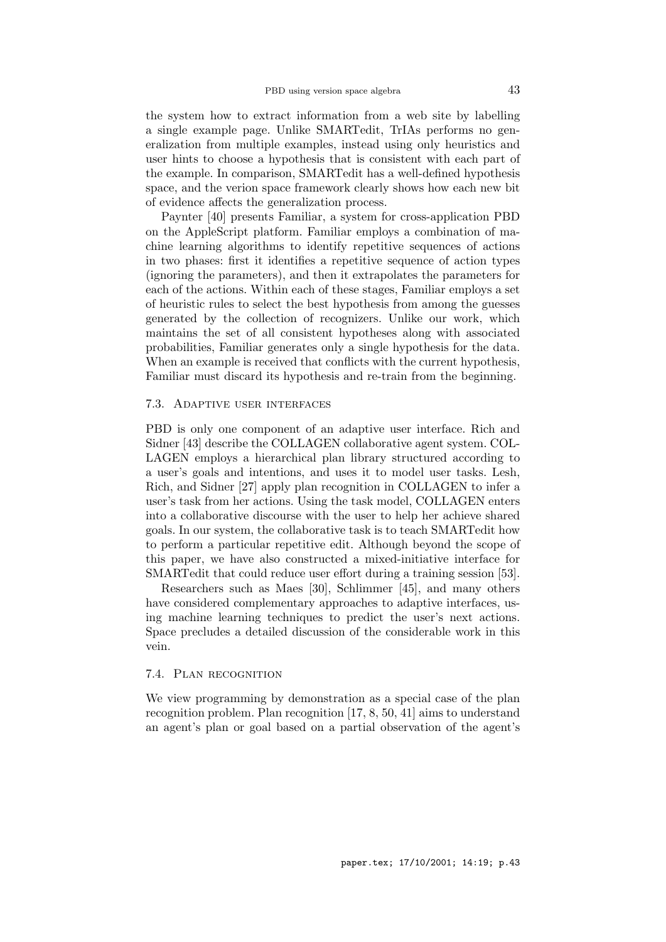the system how to extract information from a web site by labelling a single example page. Unlike SMARTedit, TrIAs performs no generalization from multiple examples, instead using only heuristics and user hints to choose a hypothesis that is consistent with each part of the example. In comparison, SMARTedit has a well-defined hypothesis space, and the verion space framework clearly shows how each new bit of evidence affects the generalization process.

Paynter [40] presents Familiar, a system for cross-application PBD on the AppleScript platform. Familiar employs a combination of machine learning algorithms to identify repetitive sequences of actions in two phases: first it identifies a repetitive sequence of action types (ignoring the parameters), and then it extrapolates the parameters for each of the actions. Within each of these stages, Familiar employs a set of heuristic rules to select the best hypothesis from among the guesses generated by the collection of recognizers. Unlike our work, which maintains the set of all consistent hypotheses along with associated probabilities, Familiar generates only a single hypothesis for the data. When an example is received that conflicts with the current hypothesis, Familiar must discard its hypothesis and re-train from the beginning.

#### 7.3. Adaptive user interfaces

PBD is only one component of an adaptive user interface. Rich and Sidner [43] describe the COLLAGEN collaborative agent system. COL-LAGEN employs a hierarchical plan library structured according to a user's goals and intentions, and uses it to model user tasks. Lesh, Rich, and Sidner [27] apply plan recognition in COLLAGEN to infer a user's task from her actions. Using the task model, COLLAGEN enters into a collaborative discourse with the user to help her achieve shared goals. In our system, the collaborative task is to teach SMARTedit how to perform a particular repetitive edit. Although beyond the scope of this paper, we have also constructed a mixed-initiative interface for SMARTedit that could reduce user effort during a training session [53].

Researchers such as Maes [30], Schlimmer [45], and many others have considered complementary approaches to adaptive interfaces, using machine learning techniques to predict the user's next actions. Space precludes a detailed discussion of the considerable work in this vein.

#### 7.4. Plan recognition

We view programming by demonstration as a special case of the plan recognition problem. Plan recognition [17, 8, 50, 41] aims to understand an agent's plan or goal based on a partial observation of the agent's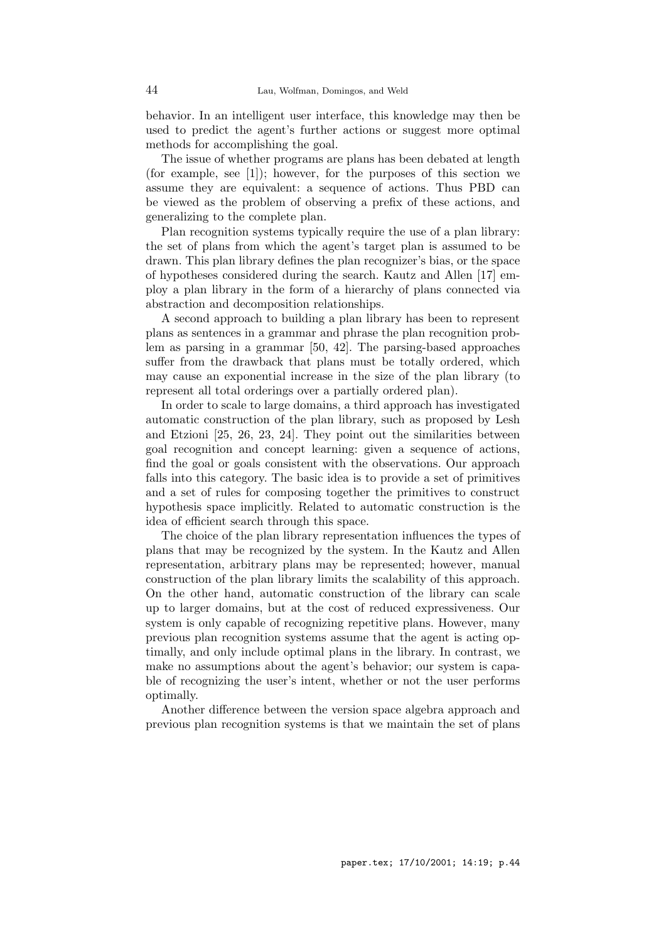behavior. In an intelligent user interface, this knowledge may then be used to predict the agent's further actions or suggest more optimal methods for accomplishing the goal.

The issue of whether programs are plans has been debated at length (for example, see [1]); however, for the purposes of this section we assume they are equivalent: a sequence of actions. Thus PBD can be viewed as the problem of observing a prefix of these actions, and generalizing to the complete plan.

Plan recognition systems typically require the use of a plan library: the set of plans from which the agent's target plan is assumed to be drawn. This plan library defines the plan recognizer's bias, or the space of hypotheses considered during the search. Kautz and Allen [17] employ a plan library in the form of a hierarchy of plans connected via abstraction and decomposition relationships.

A second approach to building a plan library has been to represent plans as sentences in a grammar and phrase the plan recognition problem as parsing in a grammar [50, 42]. The parsing-based approaches suffer from the drawback that plans must be totally ordered, which may cause an exponential increase in the size of the plan library (to represent all total orderings over a partially ordered plan).

In order to scale to large domains, a third approach has investigated automatic construction of the plan library, such as proposed by Lesh and Etzioni [25, 26, 23, 24]. They point out the similarities between goal recognition and concept learning: given a sequence of actions, find the goal or goals consistent with the observations. Our approach falls into this category. The basic idea is to provide a set of primitives and a set of rules for composing together the primitives to construct hypothesis space implicitly. Related to automatic construction is the idea of efficient search through this space.

The choice of the plan library representation influences the types of plans that may be recognized by the system. In the Kautz and Allen representation, arbitrary plans may be represented; however, manual construction of the plan library limits the scalability of this approach. On the other hand, automatic construction of the library can scale up to larger domains, but at the cost of reduced expressiveness. Our system is only capable of recognizing repetitive plans. However, many previous plan recognition systems assume that the agent is acting optimally, and only include optimal plans in the library. In contrast, we make no assumptions about the agent's behavior; our system is capable of recognizing the user's intent, whether or not the user performs optimally.

Another difference between the version space algebra approach and previous plan recognition systems is that we maintain the set of plans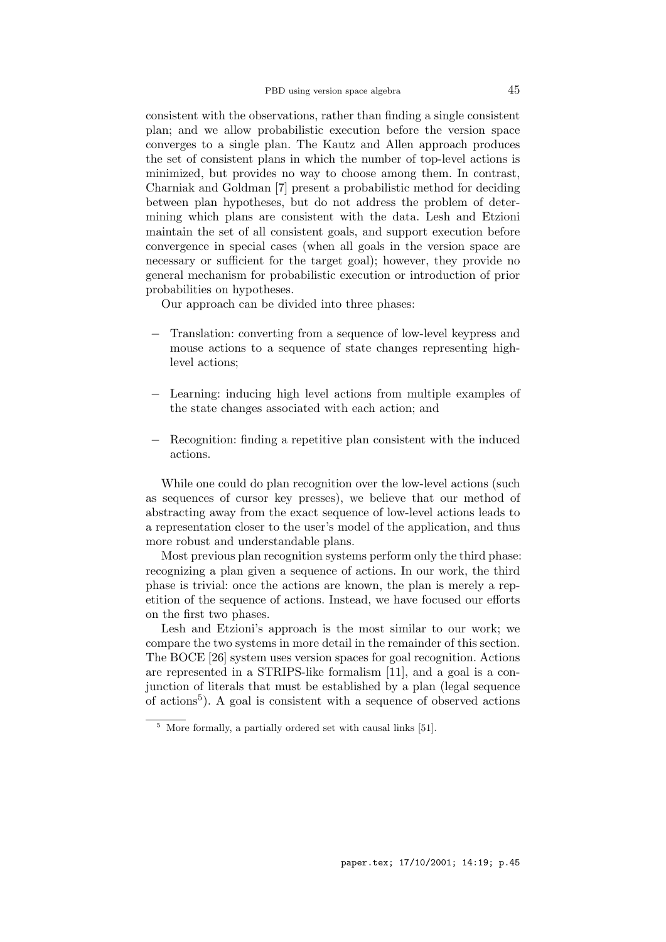consistent with the observations, rather than finding a single consistent plan; and we allow probabilistic execution before the version space converges to a single plan. The Kautz and Allen approach produces the set of consistent plans in which the number of top-level actions is minimized, but provides no way to choose among them. In contrast, Charniak and Goldman [7] present a probabilistic method for deciding between plan hypotheses, but do not address the problem of determining which plans are consistent with the data. Lesh and Etzioni maintain the set of all consistent goals, and support execution before convergence in special cases (when all goals in the version space are necessary or sufficient for the target goal); however, they provide no general mechanism for probabilistic execution or introduction of prior probabilities on hypotheses.

Our approach can be divided into three phases:

- − Translation: converting from a sequence of low-level keypress and mouse actions to a sequence of state changes representing highlevel actions;
- − Learning: inducing high level actions from multiple examples of the state changes associated with each action; and
- Recognition: finding a repetitive plan consistent with the induced actions.

While one could do plan recognition over the low-level actions (such as sequences of cursor key presses), we believe that our method of abstracting away from the exact sequence of low-level actions leads to a representation closer to the user's model of the application, and thus more robust and understandable plans.

Most previous plan recognition systems perform only the third phase: recognizing a plan given a sequence of actions. In our work, the third phase is trivial: once the actions are known, the plan is merely a repetition of the sequence of actions. Instead, we have focused our efforts on the first two phases.

Lesh and Etzioni's approach is the most similar to our work; we compare the two systems in more detail in the remainder of this section. The BOCE [26] system uses version spaces for goal recognition. Actions are represented in a STRIPS-like formalism [11], and a goal is a conjunction of literals that must be established by a plan (legal sequence of actions<sup>5</sup>). A goal is consistent with a sequence of observed actions

<sup>5</sup> More formally, a partially ordered set with causal links [51].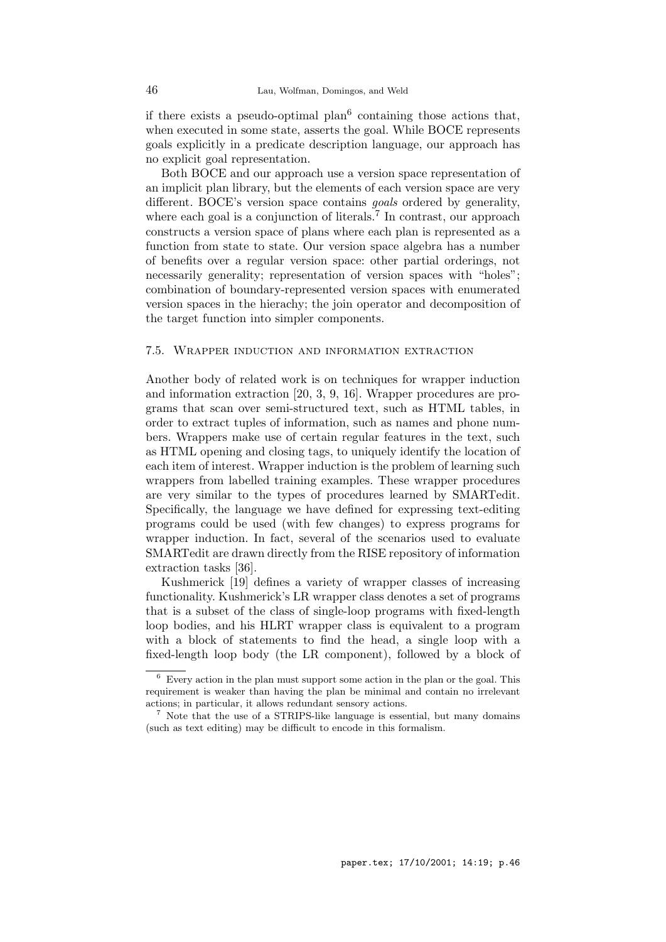if there exists a pseudo-optimal plan<sup>6</sup> containing those actions that, when executed in some state, asserts the goal. While BOCE represents goals explicitly in a predicate description language, our approach has no explicit goal representation.

Both BOCE and our approach use a version space representation of an implicit plan library, but the elements of each version space are very different. BOCE's version space contains *goals* ordered by generality, where each goal is a conjunction of literals.<sup>7</sup> In contrast, our approach constructs a version space of plans where each plan is represented as a function from state to state. Our version space algebra has a number of benefits over a regular version space: other partial orderings, not necessarily generality; representation of version spaces with "holes"; combination of boundary-represented version spaces with enumerated version spaces in the hierachy; the join operator and decomposition of the target function into simpler components.

#### 7.5. Wrapper induction and information extraction

Another body of related work is on techniques for wrapper induction and information extraction [20, 3, 9, 16]. Wrapper procedures are programs that scan over semi-structured text, such as HTML tables, in order to extract tuples of information, such as names and phone numbers. Wrappers make use of certain regular features in the text, such as HTML opening and closing tags, to uniquely identify the location of each item of interest. Wrapper induction is the problem of learning such wrappers from labelled training examples. These wrapper procedures are very similar to the types of procedures learned by SMARTedit. Specifically, the language we have defined for expressing text-editing programs could be used (with few changes) to express programs for wrapper induction. In fact, several of the scenarios used to evaluate SMARTedit are drawn directly from the RISE repository of information extraction tasks [36].

Kushmerick [19] defines a variety of wrapper classes of increasing functionality. Kushmerick's LR wrapper class denotes a set of programs that is a subset of the class of single-loop programs with fixed-length loop bodies, and his HLRT wrapper class is equivalent to a program with a block of statements to find the head, a single loop with a fixed-length loop body (the LR component), followed by a block of

 $6$  Every action in the plan must support some action in the plan or the goal. This requirement is weaker than having the plan be minimal and contain no irrelevant actions; in particular, it allows redundant sensory actions.

<sup>7</sup> Note that the use of a STRIPS-like language is essential, but many domains (such as text editing) may be difficult to encode in this formalism.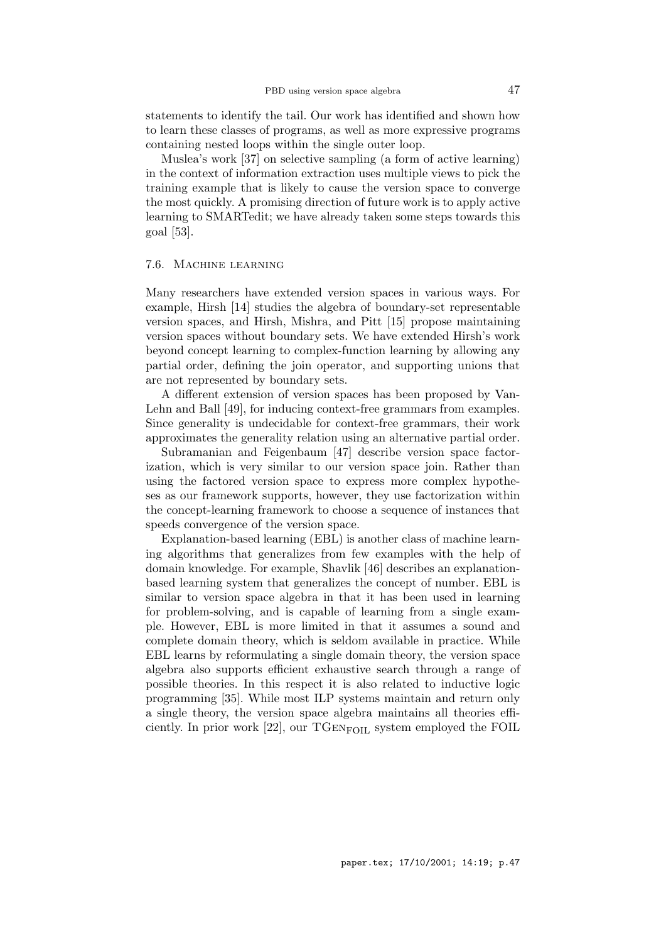statements to identify the tail. Our work has identified and shown how to learn these classes of programs, as well as more expressive programs containing nested loops within the single outer loop.

Muslea's work [37] on selective sampling (a form of active learning) in the context of information extraction uses multiple views to pick the training example that is likely to cause the version space to converge the most quickly. A promising direction of future work is to apply active learning to SMARTedit; we have already taken some steps towards this goal [53].

#### 7.6. Machine learning

Many researchers have extended version spaces in various ways. For example, Hirsh [14] studies the algebra of boundary-set representable version spaces, and Hirsh, Mishra, and Pitt [15] propose maintaining version spaces without boundary sets. We have extended Hirsh's work beyond concept learning to complex-function learning by allowing any partial order, defining the join operator, and supporting unions that are not represented by boundary sets.

A different extension of version spaces has been proposed by Van-Lehn and Ball [49], for inducing context-free grammars from examples. Since generality is undecidable for context-free grammars, their work approximates the generality relation using an alternative partial order.

Subramanian and Feigenbaum [47] describe version space factorization, which is very similar to our version space join. Rather than using the factored version space to express more complex hypotheses as our framework supports, however, they use factorization within the concept-learning framework to choose a sequence of instances that speeds convergence of the version space.

Explanation-based learning (EBL) is another class of machine learning algorithms that generalizes from few examples with the help of domain knowledge. For example, Shavlik [46] describes an explanationbased learning system that generalizes the concept of number. EBL is similar to version space algebra in that it has been used in learning for problem-solving, and is capable of learning from a single example. However, EBL is more limited in that it assumes a sound and complete domain theory, which is seldom available in practice. While EBL learns by reformulating a single domain theory, the version space algebra also supports efficient exhaustive search through a range of possible theories. In this respect it is also related to inductive logic programming [35]. While most ILP systems maintain and return only a single theory, the version space algebra maintains all theories efficiently. In prior work  $[22]$ , our TGEN<sub>FOIL</sub> system employed the FOIL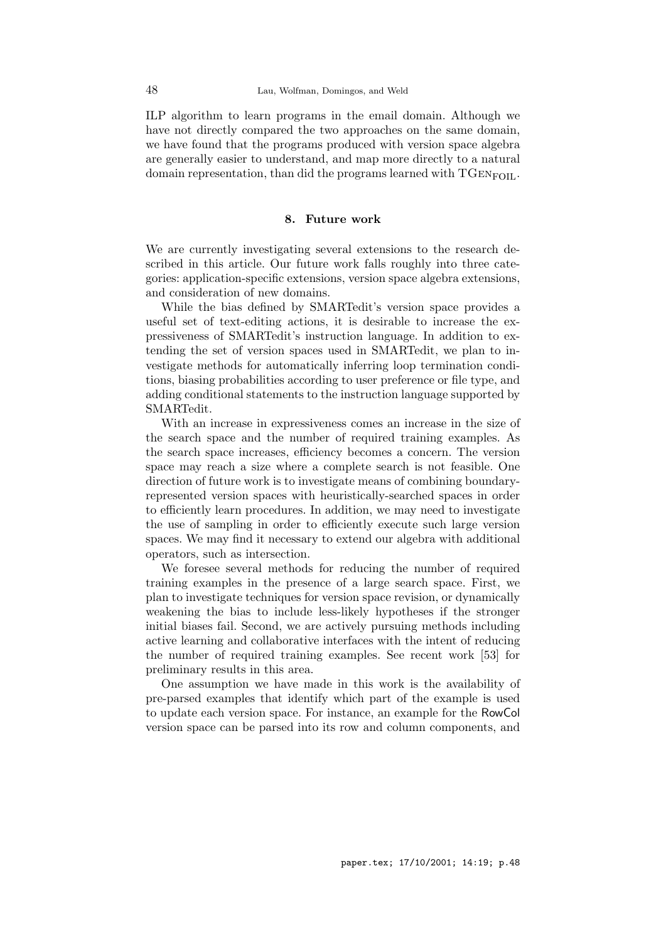ILP algorithm to learn programs in the email domain. Although we have not directly compared the two approaches on the same domain, we have found that the programs produced with version space algebra are generally easier to understand, and map more directly to a natural domain representation, than did the programs learned with  $T\text{GEN}_{\text{FOII}}$ .

## 8. Future work

We are currently investigating several extensions to the research described in this article. Our future work falls roughly into three categories: application-specific extensions, version space algebra extensions, and consideration of new domains.

While the bias defined by SMARTedit's version space provides a useful set of text-editing actions, it is desirable to increase the expressiveness of SMARTedit's instruction language. In addition to extending the set of version spaces used in SMARTedit, we plan to investigate methods for automatically inferring loop termination conditions, biasing probabilities according to user preference or file type, and adding conditional statements to the instruction language supported by SMARTedit.

With an increase in expressiveness comes an increase in the size of the search space and the number of required training examples. As the search space increases, efficiency becomes a concern. The version space may reach a size where a complete search is not feasible. One direction of future work is to investigate means of combining boundaryrepresented version spaces with heuristically-searched spaces in order to efficiently learn procedures. In addition, we may need to investigate the use of sampling in order to efficiently execute such large version spaces. We may find it necessary to extend our algebra with additional operators, such as intersection.

We foresee several methods for reducing the number of required training examples in the presence of a large search space. First, we plan to investigate techniques for version space revision, or dynamically weakening the bias to include less-likely hypotheses if the stronger initial biases fail. Second, we are actively pursuing methods including active learning and collaborative interfaces with the intent of reducing the number of required training examples. See recent work [53] for preliminary results in this area.

One assumption we have made in this work is the availability of pre-parsed examples that identify which part of the example is used to update each version space. For instance, an example for the RowCol version space can be parsed into its row and column components, and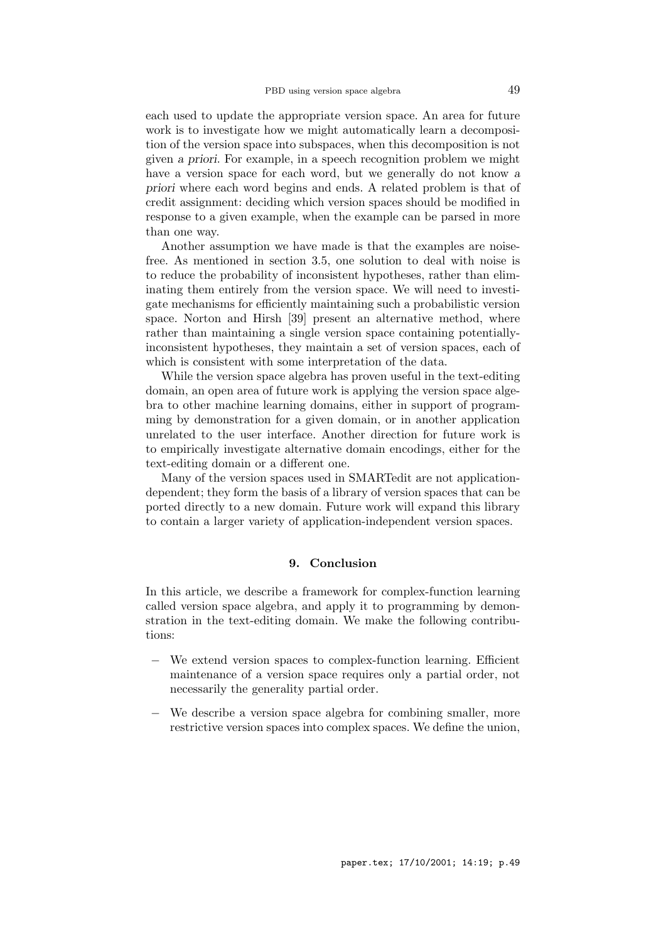each used to update the appropriate version space. An area for future work is to investigate how we might automatically learn a decomposition of the version space into subspaces, when this decomposition is not given a priori. For example, in a speech recognition problem we might have a version space for each word, but we generally do not know a priori where each word begins and ends. A related problem is that of credit assignment: deciding which version spaces should be modified in response to a given example, when the example can be parsed in more than one way.

Another assumption we have made is that the examples are noisefree. As mentioned in section 3.5, one solution to deal with noise is to reduce the probability of inconsistent hypotheses, rather than eliminating them entirely from the version space. We will need to investigate mechanisms for efficiently maintaining such a probabilistic version space. Norton and Hirsh [39] present an alternative method, where rather than maintaining a single version space containing potentiallyinconsistent hypotheses, they maintain a set of version spaces, each of which is consistent with some interpretation of the data.

While the version space algebra has proven useful in the text-editing domain, an open area of future work is applying the version space algebra to other machine learning domains, either in support of programming by demonstration for a given domain, or in another application unrelated to the user interface. Another direction for future work is to empirically investigate alternative domain encodings, either for the text-editing domain or a different one.

Many of the version spaces used in SMARTedit are not applicationdependent; they form the basis of a library of version spaces that can be ported directly to a new domain. Future work will expand this library to contain a larger variety of application-independent version spaces.

#### 9. Conclusion

In this article, we describe a framework for complex-function learning called version space algebra, and apply it to programming by demonstration in the text-editing domain. We make the following contributions:

- − We extend version spaces to complex-function learning. Efficient maintenance of a version space requires only a partial order, not necessarily the generality partial order.
- − We describe a version space algebra for combining smaller, more restrictive version spaces into complex spaces. We define the union,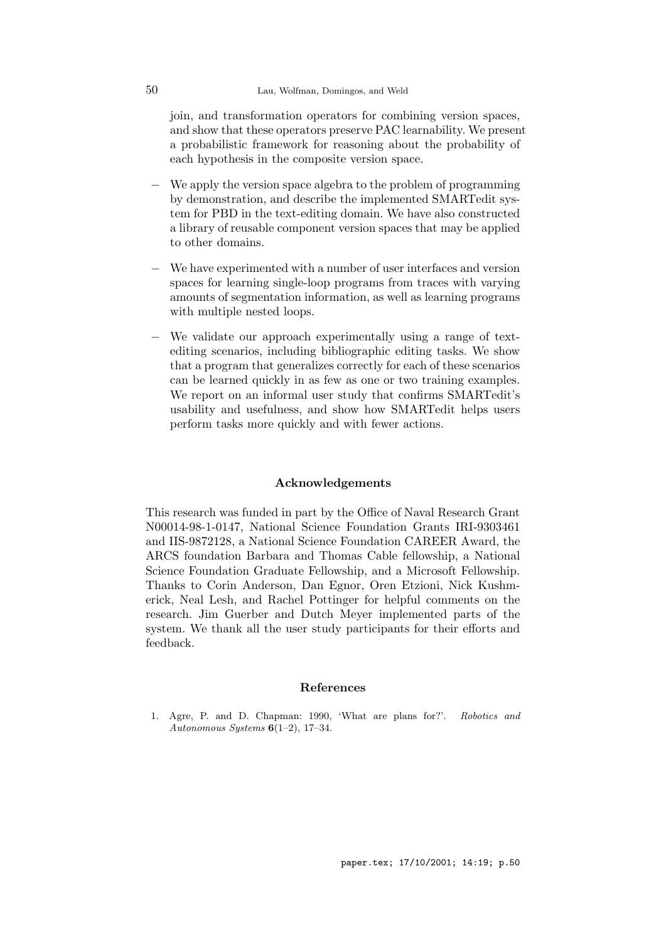join, and transformation operators for combining version spaces, and show that these operators preserve PAC learnability. We present a probabilistic framework for reasoning about the probability of each hypothesis in the composite version space.

- − We apply the version space algebra to the problem of programming by demonstration, and describe the implemented SMARTedit system for PBD in the text-editing domain. We have also constructed a library of reusable component version spaces that may be applied to other domains.
- − We have experimented with a number of user interfaces and version spaces for learning single-loop programs from traces with varying amounts of segmentation information, as well as learning programs with multiple nested loops.
- − We validate our approach experimentally using a range of textediting scenarios, including bibliographic editing tasks. We show that a program that generalizes correctly for each of these scenarios can be learned quickly in as few as one or two training examples. We report on an informal user study that confirms SMARTedit's usability and usefulness, and show how SMARTedit helps users perform tasks more quickly and with fewer actions.

## Acknowledgements

This research was funded in part by the Office of Naval Research Grant N00014-98-1-0147, National Science Foundation Grants IRI-9303461 and IIS-9872128, a National Science Foundation CAREER Award, the ARCS foundation Barbara and Thomas Cable fellowship, a National Science Foundation Graduate Fellowship, and a Microsoft Fellowship. Thanks to Corin Anderson, Dan Egnor, Oren Etzioni, Nick Kushmerick, Neal Lesh, and Rachel Pottinger for helpful comments on the research. Jim Guerber and Dutch Meyer implemented parts of the system. We thank all the user study participants for their efforts and feedback.

#### References

1. Agre, P. and D. Chapman: 1990, 'What are plans for?'. Robotics and Autonomous Systems  $6(1-2)$ , 17-34.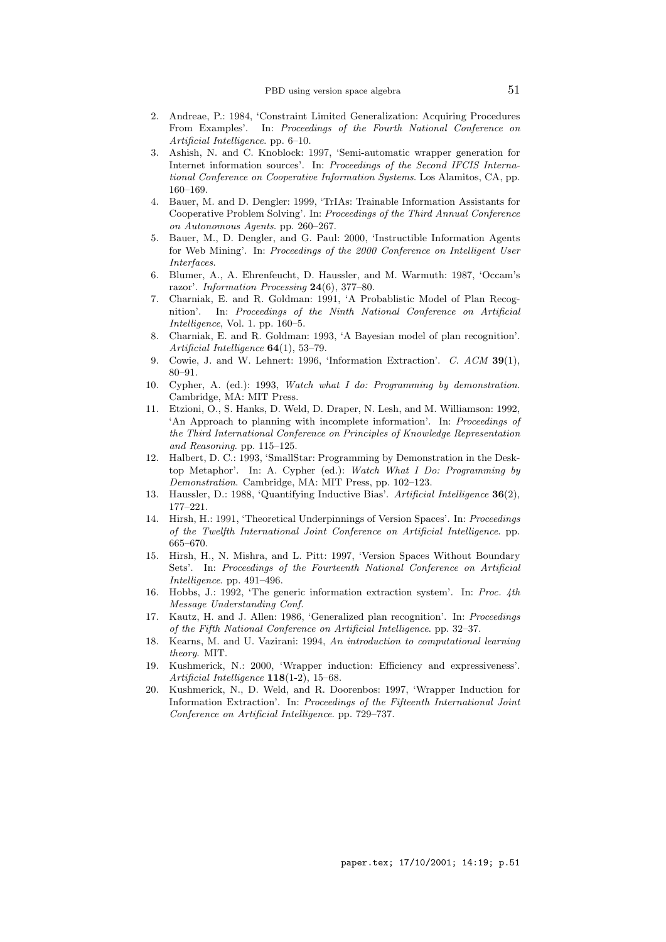- 2. Andreae, P.: 1984, 'Constraint Limited Generalization: Acquiring Procedures From Examples'. In: Proceedings of the Fourth National Conference on Artificial Intelligence. pp. 6–10.
- 3. Ashish, N. and C. Knoblock: 1997, 'Semi-automatic wrapper generation for Internet information sources'. In: Proceedings of the Second IFCIS International Conference on Cooperative Information Systems. Los Alamitos, CA, pp. 160–169.
- 4. Bauer, M. and D. Dengler: 1999, 'TrIAs: Trainable Information Assistants for Cooperative Problem Solving'. In: Proceedings of the Third Annual Conference on Autonomous Agents. pp. 260–267.
- 5. Bauer, M., D. Dengler, and G. Paul: 2000, 'Instructible Information Agents for Web Mining'. In: Proceedings of the 2000 Conference on Intelligent User Interfaces.
- 6. Blumer, A., A. Ehrenfeucht, D. Haussler, and M. Warmuth: 1987, 'Occam's razor'. Information Processing 24(6), 377–80.
- 7. Charniak, E. and R. Goldman: 1991, 'A Probablistic Model of Plan Recognition'. In: Proceedings of the Ninth National Conference on Artificial Intelligence, Vol. 1. pp. 160–5.
- 8. Charniak, E. and R. Goldman: 1993, 'A Bayesian model of plan recognition'. Artificial Intelligence 64(1), 53–79.
- 9. Cowie, J. and W. Lehnert: 1996, 'Information Extraction'. C. ACM 39(1), 80–91.
- 10. Cypher, A. (ed.): 1993, Watch what I do: Programming by demonstration. Cambridge, MA: MIT Press.
- 11. Etzioni, O., S. Hanks, D. Weld, D. Draper, N. Lesh, and M. Williamson: 1992, 'An Approach to planning with incomplete information'. In: Proceedings of the Third International Conference on Principles of Knowledge Representation and Reasoning. pp. 115–125.
- 12. Halbert, D. C.: 1993, 'SmallStar: Programming by Demonstration in the Desktop Metaphor'. In: A. Cypher (ed.): Watch What I Do: Programming by Demonstration. Cambridge, MA: MIT Press, pp. 102–123.
- 13. Haussler, D.: 1988, 'Quantifying Inductive Bias'. Artificial Intelligence 36(2), 177–221.
- 14. Hirsh, H.: 1991, 'Theoretical Underpinnings of Version Spaces'. In: Proceedings of the Twelfth International Joint Conference on Artificial Intelligence. pp. 665–670.
- 15. Hirsh, H., N. Mishra, and L. Pitt: 1997, 'Version Spaces Without Boundary Sets'. In: Proceedings of the Fourteenth National Conference on Artificial Intelligence. pp. 491–496.
- 16. Hobbs, J.: 1992, 'The generic information extraction system'. In: Proc. 4th Message Understanding Conf.
- 17. Kautz, H. and J. Allen: 1986, 'Generalized plan recognition'. In: Proceedings of the Fifth National Conference on Artificial Intelligence. pp. 32–37.
- 18. Kearns, M. and U. Vazirani: 1994, An introduction to computational learning theory. MIT.
- 19. Kushmerick, N.: 2000, 'Wrapper induction: Efficiency and expressiveness'. Artificial Intelligence 118(1-2), 15–68.
- 20. Kushmerick, N., D. Weld, and R. Doorenbos: 1997, 'Wrapper Induction for Information Extraction'. In: Proceedings of the Fifteenth International Joint Conference on Artificial Intelligence. pp. 729–737.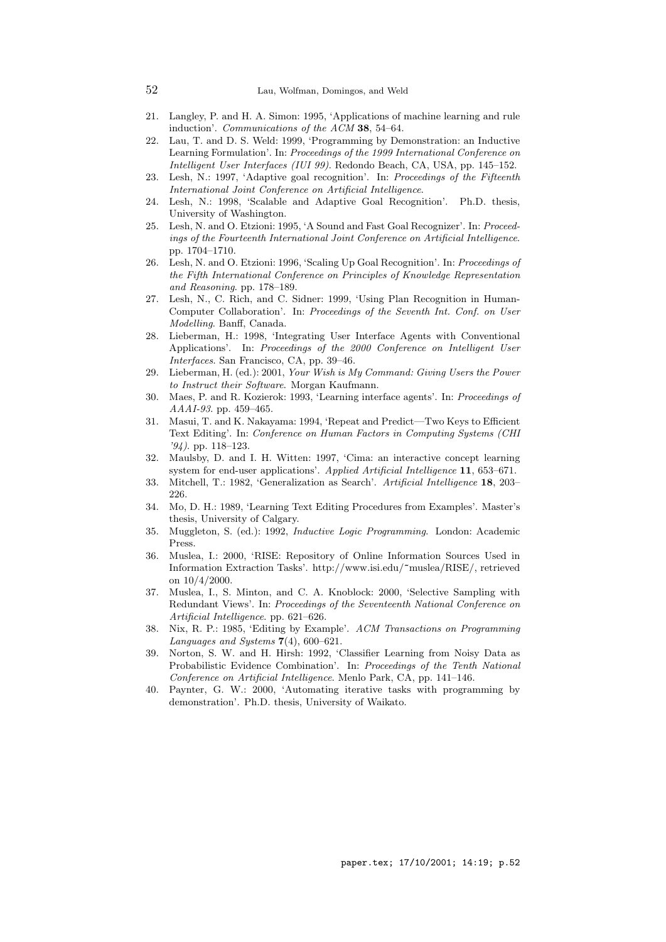#### 52 Lau, Wolfman, Domingos, and Weld

- 21. Langley, P. and H. A. Simon: 1995, 'Applications of machine learning and rule induction'. Communications of the ACM 38, 54–64.
- 22. Lau, T. and D. S. Weld: 1999, 'Programming by Demonstration: an Inductive Learning Formulation'. In: Proceedings of the 1999 International Conference on Intelligent User Interfaces (IUI 99). Redondo Beach, CA, USA, pp. 145–152.
- 23. Lesh, N.: 1997, 'Adaptive goal recognition'. In: Proceedings of the Fifteenth International Joint Conference on Artificial Intelligence.
- 24. Lesh, N.: 1998, 'Scalable and Adaptive Goal Recognition'. Ph.D. thesis, University of Washington.
- 25. Lesh, N. and O. Etzioni: 1995, 'A Sound and Fast Goal Recognizer'. In: Proceedings of the Fourteenth International Joint Conference on Artificial Intelligence. pp. 1704–1710.
- 26. Lesh, N. and O. Etzioni: 1996, 'Scaling Up Goal Recognition'. In: Proceedings of the Fifth International Conference on Principles of Knowledge Representation and Reasoning. pp. 178–189.
- 27. Lesh, N., C. Rich, and C. Sidner: 1999, 'Using Plan Recognition in Human-Computer Collaboration'. In: Proceedings of the Seventh Int. Conf. on User Modelling. Banff, Canada.
- 28. Lieberman, H.: 1998, 'Integrating User Interface Agents with Conventional Applications'. In: Proceedings of the 2000 Conference on Intelligent User Interfaces. San Francisco, CA, pp. 39–46.
- 29. Lieberman, H. (ed.): 2001, Your Wish is My Command: Giving Users the Power to Instruct their Software. Morgan Kaufmann.
- 30. Maes, P. and R. Kozierok: 1993, 'Learning interface agents'. In: Proceedings of AAAI-93. pp. 459–465.
- 31. Masui, T. and K. Nakayama: 1994, 'Repeat and Predict—Two Keys to Efficient Text Editing'. In: Conference on Human Factors in Computing Systems (CHI '94). pp. 118–123.
- 32. Maulsby, D. and I. H. Witten: 1997, 'Cima: an interactive concept learning system for end-user applications'. Applied Artificial Intelligence 11, 653–671.
- 33. Mitchell, T.: 1982, 'Generalization as Search'. Artificial Intelligence 18, 203– 226.
- 34. Mo, D. H.: 1989, 'Learning Text Editing Procedures from Examples'. Master's thesis, University of Calgary.
- 35. Muggleton, S. (ed.): 1992, Inductive Logic Programming. London: Academic Press.
- 36. Muslea, I.: 2000, 'RISE: Repository of Online Information Sources Used in Information Extraction Tasks'. http://www.isi.edu/~muslea/RISE/, retrieved on 10/4/2000.
- 37. Muslea, I., S. Minton, and C. A. Knoblock: 2000, 'Selective Sampling with Redundant Views'. In: Proceedings of the Seventeenth National Conference on Artificial Intelligence. pp. 621–626.
- 38. Nix, R. P.: 1985, 'Editing by Example'. ACM Transactions on Programming Languages and Systems  $7(4)$ , 600-621.
- 39. Norton, S. W. and H. Hirsh: 1992, 'Classifier Learning from Noisy Data as Probabilistic Evidence Combination'. In: Proceedings of the Tenth National Conference on Artificial Intelligence. Menlo Park, CA, pp. 141–146.
- 40. Paynter, G. W.: 2000, 'Automating iterative tasks with programming by demonstration'. Ph.D. thesis, University of Waikato.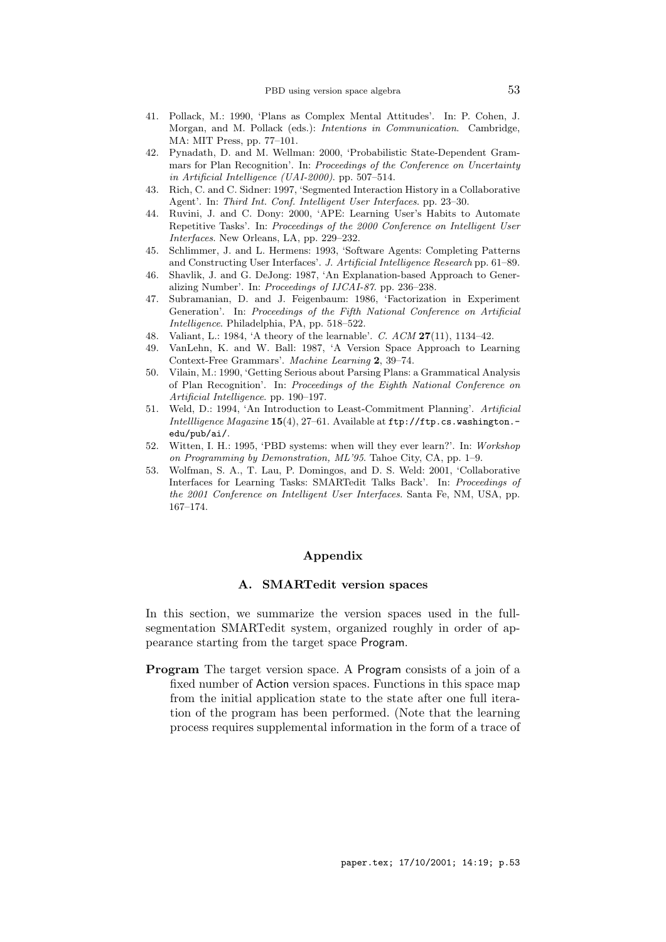- 41. Pollack, M.: 1990, 'Plans as Complex Mental Attitudes'. In: P. Cohen, J. Morgan, and M. Pollack (eds.): Intentions in Communication. Cambridge, MA: MIT Press, pp. 77–101.
- 42. Pynadath, D. and M. Wellman: 2000, 'Probabilistic State-Dependent Grammars for Plan Recognition'. In: Proceedings of the Conference on Uncertainty in Artificial Intelligence (UAI-2000). pp. 507–514.
- 43. Rich, C. and C. Sidner: 1997, 'Segmented Interaction History in a Collaborative Agent'. In: Third Int. Conf. Intelligent User Interfaces. pp. 23–30.
- 44. Ruvini, J. and C. Dony: 2000, 'APE: Learning User's Habits to Automate Repetitive Tasks'. In: Proceedings of the 2000 Conference on Intelligent User Interfaces. New Orleans, LA, pp. 229–232.
- 45. Schlimmer, J. and L. Hermens: 1993, 'Software Agents: Completing Patterns and Constructing User Interfaces'. J. Artificial Intelligence Research pp. 61–89.
- 46. Shavlik, J. and G. DeJong: 1987, 'An Explanation-based Approach to Generalizing Number'. In: Proceedings of IJCAI-87. pp. 236–238.
- 47. Subramanian, D. and J. Feigenbaum: 1986, 'Factorization in Experiment Generation'. In: Proceedings of the Fifth National Conference on Artificial Intelligence. Philadelphia, PA, pp. 518–522.
- 48. Valiant, L.: 1984, 'A theory of the learnable'. C. ACM 27(11), 1134–42.
- 49. VanLehn, K. and W. Ball: 1987, 'A Version Space Approach to Learning Context-Free Grammars'. Machine Learning 2, 39–74.
- 50. Vilain, M.: 1990, 'Getting Serious about Parsing Plans: a Grammatical Analysis of Plan Recognition'. In: Proceedings of the Eighth National Conference on Artificial Intelligence. pp. 190–197.
- 51. Weld, D.: 1994, 'An Introduction to Least-Commitment Planning'. Artificial Intellligence Magazine  $15(4)$ , 27-61. Available at ftp://ftp.cs.washington.edu/pub/ai/.
- 52. Witten, I. H.: 1995, 'PBD systems: when will they ever learn?'. In: Workshop on Programming by Demonstration, ML'95. Tahoe City, CA, pp. 1–9.
- 53. Wolfman, S. A., T. Lau, P. Domingos, and D. S. Weld: 2001, 'Collaborative Interfaces for Learning Tasks: SMARTedit Talks Back'. In: Proceedings of the 2001 Conference on Intelligent User Interfaces. Santa Fe, NM, USA, pp. 167–174.

#### Appendix

#### A. SMARTedit version spaces

In this section, we summarize the version spaces used in the fullsegmentation SMARTedit system, organized roughly in order of appearance starting from the target space Program.

Program The target version space. A Program consists of a join of a fixed number of Action version spaces. Functions in this space map from the initial application state to the state after one full iteration of the program has been performed. (Note that the learning process requires supplemental information in the form of a trace of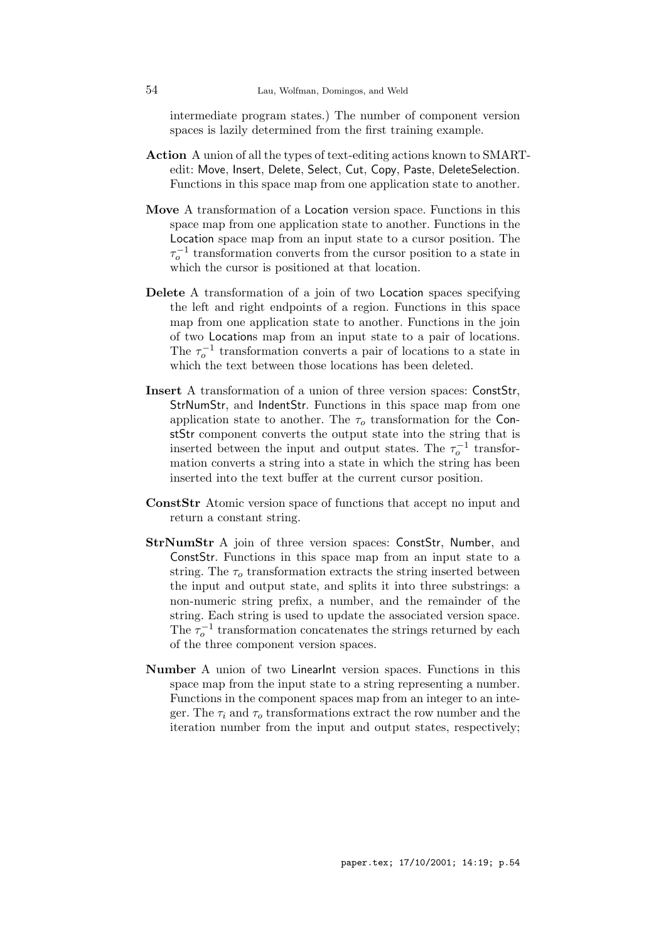intermediate program states.) The number of component version spaces is lazily determined from the first training example.

- Action A union of all the types of text-editing actions known to SMARTedit: Move, Insert, Delete, Select, Cut, Copy, Paste, DeleteSelection. Functions in this space map from one application state to another.
- Move A transformation of a Location version space. Functions in this space map from one application state to another. Functions in the Location space map from an input state to a cursor position. The  $\tau_o^{-1}$  transformation converts from the cursor position to a state in which the cursor is positioned at that location.
- Delete A transformation of a join of two Location spaces specifying the left and right endpoints of a region. Functions in this space map from one application state to another. Functions in the join of two Locations map from an input state to a pair of locations. The  $\tau_o^{-1}$  transformation converts a pair of locations to a state in which the text between those locations has been deleted.
- Insert A transformation of a union of three version spaces: ConstStr, StrNumStr, and IndentStr. Functions in this space map from one application state to another. The  $\tau_o$  transformation for the ConstStr component converts the output state into the string that is inserted between the input and output states. The  $\tau_o^{-1}$  transformation converts a string into a state in which the string has been inserted into the text buffer at the current cursor position.
- ConstStr Atomic version space of functions that accept no input and return a constant string.
- StrNumStr A join of three version spaces: ConstStr, Number, and ConstStr. Functions in this space map from an input state to a string. The  $\tau_o$  transformation extracts the string inserted between the input and output state, and splits it into three substrings: a non-numeric string prefix, a number, and the remainder of the string. Each string is used to update the associated version space. The  $\tau_o^{-1}$  transformation concatenates the strings returned by each of the three component version spaces.
- Number A union of two LinearInt version spaces. Functions in this space map from the input state to a string representing a number. Functions in the component spaces map from an integer to an integer. The  $\tau_i$  and  $\tau_o$  transformations extract the row number and the iteration number from the input and output states, respectively;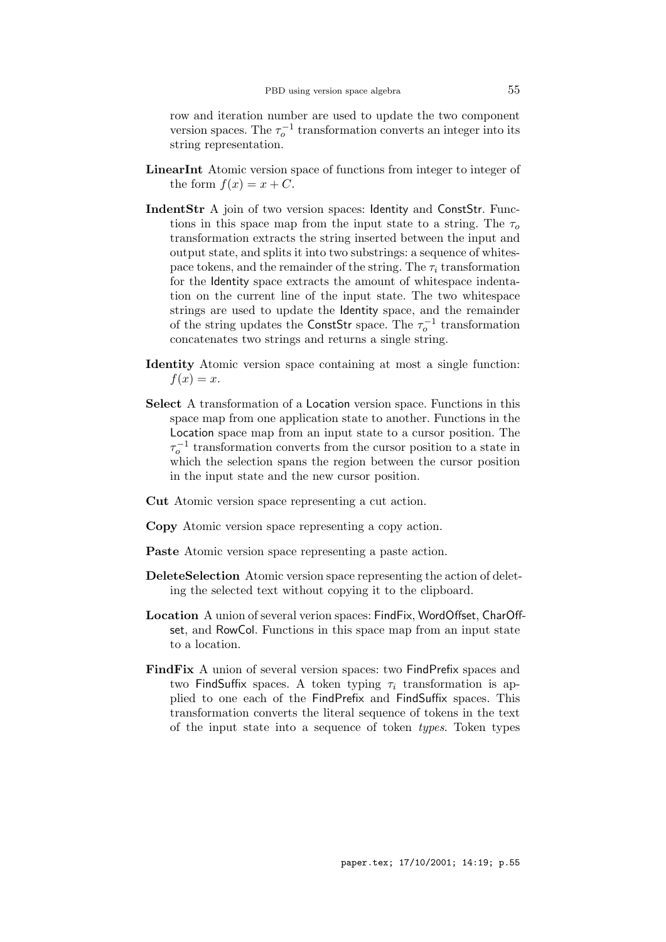row and iteration number are used to update the two component version spaces. The  $\tau_o^{-1}$  transformation converts an integer into its string representation.

- LinearInt Atomic version space of functions from integer to integer of the form  $f(x) = x + C$ .
- IndentStr A join of two version spaces: Identity and ConstStr. Functions in this space map from the input state to a string. The  $\tau_o$ transformation extracts the string inserted between the input and output state, and splits it into two substrings: a sequence of whitespace tokens, and the remainder of the string. The  $\tau_i$  transformation for the Identity space extracts the amount of whitespace indentation on the current line of the input state. The two whitespace strings are used to update the Identity space, and the remainder of the string updates the ConstStr space. The  $\tau_o^{-1}$  transformation concatenates two strings and returns a single string.
- Identity Atomic version space containing at most a single function:  $f(x) = x$ .
- Select A transformation of a Location version space. Functions in this space map from one application state to another. Functions in the Location space map from an input state to a cursor position. The  $\tau_o^{-1}$  transformation converts from the cursor position to a state in which the selection spans the region between the cursor position in the input state and the new cursor position.
- Cut Atomic version space representing a cut action.
- Copy Atomic version space representing a copy action.
- Paste Atomic version space representing a paste action.
- DeleteSelection Atomic version space representing the action of deleting the selected text without copying it to the clipboard.
- Location A union of several verion spaces: FindFix, WordOffset, CharOffset, and RowCol. Functions in this space map from an input state to a location.
- FindFix A union of several version spaces: two FindPrefix spaces and two FindSuffix spaces. A token typing  $\tau_i$  transformation is applied to one each of the FindPrefix and FindSuffix spaces. This transformation converts the literal sequence of tokens in the text of the input state into a sequence of token types. Token types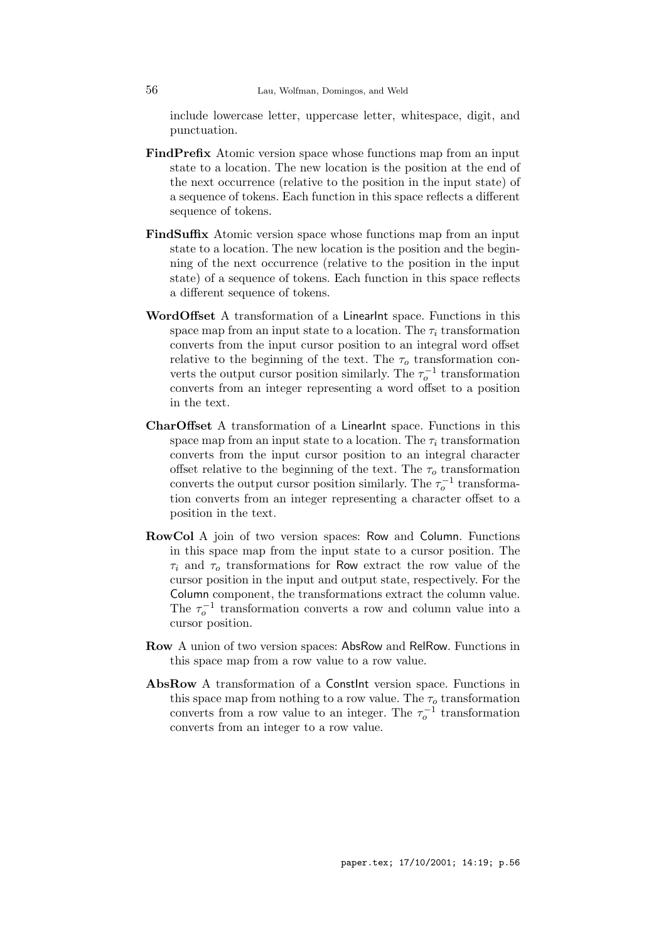include lowercase letter, uppercase letter, whitespace, digit, and punctuation.

- FindPrefix Atomic version space whose functions map from an input state to a location. The new location is the position at the end of the next occurrence (relative to the position in the input state) of a sequence of tokens. Each function in this space reflects a different sequence of tokens.
- FindSuffix Atomic version space whose functions map from an input state to a location. The new location is the position and the beginning of the next occurrence (relative to the position in the input state) of a sequence of tokens. Each function in this space reflects a different sequence of tokens.
- WordOffset A transformation of a LinearInt space. Functions in this space map from an input state to a location. The  $\tau_i$  transformation converts from the input cursor position to an integral word offset relative to the beginning of the text. The  $\tau_o$  transformation converts the output cursor position similarly. The  $\tau_o^{-1}$  transformation converts from an integer representing a word offset to a position in the text.
- CharOffset A transformation of a LinearInt space. Functions in this space map from an input state to a location. The  $\tau_i$  transformation converts from the input cursor position to an integral character offset relative to the beginning of the text. The  $\tau_o$  transformation converts the output cursor position similarly. The  $\tau_o^{-1}$  transformation converts from an integer representing a character offset to a position in the text.
- RowCol A join of two version spaces: Row and Column. Functions in this space map from the input state to a cursor position. The  $\tau_i$  and  $\tau_o$  transformations for Row extract the row value of the cursor position in the input and output state, respectively. For the Column component, the transformations extract the column value. The  $\tau_o^{-1}$  transformation converts a row and column value into a cursor position.
- Row A union of two version spaces: AbsRow and RelRow. Functions in this space map from a row value to a row value.
- AbsRow A transformation of a Constint version space. Functions in this space map from nothing to a row value. The  $\tau_o$  transformation converts from a row value to an integer. The  $\tau_o^{-1}$  transformation converts from an integer to a row value.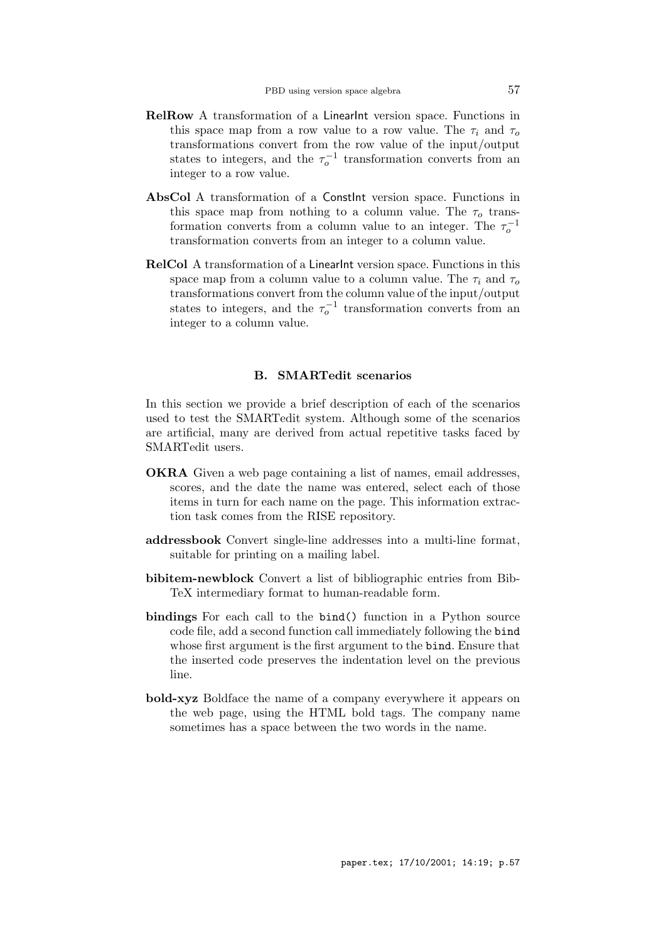- RelRow A transformation of a LinearInt version space. Functions in this space map from a row value to a row value. The  $\tau_i$  and  $\tau_o$ transformations convert from the row value of the input/output states to integers, and the  $\tau_o^{-1}$  transformation converts from an integer to a row value.
- AbsCol A transformation of a Constint version space. Functions in this space map from nothing to a column value. The  $\tau_o$  transformation converts from a column value to an integer. The  $\tau_o^{-1}$ transformation converts from an integer to a column value.
- RelCol A transformation of a LinearInt version space. Functions in this space map from a column value to a column value. The  $\tau_i$  and  $\tau_o$ transformations convert from the column value of the input/output states to integers, and the  $\tau_o^{-1}$  transformation converts from an integer to a column value.

## B. SMARTedit scenarios

In this section we provide a brief description of each of the scenarios used to test the SMARTedit system. Although some of the scenarios are artificial, many are derived from actual repetitive tasks faced by SMARTedit users.

- OKRA Given a web page containing a list of names, email addresses, scores, and the date the name was entered, select each of those items in turn for each name on the page. This information extraction task comes from the RISE repository.
- addressbook Convert single-line addresses into a multi-line format, suitable for printing on a mailing label.
- bibitem-newblock Convert a list of bibliographic entries from Bib-TeX intermediary format to human-readable form.
- bindings For each call to the bind() function in a Python source code file, add a second function call immediately following the bind whose first argument is the first argument to the bind. Ensure that the inserted code preserves the indentation level on the previous line.
- bold-xyz Boldface the name of a company everywhere it appears on the web page, using the HTML bold tags. The company name sometimes has a space between the two words in the name.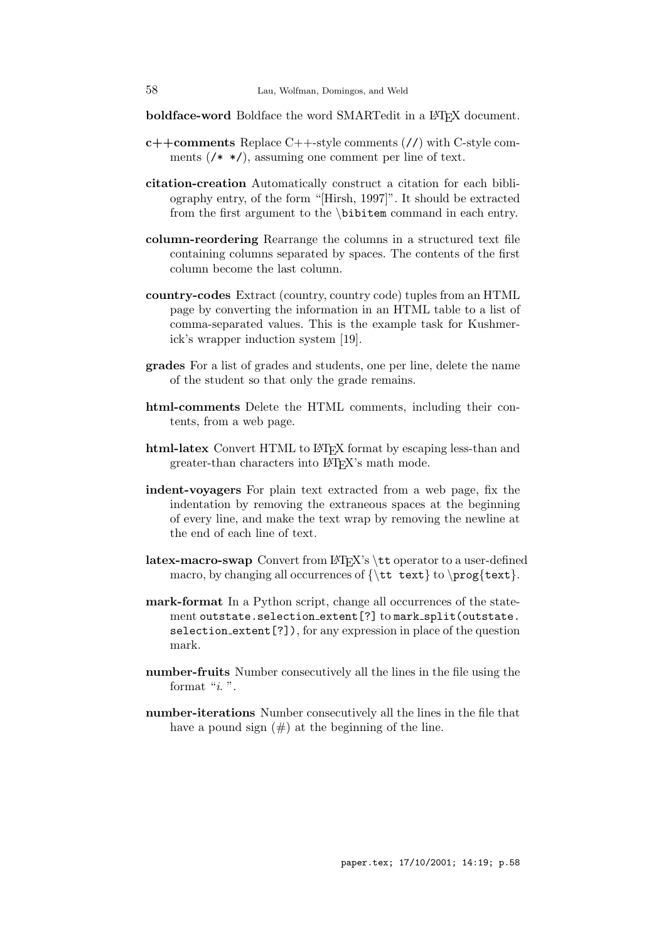- boldface-word Boldface the word SMARTedit in a LAT<sub>EX</sub> document.
- $c++**comments** Replace C++-style comments (//) with C-style comm$ ments  $(\frac{1}{*}, \frac{1}{\cdot})$ , assuming one comment per line of text.
- citation-creation Automatically construct a citation for each bibliography entry, of the form "[Hirsh, 1997]". It should be extracted from the first argument to the \bibitem command in each entry.
- column-reordering Rearrange the columns in a structured text file containing columns separated by spaces. The contents of the first column become the last column.
- country-codes Extract (country, country code) tuples from an HTML page by converting the information in an HTML table to a list of comma-separated values. This is the example task for Kushmerick's wrapper induction system [19].
- grades For a list of grades and students, one per line, delete the name of the student so that only the grade remains.
- html-comments Delete the HTML comments, including their contents, from a web page.
- html-latex Convert HTML to LATEX format by escaping less-than and greater-than characters into LATEX's math mode.
- indent-voyagers For plain text extracted from a web page, fix the indentation by removing the extraneous spaces at the beginning of every line, and make the text wrap by removing the newline at the end of each line of text.
- latex-macro-swap Convert from LATEX's \tt operator to a user-defined macro, by changing all occurrences of  ${\tt text}$  to  $\prod_{\text{text}}$ .
- mark-format In a Python script, change all occurrences of the statement outstate.selection extent[?] to mark split(outstate. selection extent[?]), for any expression in place of the question mark.
- number-fruits Number consecutively all the lines in the file using the format " $i$ .".
- number-iterations Number consecutively all the lines in the file that have a pound sign  $(\#)$  at the beginning of the line.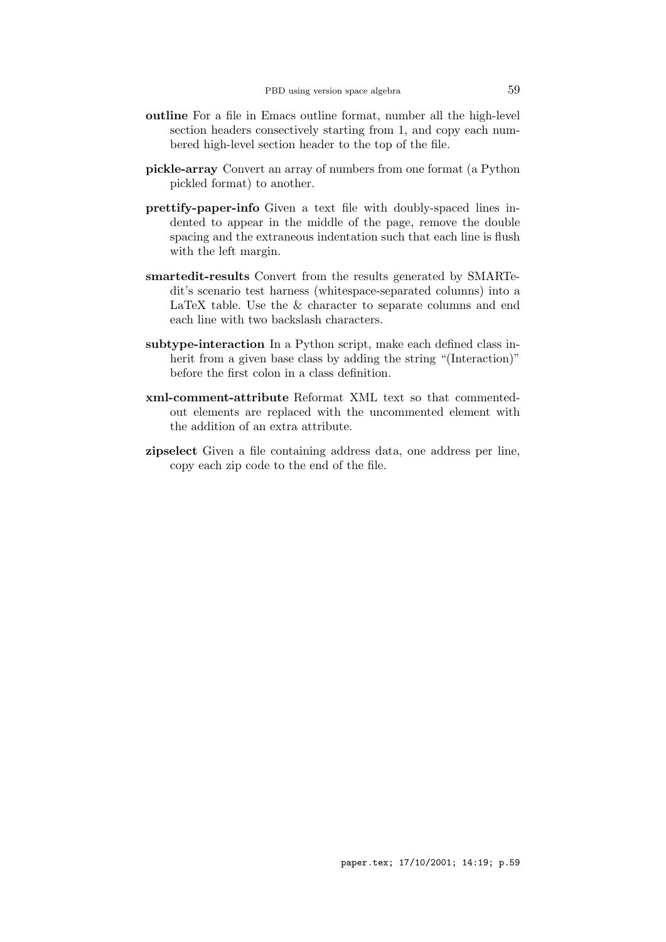- outline For a file in Emacs outline format, number all the high-level section headers consectively starting from 1, and copy each numbered high-level section header to the top of the file.
- pickle-array Convert an array of numbers from one format (a Python pickled format) to another.
- prettify-paper-info Given a text file with doubly-spaced lines indented to appear in the middle of the page, remove the double spacing and the extraneous indentation such that each line is flush with the left margin.
- smartedit-results Convert from the results generated by SMARTedit's scenario test harness (whitespace-separated columns) into a LaTeX table. Use the & character to separate columns and end each line with two backslash characters.
- subtype-interaction In a Python script, make each defined class inherit from a given base class by adding the string "(Interaction)" before the first colon in a class definition.
- xml-comment-attribute Reformat XML text so that commentedout elements are replaced with the uncommented element with the addition of an extra attribute.
- zipselect Given a file containing address data, one address per line, copy each zip code to the end of the file.